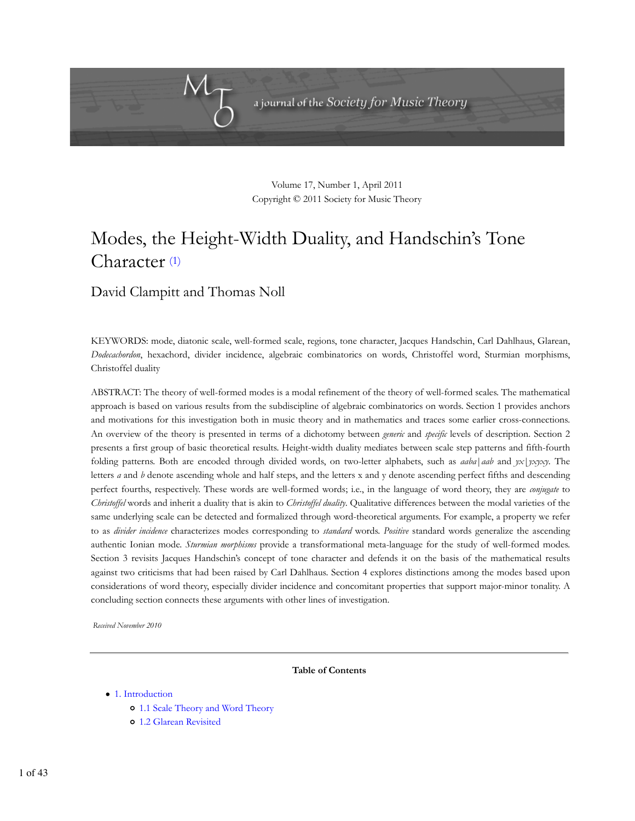

Volume 17, Number 1, April 2011 Copyright © 2011 Society for Music Theory

# Modes, the Height-Width Duality, and Handschin's Tone Character (1)

# David Clampitt and Thomas Noll

KEYWORDS: mode, diatonic scale, well-formed scale, regions, tone character, Jacques Handschin, Carl Dahlhaus, Glarean, *Dodecachordon*, hexachord, divider incidence, algebraic combinatorics on words, Christoffel word, Sturmian morphisms, Christoffel duality

ABSTRACT: The theory of well-formed modes is a modal refinement of the theory of well-formed scales. The mathematical approach is based on various results from the subdiscipline of algebraic combinatorics on words. Section 1 provides anchors and motivations for this investigation both in music theory and in mathematics and traces some earlier cross-connections. An overview of the theory is presented in terms of a dichotomy between *generic* and *specific* levels of description. Section 2 presents a first group of basic theoretical results. Height-width duality mediates between scale step patterns and fifth-fourth folding patterns. Both are encoded through divided words, on two-letter alphabets, such as *aaba*|*aab* and *yx*|*yxyxy*. The letters *a* and *b* denote ascending whole and half steps, and the letters x and y denote ascending perfect fifths and descending perfect fourths, respectively. These words are well-formed words; i.e., in the language of word theory, they are *conjugate* to *Christoffel* words and inherit a duality that is akin to *Christoffel duality*. Qualitative differences between the modal varieties of the same underlying scale can be detected and formalized through word-theoretical arguments. For example, a property we refer to as *divider incidence* characterizes modes corresponding to *standard* words. *Positive* standard words generalize the ascending authentic Ionian mode. *Sturmian morphisms* provide a transformational meta-language for the study of well-formed modes. Section 3 revisits Jacques Handschin's concept of tone character and defends it on the basis of the mathematical results against two criticisms that had been raised by Carl Dahlhaus. Section 4 explores distinctions among the modes based upon considerations of word theory, especially divider incidence and concomitant properties that support major-minor tonality. A concluding section connects these arguments with other lines of investigation.

*Received November 2010*

**Table of Contents**

- 1. Introduction
	- 1.1 Scale Theory and Word Theory
	- 1.2 Glarean Revisited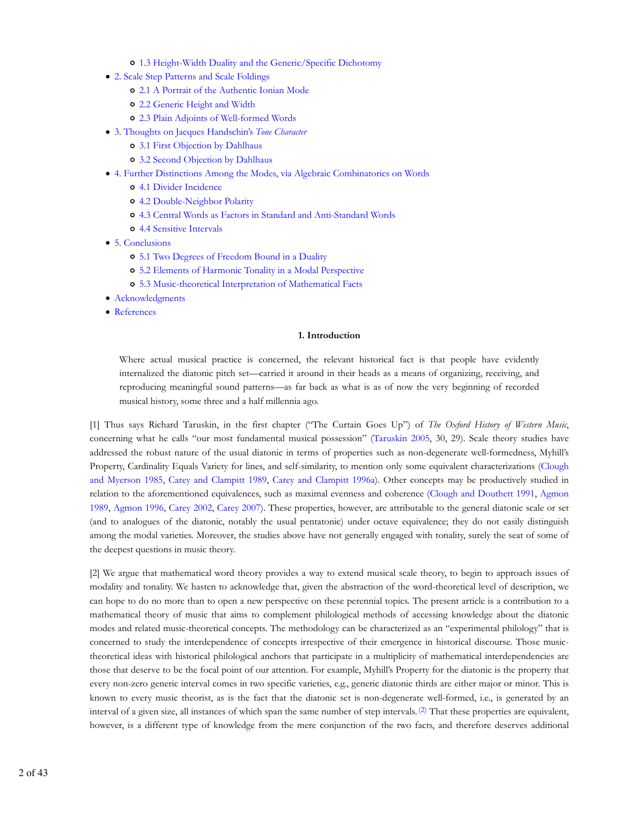- 1.3 Height-Width Duality and the Generic/Specific Dichotomy
- 2. Scale Step Patterns and Scale Foldings
	- 2.1 A Portrait of the Authentic Ionian Mode
	- 2.2 Generic Height and Width
	- 2.3 Plain Adjoints of Well-formed Words
- 3. Thoughts on Jacques Handschin's *Tone Character*
	- 3.1 First Objection by Dahlhaus
	- 3.2 Second Objection by Dahlhaus
- 4. Further Distinctions Among the Modes, via Algebraic Combinatorics on Words
	- 4.1 Divider Incidence
	- 4.2 Double-Neighbor Polarity
	- 4.3 Central Words as Factors in Standard and Anti-Standard Words
	- 4.4 Sensitive Intervals
- 5. Conclusions
	- 5.1 Two Degrees of Freedom Bound in a Duality
	- 5.2 Elements of Harmonic Tonality in a Modal Perspective
	- 5.3 Music-theoretical Interpretation of Mathematical Facts
- Acknowledgments
- References

#### **1. Introduction**

Where actual musical practice is concerned, the relevant historical fact is that people have evidently internalized the diatonic pitch set—carried it around in their heads as a means of organizing, receiving, and reproducing meaningful sound patterns—as far back as what is as of now the very beginning of recorded musical history, some three and a half millennia ago.

[1] Thus says Richard Taruskin, in the first chapter ("The Curtain Goes Up") of *The Oxford History of Western Music*, concerning what he calls "our most fundamental musical possession" (Taruskin 2005, 30, 29). Scale theory studies have addressed the robust nature of the usual diatonic in terms of properties such as non-degenerate well-formedness, Myhill's Property, Cardinality Equals Variety for lines, and self-similarity, to mention only some equivalent characterizations (Clough and Myerson 1985, Carey and Clampitt 1989, Carey and Clampitt 1996a). Other concepts may be productively studied in relation to the aforementioned equivalences, such as maximal evenness and coherence (Clough and Douthett 1991, Agmon 1989, Agmon 1996, Carey 2002, Carey 2007). These properties, however, are attributable to the general diatonic scale or set (and to analogues of the diatonic, notably the usual pentatonic) under octave equivalence; they do not easily distinguish among the modal varieties. Moreover, the studies above have not generally engaged with tonality, surely the seat of some of the deepest questions in music theory.

[2] We argue that mathematical word theory provides a way to extend musical scale theory, to begin to approach issues of modality and tonality. We hasten to acknowledge that, given the abstraction of the word-theoretical level of description, we can hope to do no more than to open a new perspective on these perennial topics. The present article is a contribution to a mathematical theory of music that aims to complement philological methods of accessing knowledge about the diatonic modes and related music-theoretical concepts. The methodology can be characterized as an "experimental philology" that is concerned to study the interdependence of concepts irrespective of their emergence in historical discourse. Those musictheoretical ideas with historical philological anchors that participate in a multiplicity of mathematical interdependencies are those that deserve to be the focal point of our attention. For example, Myhill's Property for the diatonic is the property that every non-zero generic interval comes in two specific varieties, e.g., generic diatonic thirds are either major or minor. This is known to every music theorist, as is the fact that the diatonic set is non-degenerate well-formed, i.e., is generated by an interval of a given size, all instances of which span the same number of step intervals. (2) That these properties are equivalent, however, is a different type of knowledge from the mere conjunction of the two facts, and therefore deserves additional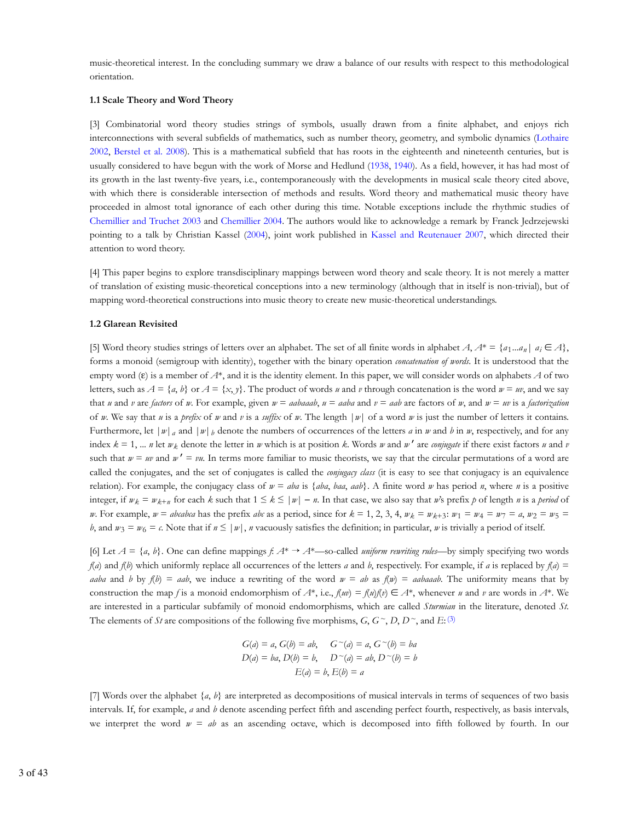music-theoretical interest. In the concluding summary we draw a balance of our results with respect to this methodological orientation.

#### **1.1 Scale Theory and Word Theory**

[3] Combinatorial word theory studies strings of symbols, usually drawn from a finite alphabet, and enjoys rich interconnections with several subfields of mathematics, such as number theory, geometry, and symbolic dynamics (Lothaire 2002, Berstel et al. 2008). This is a mathematical subfield that has roots in the eighteenth and nineteenth centuries, but is usually considered to have begun with the work of Morse and Hedlund (1938, 1940). As a field, however, it has had most of its growth in the last twenty-five years, i.e., contemporaneously with the developments in musical scale theory cited above, with which there is considerable intersection of methods and results. Word theory and mathematical music theory have proceeded in almost total ignorance of each other during this time. Notable exceptions include the rhythmic studies of Chemillier and Truchet 2003 and Chemillier 2004. The authors would like to acknowledge a remark by Franck Jedrzejewski pointing to a talk by Christian Kassel (2004), joint work published in Kassel and Reutenauer 2007, which directed their attention to word theory.

[4] This paper begins to explore transdisciplinary mappings between word theory and scale theory. It is not merely a matter of translation of existing music-theoretical conceptions into a new terminology (although that in itself is non-trivial), but of mapping word-theoretical constructions into music theory to create new music-theoretical understandings.

# **1.2 Glarean Revisited**

[5] Word theory studies strings of letters over an alphabet. The set of all finite words in alphabet *A*,  $A^* = \{a_1...a_n | a_i \in A\}$ , forms a monoid (semigroup with identity), together with the binary operation *concatenation of words*. It is understood that the empty word (ε) is a member of *A*\*, and it is the identity element. In this paper, we will consider words on alphabets *A* of two letters, such as  $A = \{a, b\}$  or  $A = \{x, y\}$ . The product of words *u* and *v* through concatenation is the word  $w = uv$ , and we say that u and v are factors of w. For example, given  $w =$  aabaaab,  $u =$  aaba and  $v =$  aab are factors of w, and  $w = uv$  is a factorization of *w*. We say that *u* is a *prefix* of *w* and *v* is a *suffix* of *w*. The length  $|w|$  of a word *w* is just the number of letters it contains. Furthermore, let  $|w|_a$  and  $|w|_b$  denote the numbers of occurrences of the letters *a* in *w* and *b* in *w*, respectively, and for any index  $k = 1, \dots, n$  let  $w_k$  denote the letter in  $w$  which is at position  $k$ . Words  $w$  and  $w'$  are *conjugate* if there exist factors  $u$  and  $v$ such that  $w = w \text{ and } w' = v \text{.}$  In terms more familiar to music theorists, we say that the circular permutations of a word are called the conjugates, and the set of conjugates is called the *conjugacy class* (it is easy to see that conjugacy is an equivalence relation). For example, the conjugacy class of  $w = aba$  is  ${aba$ ,  $ba$ ,  $aab$ . A finite word w has period n, where n is a positive integer, if  $w_k = w_{k+n}$  for each *k* such that  $1 \leq k \leq |w| - n$ . In that case, we also say that *w*'s prefix *p* of length *n* is a *period* of *w*. For example, *w* = *abcabca* has the prefix *abc* as a period, since for  $k = 1, 2, 3, 4$ ,  $w_k = w_{k+3}$ :  $w_1 = w_4 = w_7 = a$ ,  $w_2 = w_5 = a$ *b*, and  $w_3 = w_6 = c$ . Note that if  $n \le |w|$ , *n* vacuously satisfies the definition; in particular, *w* is trivially a period of itself.

[6] Let  $A = \{a, b\}$ . One can define mappings  $f: A^* \to A^*$ —so-called *uniform rewriting rules*—by simply specifying two words *f*(*a*) and *f*(*b*) which uniformly replace all occurrences of the letters *a* and *b*, respectively. For example, if *a* is replaced by *f*(*a*) = *aaba* and *b* by  $f(b) = aab$ , we induce a rewriting of the word  $w = ab$  as  $f(w) = aabaaab$ . The uniformity means that by construction the map *f* is a monoid endomorphism of  $A^*$ , i.e.,  $f(uv) = f(u)f(v) \in A^*$ , whenever *u* and *v* are words in  $A^*$ . We are interested in a particular subfamily of monoid endomorphisms, which are called *Sturmian* in the literature, denoted *St*. The elements of *St* are compositions of the following five morphisms,  $G, G \tilde{\ }$ ,  $D, D \tilde{\ }$ , and  $E: (3)$ 

$$
G(a) = a, G(b) = ab, \quad G \sim(a) = a, G \sim(b) = ba
$$
  

$$
D(a) = ba, D(b) = b, \quad D \sim(a) = ab, D \sim(b) = b
$$
  

$$
E(a) = b, E(b) = a
$$

[7] Words over the alphabet {*a*, *b*} are interpreted as decompositions of musical intervals in terms of sequences of two basis intervals. If, for example, *a* and *b* denote ascending perfect fifth and ascending perfect fourth, respectively, as basis intervals, we interpret the word  $w = ab$  as an ascending octave, which is decomposed into fifth followed by fourth. In our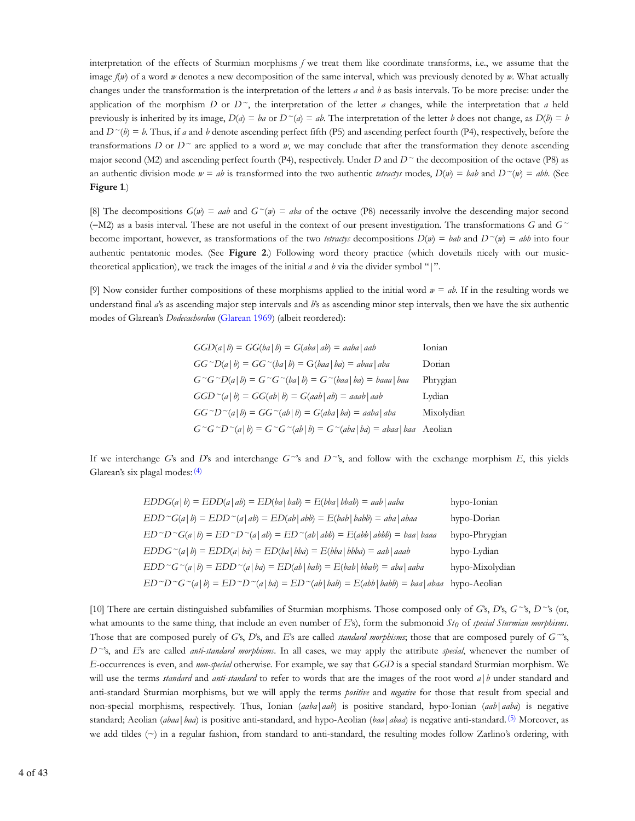interpretation of the effects of Sturmian morphisms *f* we treat them like coordinate transforms, i.e., we assume that the image *f*(*w*) of a word *w* denotes a new decomposition of the same interval, which was previously denoted by *w*. What actually changes under the transformation is the interpretation of the letters *a* and *b* as basis intervals. To be more precise: under the application of the morphism *D* or  $D^{\sim}$ , the interpretation of the letter *a* changes, while the interpretation that *a* held previously is inherited by its image,  $D(a) = ba$  or  $D^{\sim}(a) = ab$ . The interpretation of the letter *b* does not change, as  $D(b) = b$ and  $D^{\sim}(b) = b$ . Thus, if *a* and *b* denote ascending perfect fifth (P5) and ascending perfect fourth (P4), respectively, before the transformations *D* or  $D^{\sim}$  are applied to a word *w*, we may conclude that after the transformation they denote ascending major second (M2) and ascending perfect fourth (P4), respectively. Under *D* and  $D^{\sim}$  the decomposition of the octave (P8) as an authentic division mode  $w = ab$  is transformed into the two authentic *tetractys* modes,  $D(w) = bab$  and  $D^{\sim}(w) = abb$ . (See **Figure 1**.)

[8] The decompositions  $G(w) = aab$  and  $G^{\sim}(w) = aba$  of the octave (P8) necessarily involve the descending major second (−M2) as a basis interval. These are not useful in the context of our present investigation. The transformations *G* and *G~* become important, however, as transformations of the two *tetractys* decompositions  $D(w) = bab$  and  $D^{\sim}(w) = abb$  into four authentic pentatonic modes. (See **Figure 2**.) Following word theory practice (which dovetails nicely with our musictheoretical application), we track the images of the initial *a* and *b* via the divider symbol "|".

[9] Now consider further compositions of these morphisms applied to the initial word  $w = ab$ . If in the resulting words we understand final *a*'s as ascending major step intervals and *b*'s as ascending minor step intervals, then we have the six authentic modes of Glarean's *Dodecachordon* (Glarean 1969) (albeit reordered):

| $GGD(a b) = GG(ba b) = G(aba ab) = aaba aab$                                                   | Ionian     |
|------------------------------------------------------------------------------------------------|------------|
| $GG \cap D(a   b) = GG \cap (ba   b) = G(baa   ba) = abaa   aba$                               | Dorian     |
| $G^{\sim}G^{\sim}D(a b) = G^{\sim}G^{\sim}(ba b) = G^{\sim}(baa ba) = baaa baa$                | Phrygian   |
| $GGD^{\sim}(a b) = GG(ab b) = G(aab ab) = aaab aab$                                            | Lydian     |
| $GG \cap D \cap (a \mid b) = GG \cap (ab \mid b) = G(aba \mid ba) = aaba \mid aba$             | Mixolydian |
| $G^{\sim}G^{\sim}D^{\sim}(a b) = G^{\sim}G^{\sim}(ab b) = G^{\sim}(aba ba) = abaa baa$ Aeolian |            |

If we interchange *G*'s and *D*'s and interchange *G~*'s and *D~*'s, and follow with the exchange morphism *E*, this yields Glarean's six plagal modes: (4)

| $EDDG(a b) = EDD(a ab) = ED(ba bab) = E(bba bbab) = aab aaba$                                                                         | hypo-Ionian     |
|---------------------------------------------------------------------------------------------------------------------------------------|-----------------|
| $EDD^{\sim}G(a b) = EDD^{\sim}(a ab) = ED(ab abb) = E(bab babb) = aba abaa$                                                           | hypo-Dorian     |
| $ED \cap C(a   b) = ED \cap D \cap (a   ab) = ED \cap (ab   abb) = E(abb   abb) = baa   baaa$                                         | hypo-Phrygian   |
| $EDDG^{\sim}(a b) = EDD(a ba) = ED(ba bba) = E(bba bbba) = aab aaab$                                                                  | hypo-Lydian     |
| $EDD^{\sim}G^{\sim}(a b) = EDD^{\sim}(a ba) = ED(ab bab) = E(bab bbab) = aba aaba$                                                    | hypo-Mixolydian |
| $ED \cap C \cap C^{\sim}(a   b) = ED \cap D^{\sim}(a   ba) = ED \cap (ab   bab) = E(abb   babb) = baa   abaa \text{ hypo-} A e a baa$ |                 |

[10] There are certain distinguished subfamilies of Sturmian morphisms. Those composed only of *G*'s, *D*'s, *G~*'s, *D~*'s (or, what amounts to the same thing, that include an even number of *E*'s), form the submonoid *St*<sup>0</sup> of *special Sturmian morphisms*. Those that are composed purely of *G*'s, *D*'s, and *E*'s are called *standard morphisms*; those that are composed purely of *G~*'s, *D~*'s, and *E*'s are called *anti-standard morphisms*. In all cases, we may apply the attribute *special*, whenever the number of *E*-occurrences is even, and *non-special* otherwise. For example, we say that *GGD* is a special standard Sturmian morphism. We will use the terms *standard* and *anti-standard* to refer to words that are the images of the root word *a*|*b* under standard and anti-standard Sturmian morphisms, but we will apply the terms *positive* and *negative* for those that result from special and non-special morphisms, respectively. Thus, Ionian (*aaba*|*aab*) is positive standard, hypo-Ionian (*aab*|*aaba*) is negative standard; Aeolian (*abaa*|*baa*) is positive anti-standard, and hypo-Aeolian (*baa*|*abaa*) is negative anti-standard. (5) Moreover, as we add tildes (~) in a regular fashion, from standard to anti-standard, the resulting modes follow Zarlino's ordering, with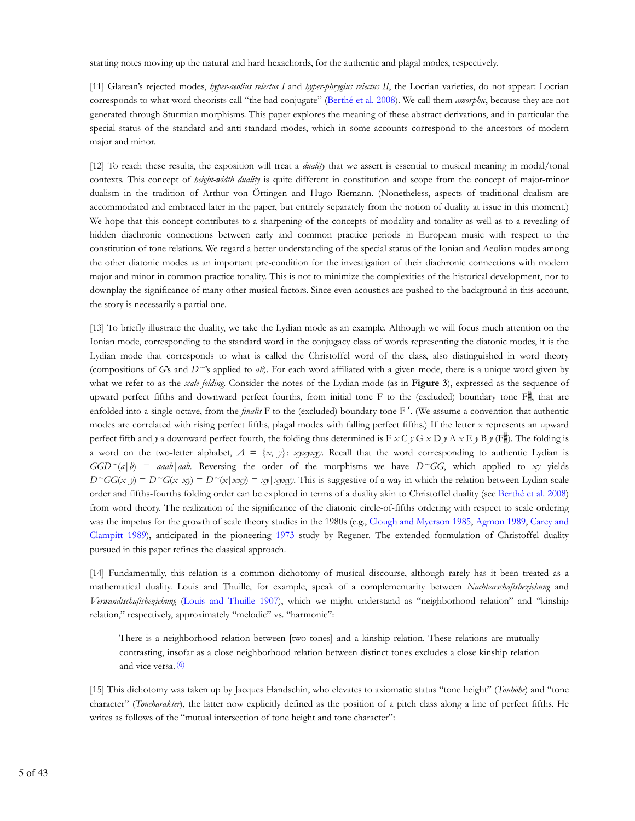starting notes moving up the natural and hard hexachords, for the authentic and plagal modes, respectively.

[11] Glarean's rejected modes, *hyper-aeolius reiectus I* and *hyper-phrygius reiectus II*, the Locrian varieties, do not appear: Locrian corresponds to what word theorists call "the bad conjugate" (Berthé et al. 2008). We call them *amorphic*, because they are not generated through Sturmian morphisms. This paper explores the meaning of these abstract derivations, and in particular the special status of the standard and anti-standard modes, which in some accounts correspond to the ancestors of modern major and minor.

[12] To reach these results, the exposition will treat a *duality* that we assert is essential to musical meaning in modal/tonal contexts. This concept of *height-width duality* is quite different in constitution and scope from the concept of major-minor dualism in the tradition of Arthur von Öttingen and Hugo Riemann. (Nonetheless, aspects of traditional dualism are accommodated and embraced later in the paper, but entirely separately from the notion of duality at issue in this moment.) We hope that this concept contributes to a sharpening of the concepts of modality and tonality as well as to a revealing of hidden diachronic connections between early and common practice periods in European music with respect to the constitution of tone relations. We regard a better understanding of the special status of the Ionian and Aeolian modes among the other diatonic modes as an important pre-condition for the investigation of their diachronic connections with modern major and minor in common practice tonality. This is not to minimize the complexities of the historical development, nor to downplay the significance of many other musical factors. Since even acoustics are pushed to the background in this account, the story is necessarily a partial one.

[13] To briefly illustrate the duality, we take the Lydian mode as an example. Although we will focus much attention on the Ionian mode, corresponding to the standard word in the conjugacy class of words representing the diatonic modes, it is the Lydian mode that corresponds to what is called the Christoffel word of the class, also distinguished in word theory (compositions of *G*'s and *D~*'s applied to *ab*). For each word affiliated with a given mode, there is a unique word given by what we refer to as the *scale folding*. Consider the notes of the Lydian mode (as in **Figure 3**), expressed as the sequence of upward perfect fifths and downward perfect fourths, from initial tone F to the (excluded) boundary tone  $\overline{F}$ , that are enfolded into a single octave, from the *finalis* F to the (excluded) boundary tone F ′. (We assume a convention that authentic modes are correlated with rising perfect fifths, plagal modes with falling perfect fifths.) If the letter *x* represents an upward perfect fifth and *y* a downward perfect fourth, the folding thus determined is  $F \times C y G \times D y A \times E y B y (F \nightharpoonup)$ . The folding is a word on the two-letter alphabet,  $A = \{x, y\}$ : *xyxyxyy*. Recall that the word corresponding to authentic Lydian is  $GGD^{\sim}(a|b) = aaab|aab$ . Reversing the order of the morphisms we have  $D^{\sim}GG$ , which applied to *xy* yields  $D^{\sim}GG(x|y) = D^{\sim}G(x|xy) = D^{\sim}(x|xxy) = xy|xyxyy$ . This is suggestive of a way in which the relation between Lydian scale order and fifths-fourths folding order can be explored in terms of a duality akin to Christoffel duality (see Berthé et al. 2008) from word theory. The realization of the significance of the diatonic circle-of-fifths ordering with respect to scale ordering was the impetus for the growth of scale theory studies in the 1980s (e.g., Clough and Myerson 1985, Agmon 1989, Carey and Clampitt 1989), anticipated in the pioneering 1973 study by Regener. The extended formulation of Christoffel duality pursued in this paper refines the classical approach.

[14] Fundamentally, this relation is a common dichotomy of musical discourse, although rarely has it been treated as a mathematical duality. Louis and Thuille, for example, speak of a complementarity between *Nachbarschaftsbeziehung* and *Verwandtschaftsbeziehung* (Louis and Thuille 1907), which we might understand as "neighborhood relation" and "kinship relation," respectively, approximately "melodic" vs. "harmonic":

There is a neighborhood relation between [two tones] and a kinship relation. These relations are mutually contrasting, insofar as a close neighborhood relation between distinct tones excludes a close kinship relation and vice versa. (6)

[15] This dichotomy was taken up by Jacques Handschin, who elevates to axiomatic status "tone height" (*Tonhöhe*) and "tone character" (*Toncharakter*), the latter now explicitly defined as the position of a pitch class along a line of perfect fifths. He writes as follows of the "mutual intersection of tone height and tone character":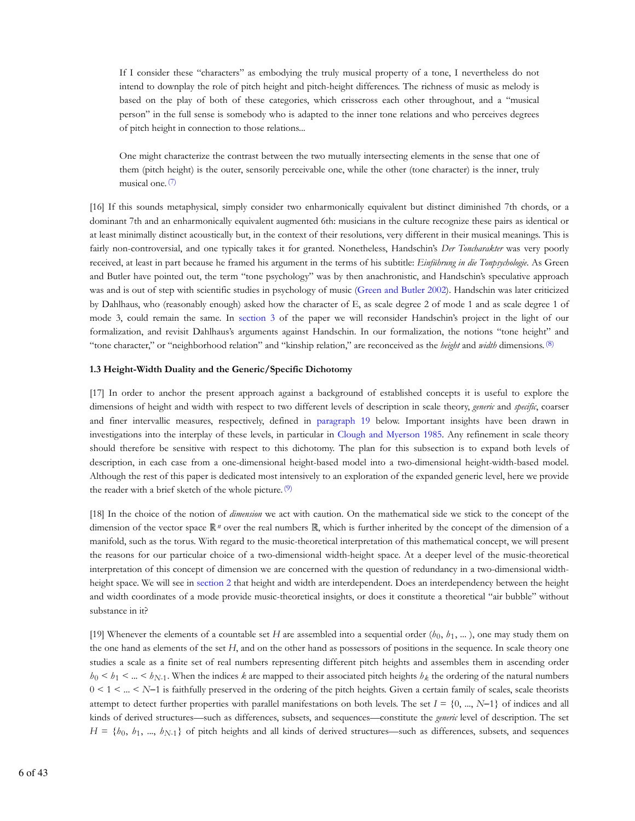If I consider these "characters" as embodying the truly musical property of a tone, I nevertheless do not intend to downplay the role of pitch height and pitch-height differences. The richness of music as melody is based on the play of both of these categories, which crisscross each other throughout, and a "musical person" in the full sense is somebody who is adapted to the inner tone relations and who perceives degrees of pitch height in connection to those relations...

One might characterize the contrast between the two mutually intersecting elements in the sense that one of them (pitch height) is the outer, sensorily perceivable one, while the other (tone character) is the inner, truly musical one. (7)

[16] If this sounds metaphysical, simply consider two enharmonically equivalent but distinct diminished 7th chords, or a dominant 7th and an enharmonically equivalent augmented 6th: musicians in the culture recognize these pairs as identical or at least minimally distinct acoustically but, in the context of their resolutions, very different in their musical meanings. This is fairly non-controversial, and one typically takes it for granted. Nonetheless, Handschin's *Der Toncharakter* was very poorly received, at least in part because he framed his argument in the terms of his subtitle: *Einführung in die Tonpsychologie*. As Green and Butler have pointed out, the term "tone psychology" was by then anachronistic, and Handschin's speculative approach was and is out of step with scientific studies in psychology of music (Green and Butler 2002). Handschin was later criticized by Dahlhaus, who (reasonably enough) asked how the character of E, as scale degree 2 of mode 1 and as scale degree 1 of mode 3, could remain the same. In section 3 of the paper we will reconsider Handschin's project in the light of our formalization, and revisit Dahlhaus's arguments against Handschin. In our formalization, the notions "tone height" and "tone character," or "neighborhood relation" and "kinship relation," are reconceived as the *height* and *width* dimensions. (8)

# **1.3 Height-Width Duality and the Generic/Specific Dichotomy**

[17] In order to anchor the present approach against a background of established concepts it is useful to explore the dimensions of height and width with respect to two different levels of description in scale theory, *generic* and *specific*, coarser and finer intervallic measures, respectively, defined in paragraph 19 below. Important insights have been drawn in investigations into the interplay of these levels, in particular in Clough and Myerson 1985. Any refinement in scale theory should therefore be sensitive with respect to this dichotomy. The plan for this subsection is to expand both levels of description, in each case from a one-dimensional height-based model into a two-dimensional height-width-based model. Although the rest of this paper is dedicated most intensively to an exploration of the expanded generic level, here we provide the reader with a brief sketch of the whole picture. (9)

[18] In the choice of the notion of *dimension* we act with caution. On the mathematical side we stick to the concept of the dimension of the vector space  $\mathbb{R}^n$  over the real numbers  $\mathbb{R}$ , which is further inherited by the concept of the dimension of a manifold, such as the torus. With regard to the music-theoretical interpretation of this mathematical concept, we will present the reasons for our particular choice of a two-dimensional width-height space. At a deeper level of the music-theoretical interpretation of this concept of dimension we are concerned with the question of redundancy in a two-dimensional widthheight space. We will see in section 2 that height and width are interdependent. Does an interdependency between the height and width coordinates of a mode provide music-theoretical insights, or does it constitute a theoretical "air bubble" without substance in it?

[19] Whenever the elements of a countable set *H* are assembled into a sequential order  $(b_0, b_1, \dots)$ , one may study them on the one hand as elements of the set *H*, and on the other hand as possessors of positions in the sequence. In scale theory one studies a scale as a finite set of real numbers representing different pitch heights and assembles them in ascending order  $h_0 < h_1 < ... < h_{N-1}$ . When the indices k are mapped to their associated pitch heights  $h_k$  the ordering of the natural numbers 0 < 1 < ... < *N*−1 is faithfully preserved in the ordering of the pitch heights. Given a certain family of scales, scale theorists attempt to detect further properties with parallel manifestations on both levels. The set  $I = \{0, ..., N-1\}$  of indices and all kinds of derived structures—such as differences, subsets, and sequences—constitute the *generic* level of description. The set  $H = \{b_0, b_1, ..., b_{N-1}\}\$  of pitch heights and all kinds of derived structures—such as differences, subsets, and sequences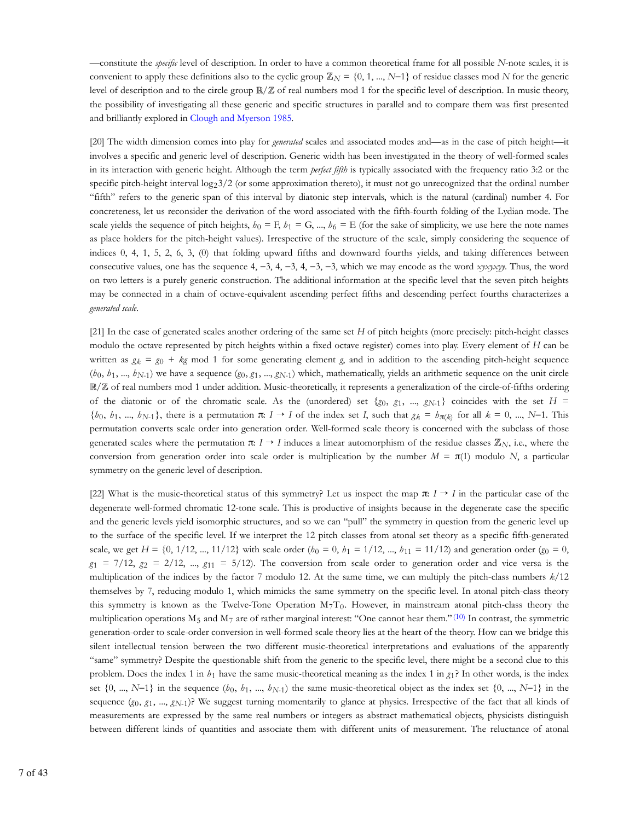—constitute the *specific* level of description. In order to have a common theoretical frame for all possible *N*-note scales, it is convenient to apply these definitions also to the cyclic group  $\mathbb{Z}_N = \{0, 1, ..., N-1\}$  of residue classes mod *N* for the generic level of description and to the circle group  $\mathbb{R}/\mathbb{Z}$  of real numbers mod 1 for the specific level of description. In music theory, the possibility of investigating all these generic and specific structures in parallel and to compare them was first presented and brilliantly explored in Clough and Myerson 1985.

[20] The width dimension comes into play for *generated* scales and associated modes and—as in the case of pitch height—it involves a specific and generic level of description. Generic width has been investigated in the theory of well-formed scales in its interaction with generic height. Although the term *perfect fifth* is typically associated with the frequency ratio 3:2 or the specific pitch-height interval  $\log_2 3/2$  (or some approximation thereto), it must not go unrecognized that the ordinal number "fifth" refers to the generic span of this interval by diatonic step intervals, which is the natural (cardinal) number 4. For concreteness, let us reconsider the derivation of the word associated with the fifth-fourth folding of the Lydian mode. The scale yields the sequence of pitch heights,  $h_0 = F$ ,  $h_1 = G$ , ...,  $h_6 = E$  (for the sake of simplicity, we use here the note names as place holders for the pitch-height values). Irrespective of the structure of the scale, simply considering the sequence of indices 0, 4, 1, 5, 2, 6, 3, (0) that folding upward fifths and downward fourths yields, and taking differences between consecutive values, one has the sequence 4, −3, 4, −3, 4, −3, −3, which we may encode as the word *xyxyxyy*. Thus, the word on two letters is a purely generic construction. The additional information at the specific level that the seven pitch heights may be connected in a chain of octave-equivalent ascending perfect fifths and descending perfect fourths characterizes a *generated scale*.

[21] In the case of generated scales another ordering of the same set *H* of pitch heights (more precisely: pitch-height classes modulo the octave represented by pitch heights within a fixed octave register) comes into play. Every element of *H* can be written as  $g_k = g_0 + kg$  mod 1 for some generating element g, and in addition to the ascending pitch-height sequence  $(b_0, b_1, ..., b_{N-1})$  we have a sequence  $(g_0, g_1, ..., g_{N-1})$  which, mathematically, yields an arithmetic sequence on the unit circle  $\mathbb{R}/\mathbb{Z}$  of real numbers mod 1 under addition. Music-theoretically, it represents a generalization of the circle-of-fifths ordering of the diatonic or of the chromatic scale. As the (unordered) set  $\{g_0, g_1, ..., g_{N-1}\}$  coincides with the set  $H =$  $\{b_0, b_1, ..., b_{N-1}\}$ , there is a permutation  $\pi: I \to I$  of the index set *I*, such that  $g_k = b_{\pi(k)}$  for all  $k = 0, ..., N-1$ . This permutation converts scale order into generation order. Well-formed scale theory is concerned with the subclass of those generated scales where the permutation  $\pi: I \to I$  induces a linear automorphism of the residue classes  $\mathbb{Z}_N$ , i.e., where the conversion from generation order into scale order is multiplication by the number  $M = \pi(1)$  modulo *N*, a particular symmetry on the generic level of description.

[22] What is the music-theoretical status of this symmetry? Let us inspect the map  $\pi: I \rightarrow I$  in the particular case of the degenerate well-formed chromatic 12-tone scale. This is productive of insights because in the degenerate case the specific and the generic levels yield isomorphic structures, and so we can "pull" the symmetry in question from the generic level up to the surface of the specific level. If we interpret the 12 pitch classes from atonal set theory as a specific fifth-generated scale, we get  $H = \{0, 1/12, ..., 11/12\}$  with scale order  $(h_0 = 0, h_1 = 1/12, ..., h_{11} = 11/12)$  and generation order  $(g_0 = 0, h_1 = 1/12, ..., h_{11} = 11/12)$  $g_1 = 7/12$ ,  $g_2 = 2/12$ , ...,  $g_{11} = 5/12$ ). The conversion from scale order to generation order and vice versa is the multiplication of the indices by the factor 7 modulo 12. At the same time, we can multiply the pitch-class numbers *k*/12 themselves by 7, reducing modulo 1, which mimicks the same symmetry on the specific level. In atonal pitch-class theory this symmetry is known as the Twelve-Tone Operation  $M_7T_0$ . However, in mainstream atonal pitch-class theory the multiplication operations  $M_5$  and  $M_7$  are of rather marginal interest: "One cannot hear them." (10) In contrast, the symmetric generation-order to scale-order conversion in well-formed scale theory lies at the heart of the theory. How can we bridge this silent intellectual tension between the two different music-theoretical interpretations and evaluations of the apparently "same" symmetry? Despite the questionable shift from the generic to the specific level, there might be a second clue to this problem. Does the index 1 in  $h_1$  have the same music-theoretical meaning as the index 1 in  $g_1$ ? In other words, is the index set  $\{0, ..., N-1\}$  in the sequence  $(b_0, b_1, ..., b_{N-1})$  the same music-theoretical object as the index set  $\{0, ..., N-1\}$  in the sequence  $(g_0, g_1, ..., g_{N-1})$ ? We suggest turning momentarily to glance at physics. Irrespective of the fact that all kinds of measurements are expressed by the same real numbers or integers as abstract mathematical objects, physicists distinguish between different kinds of quantities and associate them with different units of measurement. The reluctance of atonal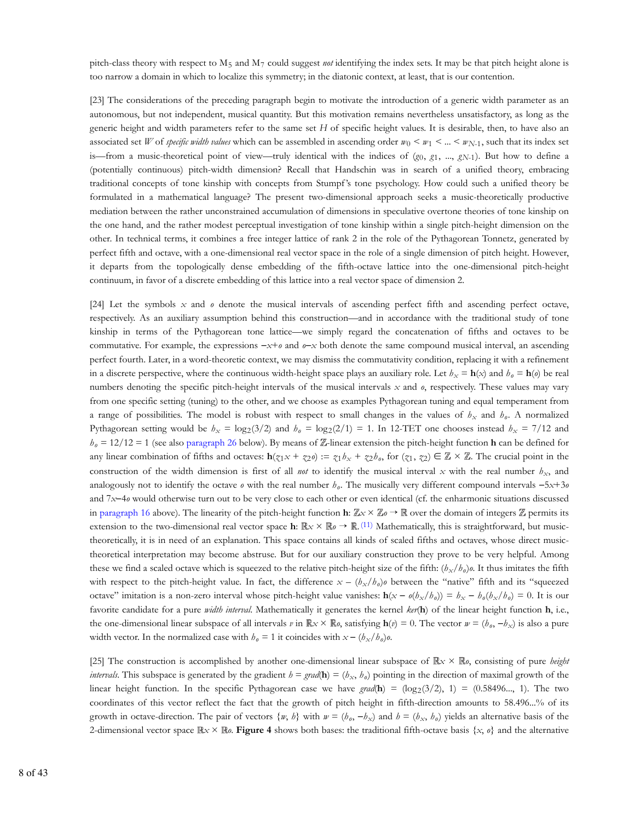pitch-class theory with respect to M<sub>5</sub> and M<sub>7</sub> could suggest not identifying the index sets. It may be that pitch height alone is too narrow a domain in which to localize this symmetry; in the diatonic context, at least, that is our contention.

[23] The considerations of the preceding paragraph begin to motivate the introduction of a generic width parameter as an autonomous, but not independent, musical quantity. But this motivation remains nevertheless unsatisfactory, as long as the generic height and width parameters refer to the same set *H* of specific height values. It is desirable, then, to have also an associated set *W* of *specific width values* which can be assembled in ascending order  $w_0 < w_1 < ... < w_{N-1}$ , such that its index set is—from a music-theoretical point of view—truly identical with the indices of  $(g_0, g_1, ..., g_{N-1})$ . But how to define a (potentially continuous) pitch-width dimension? Recall that Handschin was in search of a unified theory, embracing traditional concepts of tone kinship with concepts from Stumpf 's tone psychology. How could such a unified theory be formulated in a mathematical language? The present two-dimensional approach seeks a music-theoretically productive mediation between the rather unconstrained accumulation of dimensions in speculative overtone theories of tone kinship on the one hand, and the rather modest perceptual investigation of tone kinship within a single pitch-height dimension on the other. In technical terms, it combines a free integer lattice of rank 2 in the role of the Pythagorean Tonnetz, generated by perfect fifth and octave, with a one-dimensional real vector space in the role of a single dimension of pitch height. However, it departs from the topologically dense embedding of the fifth-octave lattice into the one-dimensional pitch-height continuum, in favor of a discrete embedding of this lattice into a real vector space of dimension 2.

[24] Let the symbols *x* and *o* denote the musical intervals of ascending perfect fifth and ascending perfect octave, respectively. As an auxiliary assumption behind this construction—and in accordance with the traditional study of tone kinship in terms of the Pythagorean tone lattice—we simply regard the concatenation of fifths and octaves to be commutative. For example, the expressions −*x*+*o* and *o*−*x* both denote the same compound musical interval, an ascending perfect fourth. Later, in a word-theoretic context, we may dismiss the commutativity condition, replacing it with a refinement in a discrete perspective, where the continuous width-height space plays an auxiliary role. Let  $h_x = \mathbf{h}(x)$  and  $h_\theta = \mathbf{h}(\theta)$  be real numbers denoting the specific pitch-height intervals of the musical intervals x and  $\theta$ , respectively. These values may vary from one specific setting (tuning) to the other, and we choose as examples Pythagorean tuning and equal temperament from a range of possibilities. The model is robust with respect to small changes in the values of  $h_x$  and  $h_\theta$ . A normalized Pythagorean setting would be  $h_x = \log_2(3/2)$  and  $h_\theta = \log_2(2/1) = 1$ . In 12-TET one chooses instead  $h_x = 7/12$  and  $h_0 = 12/12 = 1$  (see also paragraph 26 below). By means of  $\mathbb{Z}$ -linear extension the pitch-height function **h** can be defined for any linear combination of fifths and octaves:  $\mathbf{h}(z_1x + z_2\theta) := z_1b_x + z_2b_\theta$ , for  $(z_1, z_2) \in \mathbb{Z} \times \mathbb{Z}$ . The crucial point in the construction of the width dimension is first of all *not* to identify the musical interval x with the real number  $h_x$ , and analogously not to identify the octave *o* with the real number  $h_o$ . The musically very different compound intervals −5*x*+3*o* and 7*x*−4*o* would otherwise turn out to be very close to each other or even identical (cf. the enharmonic situations discussed in paragraph 16 above). The linearity of the pitch-height function **h**:  $\mathbb{Z}_x \times \mathbb{Z}_0 \to \mathbb{R}$  over the domain of integers  $\mathbb{Z}$  permits its extension to the two-dimensional real vector space **h**:  $\mathbb{R} \times \mathbb{R}$   $\phi \to \mathbb{R}$ . (11) Mathematically, this is straightforward, but musictheoretically, it is in need of an explanation. This space contains all kinds of scaled fifths and octaves, whose direct musictheoretical interpretation may become abstruse. But for our auxiliary construction they prove to be very helpful. Among these we find a scaled octave which is squeezed to the relative pitch-height size of the fifth:  $(b_x/b_0)a$ . It thus imitates the fifth with respect to the pitch-height value. In fact, the difference  $x - (b_x/b_o)\rho$  between the "native" fifth and its "squeezed octave" imitation is a non-zero interval whose pitch-height value vanishes:  $h(x - o(b_x/b_o)) = b_x - b_o(b_x/b_o) = 0$ . It is our favorite candidate for a pure *width interval*. Mathematically it generates the kernel *ker*(**h**) of the linear height function **h**, i.e., the one-dimensional linear subspace of all intervals *v* in  $\mathbb{R} \times \times \mathbb{R}$ *o*, satisfying  $h(v) = 0$ . The vector  $w = (b_o, -b_x)$  is also a pure width vector. In the normalized case with  $h_{\theta} = 1$  it coincides with  $x - (h_{x}/h_{\theta})\theta$ .

[25] The construction is accomplished by another one-dimensional linear subspace of  $\mathbb{R} \times \mathbb{R}$ , consisting of pure *height intervals*. This subspace is generated by the gradient  $h = \text{grad}(\mathbf{h}) = (h_x, h_y)$  pointing in the direction of maximal growth of the linear height function. In the specific Pythagorean case we have  $grad(\mathbf{h}) = (\log_2(3/2), 1) = (0.58496..., 1)$ . The two coordinates of this vector reflect the fact that the growth of pitch height in fifth-direction amounts to 58.496...% of its growth in octave-direction. The pair of vectors  $\{w, b\}$  with  $w = (h_o, -h_x)$  and  $b = (h_x, h_o)$  yields an alternative basis of the 2-dimensional vector space  $\mathbb{R} \times \mathbb{R}$  *o*. **Figure 4** shows both bases: the traditional fifth-octave basis  $\{x, o\}$  and the alternative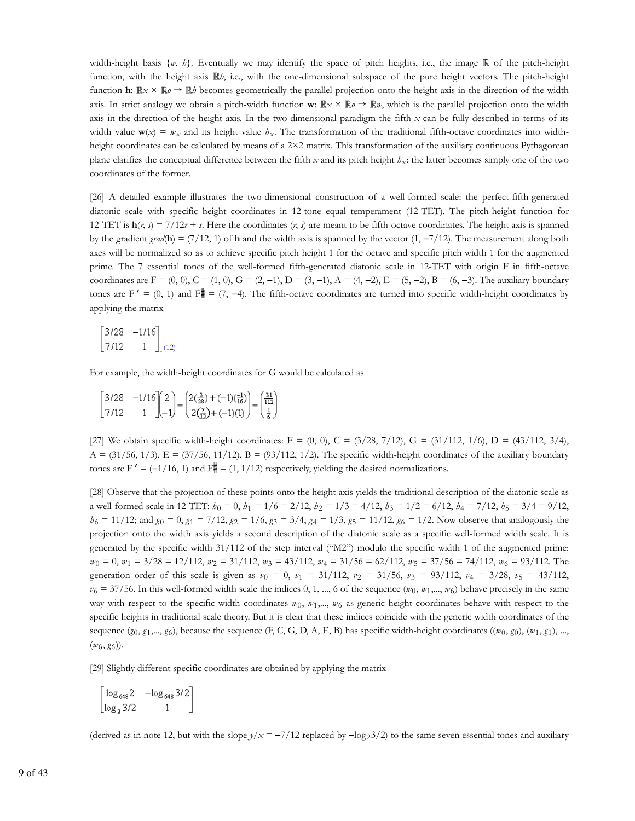width-height basis  $\{w, b\}$ . Eventually we may identify the space of pitch heights, i.e., the image  $\mathbb R$  of the pitch-height function, with the height axis  $\mathbb{R}_\ell$ , i.e., with the one-dimensional subspace of the pure height vectors. The pitch-height function **h**:  $\mathbb{R} \times \mathbb{R} \to \mathbb{R}$  becomes geometrically the parallel projection onto the height axis in the direction of the width axis. In strict analogy we obtain a pitch-width function **w**:  $\mathbb{R} \times \mathbb{R} \times \mathbb{R} \to \mathbb{R} \nu$ , which is the parallel projection onto the width axis in the direction of the height axis. In the two-dimensional paradigm the fifth *x* can be fully described in terms of its width value  $\mathbf{w}(x) = w_x$  and its height value  $h_x$ . The transformation of the traditional fifth-octave coordinates into widthheight coordinates can be calculated by means of a 2×2 matrix. This transformation of the auxiliary continuous Pythagorean plane clarifies the conceptual difference between the fifth  $x$  and its pitch height  $h_x$ : the latter becomes simply one of the two coordinates of the former.

[26] A detailed example illustrates the two-dimensional construction of a well-formed scale: the perfect-fifth-generated diatonic scale with specific height coordinates in 12-tone equal temperament (12-TET). The pitch-height function for 12-TET is  $h(r, s) = \frac{7}{12r + s}$ . Here the coordinates (*r*, *s*) are meant to be fifth-octave coordinates. The height axis is spanned by the gradient *grad*(**h**) = (7/12, 1) of **h** and the width axis is spanned by the vector (1,  $-\frac{7}{12}$ ). The measurement along both axes will be normalized so as to achieve specific pitch height 1 for the octave and specific pitch width 1 for the augmented prime. The 7 essential tones of the well-formed fifth-generated diatonic scale in 12-TET with origin F in fifth-octave coordinates are F =  $(0, 0)$ , C =  $(1, 0)$ , G =  $(2, -1)$ , D =  $(3, -1)$ , A =  $(4, -2)$ , E =  $(5, -2)$ , B =  $(6, -3)$ . The auxiliary boundary tones are F' = (0, 1) and F# = (7, -4). The fifth-octave coordinates are turned into specific width-height coordinates by applying the matrix

$$
\begin{bmatrix} 3/28 & -1/16 \\ 7/12 & 1 \end{bmatrix} (12)
$$

For example, the width-height coordinates for G would be calculated as

$$
\begin{bmatrix} 3/28 & -1/16 \\ 7/12 & 1 \end{bmatrix} \begin{bmatrix} 2 \\ -1 \end{bmatrix} = \begin{pmatrix} 2(\frac{3}{28}) + (-1)(\frac{-1}{16}) \\ 2(\frac{7}{12}) + (-1)(1) \end{pmatrix} = \begin{pmatrix} \frac{31}{112} \\ \frac{1}{6} \end{pmatrix}
$$

[27] We obtain specific width-height coordinates:  $F = (0, 0)$ ,  $C = (3/28, 7/12)$ ,  $G = (31/112, 1/6)$ ,  $D = (43/112, 3/4)$ ,  $A = (31/56, 1/3), E = (37/56, 11/12), B = (93/112, 1/2).$  The specific width-height coordinates of the auxiliary boundary tones are F' =  $(-1/16, 1)$  and F $\parallel$  =  $(1, 1/12)$  respectively, yielding the desired normalizations.

[28] Observe that the projection of these points onto the height axis yields the traditional description of the diatonic scale as a well-formed scale in 12-TET:  $h_0 = 0$ ,  $h_1 = 1/6 = 2/12$ ,  $h_2 = 1/3 = 4/12$ ,  $h_3 = 1/2 = 6/12$ ,  $h_4 = 7/12$ ,  $h_5 = 3/4 = 9/12$ ,  $h_6 = 11/12$ ; and  $g_0 = 0$ ,  $g_1 = 7/12$ ,  $g_2 = 1/6$ ,  $g_3 = 3/4$ ,  $g_4 = 1/3$ ,  $g_5 = 11/12$ ,  $g_6 = 1/2$ . Now observe that analogously the projection onto the width axis yields a second description of the diatonic scale as a specific well-formed width scale. It is generated by the specific width 31/112 of the step interval ("M2") modulo the specific width 1 of the augmented prime:  $w_0 = 0$ ,  $w_1 = 3/28 = 12/112$ ,  $w_2 = 31/112$ ,  $w_3 = 43/112$ ,  $w_4 = 31/56 = 62/112$ ,  $w_5 = 37/56 = 74/112$ ,  $w_6 = 93/112$ . The generation order of this scale is given as  $v_0 = 0$ ,  $v_1 = 31/112$ ,  $v_2 = 31/56$ ,  $v_3 = 93/112$ ,  $v_4 = 3/28$ ,  $v_5 = 43/112$ ,  $v_6 = 37/56$ . In this well-formed width scale the indices 0, 1, ..., 6 of the sequence  $(w_0, w_1, ..., w_6)$  behave precisely in the same way with respect to the specific width coordinates  $w_0$ ,  $w_1$ ,...,  $w_6$  as generic height coordinates behave with respect to the specific heights in traditional scale theory. But it is clear that these indices coincide with the generic width coordinates of the sequence  $(g_0, g_1, ..., g_6)$ , because the sequence  $(F, C, G, D, A, E, B)$  has specific width-height coordinates  $((w_0, g_0), (w_1, g_1), ...,$  $(w_6, g_6)$ .

[29] Slightly different specific coordinates are obtained by applying the matrix

```
\begin{bmatrix} \log_{648} 2 & -\log_{648} 3/2 \\ \log_2 3/2 & 1 \end{bmatrix}
```
(derived as in note 12, but with the slope  $y/x = -7/12$  replaced by  $-\log_2 3/2$ ) to the same seven essential tones and auxiliary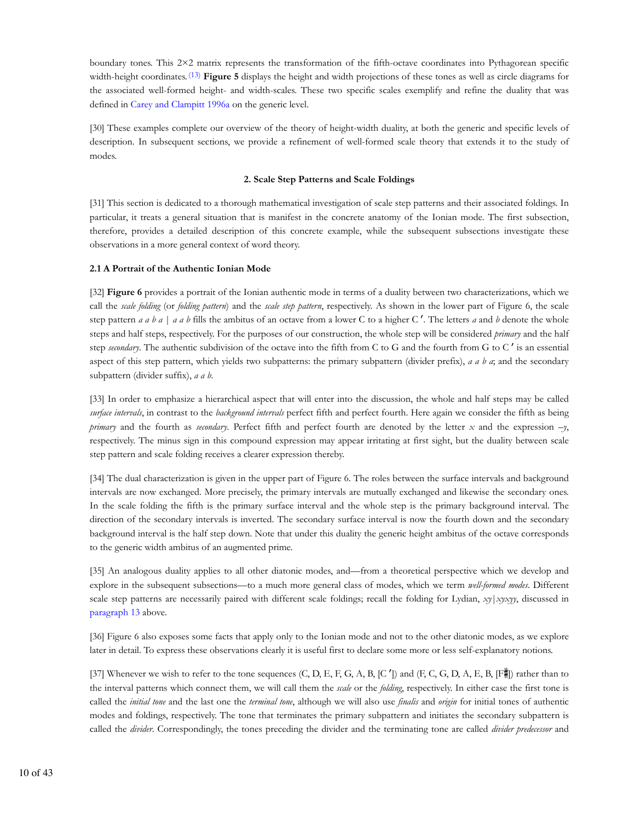boundary tones. This 2×2 matrix represents the transformation of the fifth-octave coordinates into Pythagorean specific width-height coordinates. <sup>(13)</sup> **Figure 5** displays the height and width projections of these tones as well as circle diagrams for the associated well-formed height- and width-scales. These two specific scales exemplify and refine the duality that was defined in Carey and Clampitt 1996a on the generic level.

[30] These examples complete our overview of the theory of height-width duality, at both the generic and specific levels of description. In subsequent sections, we provide a refinement of well-formed scale theory that extends it to the study of modes.

# **2. Scale Step Patterns and Scale Foldings**

[31] This section is dedicated to a thorough mathematical investigation of scale step patterns and their associated foldings. In particular, it treats a general situation that is manifest in the concrete anatomy of the Ionian mode. The first subsection, therefore, provides a detailed description of this concrete example, while the subsequent subsections investigate these observations in a more general context of word theory.

#### **2.1 A Portrait of the Authentic Ionian Mode**

[32] **Figure 6** provides a portrait of the Ionian authentic mode in terms of a duality between two characterizations, which we call the *scale folding* (or *folding pattern*) and the *scale step pattern*, respectively. As shown in the lower part of Figure 6, the scale step pattern *a a b a* | *a a b* fills the ambitus of an octave from a lower C to a higher C ′. The letters *a* and *b* denote the whole steps and half steps, respectively. For the purposes of our construction, the whole step will be considered *primary* and the half step *secondary*. The authentic subdivision of the octave into the fifth from C to G and the fourth from G to C ′ is an essential aspect of this step pattern, which yields two subpatterns: the primary subpattern (divider prefix), *a a b a*; and the secondary subpattern (divider suffix), *a a b*.

[33] In order to emphasize a hierarchical aspect that will enter into the discussion, the whole and half steps may be called *surface intervals*, in contrast to the *background intervals* perfect fifth and perfect fourth. Here again we consider the fifth as being *primary* and the fourth as *secondary*. Perfect fifth and perfect fourth are denoted by the letter *x* and the expression –*y*, respectively. The minus sign in this compound expression may appear irritating at first sight, but the duality between scale step pattern and scale folding receives a clearer expression thereby.

[34] The dual characterization is given in the upper part of Figure 6. The roles between the surface intervals and background intervals are now exchanged. More precisely, the primary intervals are mutually exchanged and likewise the secondary ones. In the scale folding the fifth is the primary surface interval and the whole step is the primary background interval. The direction of the secondary intervals is inverted. The secondary surface interval is now the fourth down and the secondary background interval is the half step down. Note that under this duality the generic height ambitus of the octave corresponds to the generic width ambitus of an augmented prime.

[35] An analogous duality applies to all other diatonic modes, and—from a theoretical perspective which we develop and explore in the subsequent subsections—to a much more general class of modes, which we term *well-formed modes*. Different scale step patterns are necessarily paired with different scale foldings; recall the folding for Lydian, *xy*|*xyxyy*, discussed in paragraph 13 above.

[36] Figure 6 also exposes some facts that apply only to the Ionian mode and not to the other diatonic modes, as we explore later in detail. To express these observations clearly it is useful first to declare some more or less self-explanatory notions.

[37] Whenever we wish to refer to the tone sequences  $(C, D, E, F, G, A, B, [C'])$  and  $(F, C, G, D, A, E, B, [F^*])$  rather than to the interval patterns which connect them, we will call them the *scale* or the *folding*, respectively. In either case the first tone is called the *initial tone* and the last one the *terminal tone*, although we will also use *finalis* and *origin* for initial tones of authentic modes and foldings, respectively. The tone that terminates the primary subpattern and initiates the secondary subpattern is called the *divider*. Correspondingly, the tones preceding the divider and the terminating tone are called *divider predecessor* and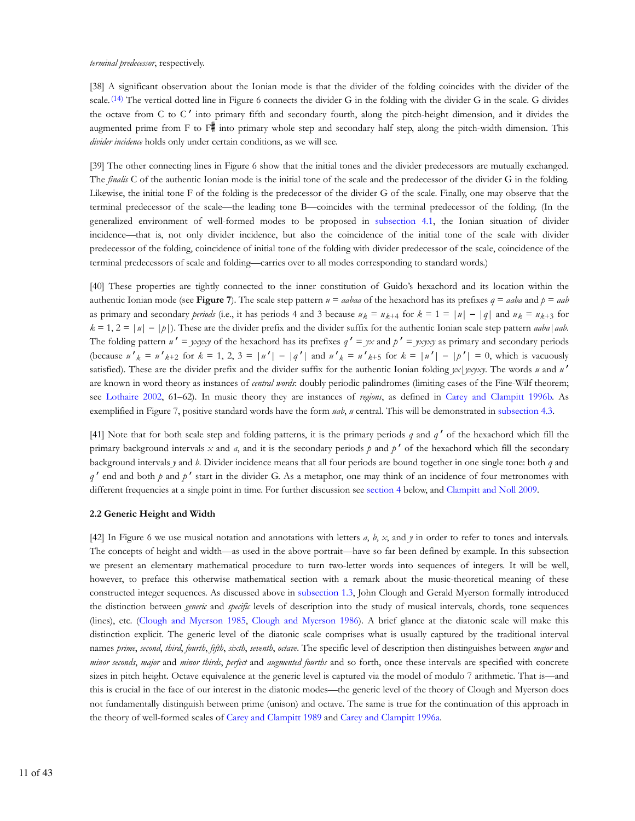#### *terminal predecessor*, respectively.

[38] A significant observation about the Ionian mode is that the divider of the folding coincides with the divider of the scale.  $(14)$  The vertical dotted line in Figure 6 connects the divider G in the folding with the divider G in the scale. G divides the octave from C to C ′ into primary fifth and secondary fourth, along the pitch-height dimension, and it divides the augmented prime from  $F$  to  $F^{\#}$  into primary whole step and secondary half step, along the pitch-width dimension. This *divider incidence* holds only under certain conditions, as we will see.

[39] The other connecting lines in Figure 6 show that the initial tones and the divider predecessors are mutually exchanged. The *finalis* C of the authentic Ionian mode is the initial tone of the scale and the predecessor of the divider G in the folding. Likewise, the initial tone F of the folding is the predecessor of the divider G of the scale. Finally, one may observe that the terminal predecessor of the scale—the leading tone B—coincides with the terminal predecessor of the folding. (In the generalized environment of well-formed modes to be proposed in subsection 4.1, the Ionian situation of divider incidence—that is, not only divider incidence, but also the coincidence of the initial tone of the scale with divider predecessor of the folding, coincidence of initial tone of the folding with divider predecessor of the scale, coincidence of the terminal predecessors of scale and folding—carries over to all modes corresponding to standard words.)

[40] These properties are tightly connected to the inner constitution of Guido's hexachord and its location within the authentic Ionian mode (see **Figure 7**). The scale step pattern  $u = aabaa$  of the hexachord has its prefixes  $q = aaba$  and  $p = aab$ as primary and secondary *periods* (i.e., it has periods 4 and 3 because  $u_k = u_{k+4}$  for  $k = 1 = |u| - |q|$  and  $u_k = u_{k+3}$  for  $k = 1$ ,  $2 = |u| - |b|$ ). These are the divider prefix and the divider suffix for the authentic Ionian scale step pattern *aaba*|*aab*. The folding pattern  $u' = yxyxy$  of the hexachord has its prefixes  $q' = yx$  and  $p' = yxyxy$  as primary and secondary periods (because  $u'_{k} = u'_{k+2}$  for  $k = 1, 2, 3 = |u'| - |q'|$  and  $u'_{k} = u'_{k+5}$  for  $k = |u'| - |p'| = 0$ , which is vacuously satisfied). These are the divider prefix and the divider suffix for the authentic Ionian folding *yx*|*yxyxy*. The words *u* and *u* ′ are known in word theory as instances of *central words*: doubly periodic palindromes (limiting cases of the Fine-Wilf theorem; see Lothaire 2002, 61–62). In music theory they are instances of *regions*, as defined in Carey and Clampitt 1996b. As exemplified in Figure 7, positive standard words have the form *uab*, *u* central. This will be demonstrated in subsection 4.3.

[41] Note that for both scale step and folding patterns, it is the primary periods *q* and *q* ′ of the hexachord which fill the primary background intervals  $x$  and  $a$ , and it is the secondary periods  $p$  and  $p'$  of the hexachord which fill the secondary background intervals *y* and *b*. Divider incidence means that all four periods are bound together in one single tone: both *q* and *q* ′ end and both *p* and *p* ′ start in the divider G. As a metaphor, one may think of an incidence of four metronomes with different frequencies at a single point in time. For further discussion see section 4 below, and Clampitt and Noll 2009.

#### **2.2 Generic Height and Width**

[42] In Figure 6 we use musical notation and annotations with letters *a*, *b*, *x*, and *y* in order to refer to tones and intervals. The concepts of height and width—as used in the above portrait—have so far been defined by example. In this subsection we present an elementary mathematical procedure to turn two-letter words into sequences of integers. It will be well, however, to preface this otherwise mathematical section with a remark about the music-theoretical meaning of these constructed integer sequences. As discussed above in subsection 1.3, John Clough and Gerald Myerson formally introduced the distinction between *generic* and *specific* levels of description into the study of musical intervals, chords, tone sequences (lines), etc. (Clough and Myerson 1985, Clough and Myerson 1986). A brief glance at the diatonic scale will make this distinction explicit. The generic level of the diatonic scale comprises what is usually captured by the traditional interval names *prime*, *second*, *third*, *fourth*, *fifth*, *sixth*, *seventh*, *octave*. The specific level of description then distinguishes between *major* and *minor seconds*, *major* and *minor thirds*, *perfect* and *augmented fourths* and so forth, once these intervals are specified with concrete sizes in pitch height. Octave equivalence at the generic level is captured via the model of modulo 7 arithmetic. That is—and this is crucial in the face of our interest in the diatonic modes—the generic level of the theory of Clough and Myerson does not fundamentally distinguish between prime (unison) and octave. The same is true for the continuation of this approach in the theory of well-formed scales of Carey and Clampitt 1989 and Carey and Clampitt 1996a.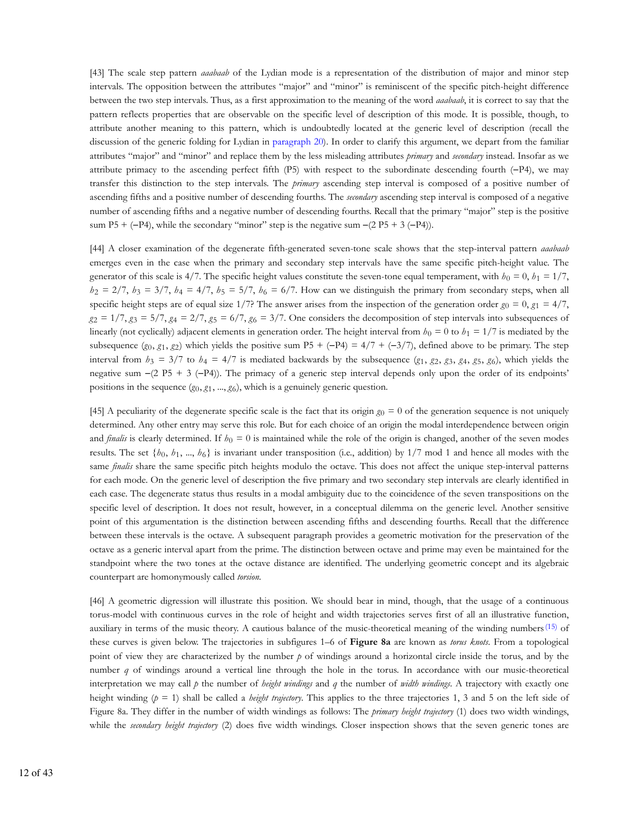[43] The scale step pattern *aaabaab* of the Lydian mode is a representation of the distribution of major and minor step intervals. The opposition between the attributes "major" and "minor" is reminiscent of the specific pitch-height difference between the two step intervals. Thus, as a first approximation to the meaning of the word *aaabaab*, it is correct to say that the pattern reflects properties that are observable on the specific level of description of this mode. It is possible, though, to attribute another meaning to this pattern, which is undoubtedly located at the generic level of description (recall the discussion of the generic folding for Lydian in paragraph 20). In order to clarify this argument, we depart from the familiar attributes "major" and "minor" and replace them by the less misleading attributes *primary* and *secondary* instead. Insofar as we attribute primacy to the ascending perfect fifth (P5) with respect to the subordinate descending fourth (−P4), we may transfer this distinction to the step intervals. The *primary* ascending step interval is composed of a positive number of ascending fifths and a positive number of descending fourths. The *secondary* ascending step interval is composed of a negative number of ascending fifths and a negative number of descending fourths. Recall that the primary "major" step is the positive sum P5 + (−P4), while the secondary "minor" step is the negative sum  $-(2 P5 + 3 (-P4))$ .

[44] A closer examination of the degenerate fifth-generated seven-tone scale shows that the step-interval pattern *aaabaab* emerges even in the case when the primary and secondary step intervals have the same specific pitch-height value. The generator of this scale is  $4/7$ . The specific height values constitute the seven-tone equal temperament, with  $b_0 = 0$ ,  $b_1 = 1/7$ ,  $h_2 = 2/7$ ,  $h_3 = 3/7$ ,  $h_4 = 4/7$ ,  $h_5 = 5/7$ ,  $h_6 = 6/7$ . How can we distinguish the primary from secondary steps, when all specific height steps are of equal size 1/7? The answer arises from the inspection of the generation order  $g_0 = 0$ ,  $g_1 = 4/7$ ,  $g_2 = 1/7$ ,  $g_3 = 5/7$ ,  $g_4 = 2/7$ ,  $g_5 = 6/7$ ,  $g_6 = 3/7$ . One considers the decomposition of step intervals into subsequences of linearly (not cyclically) adjacent elements in generation order. The height interval from  $h_0 = 0$  to  $h_1 = 1/7$  is mediated by the subsequence  $(g_0, g_1, g_2)$  which yields the positive sum P5 + (−P4) =  $4/7 + (-3/7)$ , defined above to be primary. The step interval from  $h_3 = 3/7$  to  $h_4 = 4/7$  is mediated backwards by the subsequence  $(g_1, g_2, g_3, g_4, g_5, g_6)$ , which yields the negative sum −(2 P5 + 3 (−P4)). The primacy of a generic step interval depends only upon the order of its endpoints' positions in the sequence  $(g_0, g_1, ..., g_6)$ , which is a genuinely generic question.

[45] A peculiarity of the degenerate specific scale is the fact that its origin  $g_0 = 0$  of the generation sequence is not uniquely determined. Any other entry may serve this role. But for each choice of an origin the modal interdependence between origin and *finalis* is clearly determined. If  $h_0 = 0$  is maintained while the role of the origin is changed, another of the seven modes results. The set  $\{b_0, b_1, ..., b_6\}$  is invariant under transposition (i.e., addition) by 1/7 mod 1 and hence all modes with the same *finalis* share the same specific pitch heights modulo the octave. This does not affect the unique step-interval patterns for each mode. On the generic level of description the five primary and two secondary step intervals are clearly identified in each case. The degenerate status thus results in a modal ambiguity due to the coincidence of the seven transpositions on the specific level of description. It does not result, however, in a conceptual dilemma on the generic level. Another sensitive point of this argumentation is the distinction between ascending fifths and descending fourths. Recall that the difference between these intervals is the octave. A subsequent paragraph provides a geometric motivation for the preservation of the octave as a generic interval apart from the prime. The distinction between octave and prime may even be maintained for the standpoint where the two tones at the octave distance are identified. The underlying geometric concept and its algebraic counterpart are homonymously called *torsion*.

[46] A geometric digression will illustrate this position. We should bear in mind, though, that the usage of a continuous torus-model with continuous curves in the role of height and width trajectories serves first of all an illustrative function, auxiliary in terms of the music theory. A cautious balance of the music-theoretical meaning of the winding numbers(15) of these curves is given below. The trajectories in subfigures 1–6 of **Figure 8a** are known as *torus knots*. From a topological point of view they are characterized by the number *p* of windings around a horizontal circle inside the torus, and by the number *q* of windings around a vertical line through the hole in the torus. In accordance with our music-theoretical interpretation we may call  $p$  the number of *height windings* and  $q$  the number of *width windings*. A trajectory with exactly one height winding (*p* = 1) shall be called a *height trajectory*. This applies to the three trajectories 1, 3 and 5 on the left side of Figure 8a. They differ in the number of width windings as follows: The *primary height trajectory* (1) does two width windings, while the *secondary height trajectory* (2) does five width windings. Closer inspection shows that the seven generic tones are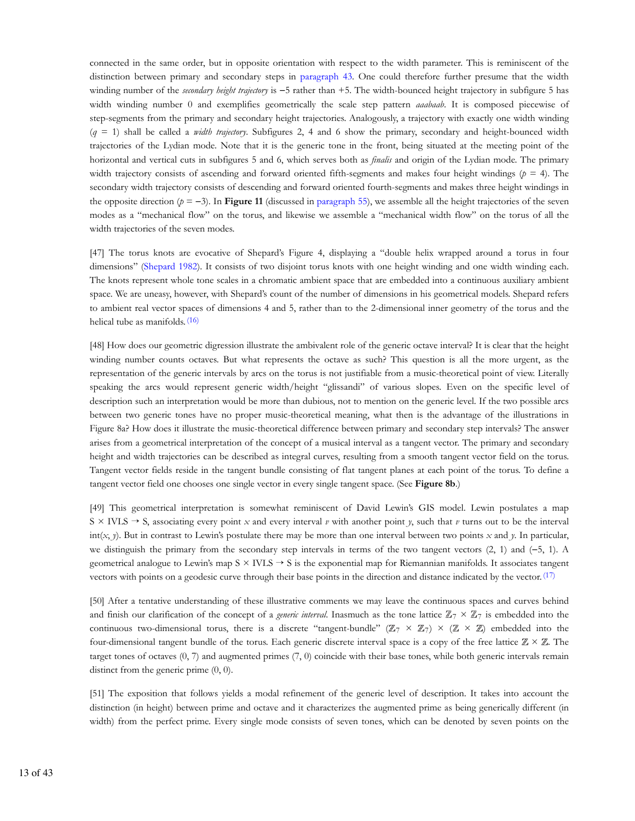connected in the same order, but in opposite orientation with respect to the width parameter. This is reminiscent of the distinction between primary and secondary steps in paragraph 43. One could therefore further presume that the width winding number of the *secondary height trajectory* is −5 rather than +5. The width-bounced height trajectory in subfigure 5 has width winding number 0 and exemplifies geometrically the scale step pattern *aaabaab*. It is composed piecewise of step-segments from the primary and secondary height trajectories. Analogously, a trajectory with exactly one width winding (*q* = 1) shall be called a *width trajectory*. Subfigures 2, 4 and 6 show the primary, secondary and height-bounced width trajectories of the Lydian mode. Note that it is the generic tone in the front, being situated at the meeting point of the horizontal and vertical cuts in subfigures 5 and 6, which serves both as *finalis* and origin of the Lydian mode. The primary width trajectory consists of ascending and forward oriented fifth-segments and makes four height windings (*p* = 4). The secondary width trajectory consists of descending and forward oriented fourth-segments and makes three height windings in the opposite direction  $(p = -3)$ . In **Figure 11** (discussed in paragraph 55), we assemble all the height trajectories of the seven modes as a "mechanical flow" on the torus, and likewise we assemble a "mechanical width flow" on the torus of all the width trajectories of the seven modes.

[47] The torus knots are evocative of Shepard's Figure 4, displaying a "double helix wrapped around a torus in four dimensions" (Shepard 1982). It consists of two disjoint torus knots with one height winding and one width winding each. The knots represent whole tone scales in a chromatic ambient space that are embedded into a continuous auxiliary ambient space. We are uneasy, however, with Shepard's count of the number of dimensions in his geometrical models. Shepard refers to ambient real vector spaces of dimensions 4 and 5, rather than to the 2-dimensional inner geometry of the torus and the helical tube as manifolds. (16)

[48] How does our geometric digression illustrate the ambivalent role of the generic octave interval? It is clear that the height winding number counts octaves. But what represents the octave as such? This question is all the more urgent, as the representation of the generic intervals by arcs on the torus is not justifiable from a music-theoretical point of view. Literally speaking the arcs would represent generic width/height "glissandi" of various slopes. Even on the specific level of description such an interpretation would be more than dubious, not to mention on the generic level. If the two possible arcs between two generic tones have no proper music-theoretical meaning, what then is the advantage of the illustrations in Figure 8a? How does it illustrate the music-theoretical difference between primary and secondary step intervals? The answer arises from a geometrical interpretation of the concept of a musical interval as a tangent vector. The primary and secondary height and width trajectories can be described as integral curves, resulting from a smooth tangent vector field on the torus. Tangent vector fields reside in the tangent bundle consisting of flat tangent planes at each point of the torus. To define a tangent vector field one chooses one single vector in every single tangent space. (See **Figure 8b**.)

[49] This geometrical interpretation is somewhat reminiscent of David Lewin's GIS model. Lewin postulates a map  $S \times IVLS \rightarrow S$ , associating every point *x* and every interval *v* with another point *y*, such that *v* turns out to be the interval int(*x*, *y*). But in contrast to Lewin's postulate there may be more than one interval between two points *x* and *y*. In particular, we distinguish the primary from the secondary step intervals in terms of the two tangent vectors (2, 1) and (−5, 1). A geometrical analogue to Lewin's map  $S \times IVLS \rightarrow S$  is the exponential map for Riemannian manifolds. It associates tangent vectors with points on a geodesic curve through their base points in the direction and distance indicated by the vector. (17)

[50] After a tentative understanding of these illustrative comments we may leave the continuous spaces and curves behind and finish our clarification of the concept of a *generic interval*. Inasmuch as the tone lattice  $\mathbb{Z}_7 \times \mathbb{Z}_7$  is embedded into the continuous two-dimensional torus, there is a discrete "tangent-bundle" ( $\mathbb{Z}_7 \times \mathbb{Z}_7$ )  $\times$  ( $\mathbb{Z} \times \mathbb{Z}$ ) embedded into the four-dimensional tangent bundle of the torus. Each generic discrete interval space is a copy of the free lattice  $\mathbb{Z} \times \mathbb{Z}$ . The target tones of octaves (0, 7) and augmented primes (7, 0) coincide with their base tones, while both generic intervals remain distinct from the generic prime (0, 0).

[51] The exposition that follows yields a modal refinement of the generic level of description. It takes into account the distinction (in height) between prime and octave and it characterizes the augmented prime as being generically different (in width) from the perfect prime. Every single mode consists of seven tones, which can be denoted by seven points on the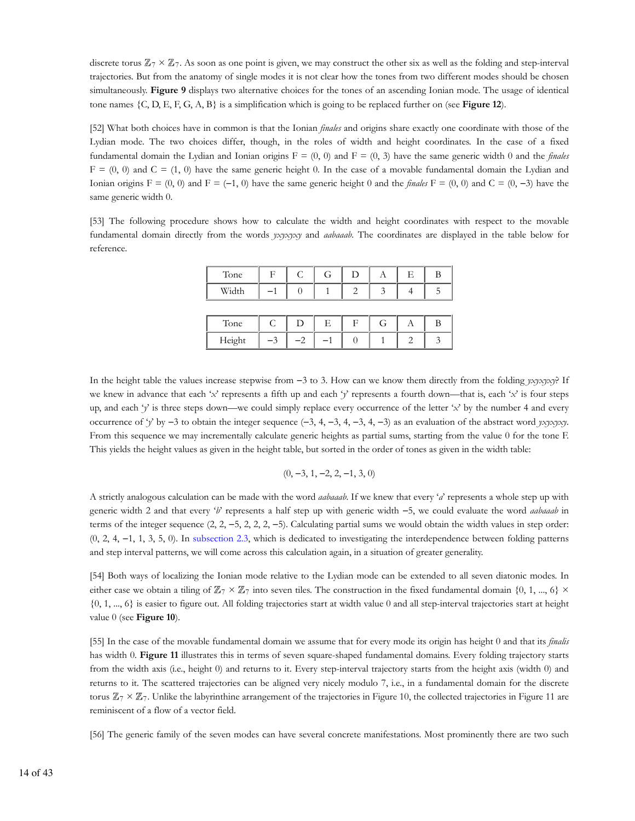discrete torus  $\mathbb{Z}_7 \times \mathbb{Z}_7$ . As soon as one point is given, we may construct the other six as well as the folding and step-interval trajectories. But from the anatomy of single modes it is not clear how the tones from two different modes should be chosen simultaneously. **Figure 9** displays two alternative choices for the tones of an ascending Ionian mode. The usage of identical tone names {C, D, E, F, G, A, B} is a simplification which is going to be replaced further on (see **Figure 12**).

[52] What both choices have in common is that the Ionian *finales* and origins share exactly one coordinate with those of the Lydian mode. The two choices differ, though, in the roles of width and height coordinates. In the case of a fixed fundamental domain the Lydian and Ionian origins  $F = (0, 0)$  and  $F = (0, 3)$  have the same generic width 0 and the *finales*  $F = (0, 0)$  and  $C = (1, 0)$  have the same generic height 0. In the case of a movable fundamental domain the Lydian and Ionian origins  $F = (0, 0)$  and  $F = (-1, 0)$  have the same generic height 0 and the *finales*  $F = (0, 0)$  and  $C = (0, -3)$  have the same generic width 0.

[53] The following procedure shows how to calculate the width and height coordinates with respect to the movable fundamental domain directly from the words *yxyxyxy* and *aabaaab*. The coordinates are displayed in the table below for reference.

| Tone   | F    | C    | G | D          | A | Е | В |
|--------|------|------|---|------------|---|---|---|
| Width  |      |      |   |            |   |   | 5 |
|        |      |      |   |            |   |   |   |
| Tone   | C    | D    | E | $_{\rm F}$ | G | А | B |
| Height | $-3$ | $-2$ |   |            |   | 2 | 3 |

In the height table the values increase stepwise from −3 to 3. How can we know them directly from the folding *yxyxyxy*? If we knew in advance that each '*x*' represents a fifth up and each '*y*' represents a fourth down—that is, each '*x*' is four steps up, and each '*y*' is three steps down—we could simply replace every occurrence of the letter '*x*' by the number 4 and every occurrence of '*y*' by −3 to obtain the integer sequence (−3, 4, −3, 4, −3, 4, −3) as an evaluation of the abstract word *yxyxyxy*. From this sequence we may incrementally calculate generic heights as partial sums, starting from the value 0 for the tone F. This yields the height values as given in the height table, but sorted in the order of tones as given in the width table:

$$
(0, -3, 1, -2, 2, -1, 3, 0)
$$

A strictly analogous calculation can be made with the word *aabaaab*. If we knew that every '*a*' represents a whole step up with generic width 2 and that every '*b*' represents a half step up with generic width −5, we could evaluate the word *aabaaab* in terms of the integer sequence (2, 2, −5, 2, 2, 2, −5). Calculating partial sums we would obtain the width values in step order: (0, 2, 4, −1, 1, 3, 5, 0). In subsection 2.3, which is dedicated to investigating the interdependence between folding patterns and step interval patterns, we will come across this calculation again, in a situation of greater generality.

[54] Both ways of localizing the Ionian mode relative to the Lydian mode can be extended to all seven diatonic modes. In either case we obtain a tiling of  $\mathbb{Z}_7 \times \mathbb{Z}_7$  into seven tiles. The construction in the fixed fundamental domain  $\{0, 1, ..., 6\} \times$ {0, 1, ..., 6} is easier to figure out. All folding trajectories start at width value 0 and all step-interval trajectories start at height value 0 (see **Figure 10**).

[55] In the case of the movable fundamental domain we assume that for every mode its origin has height 0 and that its *finalis* has width 0. **Figure 11** illustrates this in terms of seven square-shaped fundamental domains. Every folding trajectory starts from the width axis (i.e., height 0) and returns to it. Every step-interval trajectory starts from the height axis (width 0) and returns to it. The scattered trajectories can be aligned very nicely modulo 7, i.e., in a fundamental domain for the discrete torus  $\mathbb{Z}_7\times\mathbb{Z}_7$ . Unlike the labyrinthine arrangement of the trajectories in Figure 10, the collected trajectories in Figure 11 are reminiscent of a flow of a vector field.

[56] The generic family of the seven modes can have several concrete manifestations. Most prominently there are two such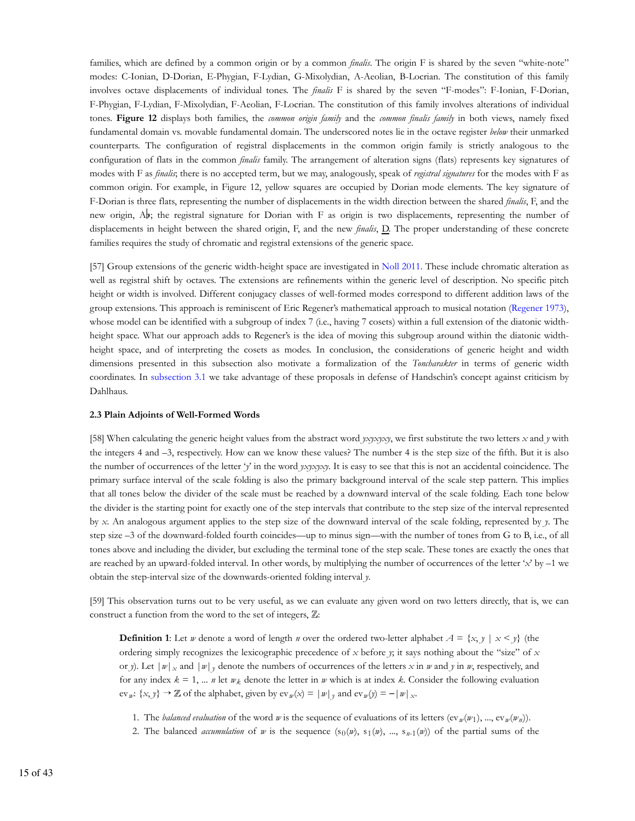families, which are defined by a common origin or by a common *finalis*. The origin F is shared by the seven "white-note" modes: C-Ionian, D-Dorian, E-Phygian, F-Lydian, G-Mixolydian, A-Aeolian, B-Locrian. The constitution of this family involves octave displacements of individual tones. The *finalis* F is shared by the seven "F-modes": F-Ionian, F-Dorian, F-Phygian, F-Lydian, F-Mixolydian, F-Aeolian, F-Locrian. The constitution of this family involves alterations of individual tones. **Figure 12** displays both families, the *common origin family* and the *common finalis family* in both views, namely fixed fundamental domain vs. movable fundamental domain. The underscored notes lie in the octave register *below* their unmarked counterparts. The configuration of registral displacements in the common origin family is strictly analogous to the configuration of flats in the common *finalis* family. The arrangement of alteration signs (flats) represents key signatures of modes with F as *finalis*; there is no accepted term, but we may, analogously, speak of *registral signatures* for the modes with F as common origin. For example, in Figure 12, yellow squares are occupied by Dorian mode elements. The key signature of F-Dorian is three flats, representing the number of displacements in the width direction between the shared *finalis*, F, and the new origin,  $A_{\nu}$ ; the registral signature for Dorian with F as origin is two displacements, representing the number of displacements in height between the shared origin, F, and the new *finalis*, D. The proper understanding of these concrete families requires the study of chromatic and registral extensions of the generic space.

[57] Group extensions of the generic width-height space are investigated in Noll 2011. These include chromatic alteration as well as registral shift by octaves. The extensions are refinements within the generic level of description. No specific pitch height or width is involved. Different conjugacy classes of well-formed modes correspond to different addition laws of the group extensions. This approach is reminiscent of Eric Regener's mathematical approach to musical notation (Regener 1973), whose model can be identified with a subgroup of index 7 (i.e., having 7 cosets) within a full extension of the diatonic widthheight space. What our approach adds to Regener's is the idea of moving this subgroup around within the diatonic widthheight space, and of interpreting the cosets as modes. In conclusion, the considerations of generic height and width dimensions presented in this subsection also motivate a formalization of the *Toncharakter* in terms of generic width coordinates. In subsection 3.1 we take advantage of these proposals in defense of Handschin's concept against criticism by Dahlhaus.

#### **2.3 Plain Adjoints of Well-Formed Words**

[58] When calculating the generic height values from the abstract word *yxyxyxy*, we first substitute the two letters *x* and *y* with the integers 4 and –3, respectively. How can we know these values? The number 4 is the step size of the fifth. But it is also the number of occurrences of the letter '*y*' in the word *yxyxyxy*. It is easy to see that this is not an accidental coincidence. The primary surface interval of the scale folding is also the primary background interval of the scale step pattern. This implies that all tones below the divider of the scale must be reached by a downward interval of the scale folding. Each tone below the divider is the starting point for exactly one of the step intervals that contribute to the step size of the interval represented by *x*. An analogous argument applies to the step size of the downward interval of the scale folding, represented by *y*. The step size –3 of the downward-folded fourth coincides—up to minus sign—with the number of tones from G to B, i.e., of all tones above and including the divider, but excluding the terminal tone of the step scale. These tones are exactly the ones that are reached by an upward-folded interval. In other words, by multiplying the number of occurrences of the letter '*x*' by –1 we obtain the step-interval size of the downwards-oriented folding interval *y*.

[59] This observation turns out to be very useful, as we can evaluate any given word on two letters directly, that is, we can construct a function from the word to the set of integers,  $\mathbb{Z}$ :

**Definition 1**: Let *w* denote a word of length *n* over the ordered two-letter alphabet  $A = \{x, y \mid x \leq y\}$  (the ordering simply recognizes the lexicographic precedence of *x* before *y*; it says nothing about the "size" of *x* or *y*). Let  $|w|_x$  and  $|w|_y$  denote the numbers of occurrences of the letters x in *w* and *y* in *w*, respectively, and for any index  $k = 1, \dots n$  let  $w_k$  denote the letter in *w* which is at index *k*. Consider the following evaluation  $ev_w$ : {*x*, *y*} → **Z** of the alphabet, given by  $ev_w(x) = |w|_y$  and  $ev_w(y) = -|w|_x$ .

- 1. The *balanced evaluation* of the word *w* is the sequence of evaluations of its letters  $(ev_w(w_1), ..., ev_w(w_n))$ .
- 2. The balanced *acumulation* of *w* is the sequence  $(s_0(w), s_1(w), ..., s_{n-1}(w))$  of the partial sums of the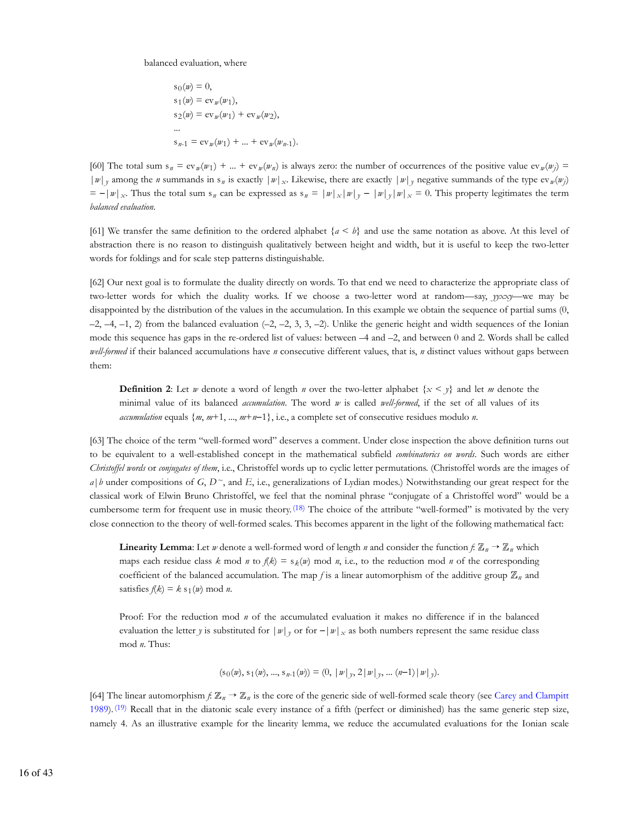balanced evaluation, where

$$
s_0(w) = 0,
$$
  
\n
$$
s_1(w) = \text{ev}_w(w_1),
$$
  
\n
$$
s_2(w) = \text{ev}_w(w_1) + \text{ev}_w(w_2),
$$
  
\n...  
\n
$$
s_{n-1} = \text{ev}_w(w_1) + \dots + \text{ev}_w(w_{n-1}).
$$

[60] The total sum  $s_n = ev_w(w_1) + ... + ev_w(w_n)$  is always zero: the number of occurrences of the positive value  $ev_w(w_j)$  =  $|w|_y$  among the *n* summands in s<sub>n</sub> is exactly  $|w|_x$ . Likewise, there are exactly  $|w|_y$  negative summands of the type ev<sub>*w*</sub>(*w*<sub>j</sub>)  $x = -|w|_x$ . Thus the total sum s<sub>n</sub> can be expressed as s<sub>n</sub> =  $|w|_x |w|_y - |w|_y |w|_x = 0$ . This property legitimates the term *balanced evaluation*.

[61] We transfer the same definition to the ordered alphabet  ${a < b}$  and use the same notation as above. At this level of abstraction there is no reason to distinguish qualitatively between height and width, but it is useful to keep the two-letter words for foldings and for scale step patterns distinguishable.

[62] Our next goal is to formulate the duality directly on words. To that end we need to characterize the appropriate class of two-letter words for which the duality works. If we choose a two-letter word at random—say, *yyxxy*—we may be disappointed by the distribution of the values in the accumulation. In this example we obtain the sequence of partial sums (0,  $-2, -4, -1, 2$ ) from the balanced evaluation  $(-2, -2, 3, 3, -2)$ . Unlike the generic height and width sequences of the Ionian mode this sequence has gaps in the re-ordered list of values: between –4 and –2, and between 0 and 2. Words shall be called *well-formed* if their balanced accumulations have *n* consecutive different values, that is, *n* distinct values without gaps between them:

**Definition 2:** Let *w* denote a word of length *n* over the two-letter alphabet  $\{x \leq y\}$  and let *m* denote the minimal value of its balanced *accumulation*. The word *w* is called *well-formed*, if the set of all values of its *accumulation* equals {*m*, *m*+1, ..., *m*+*n*−1}, i.e., a complete set of consecutive residues modulo *n*.

[63] The choice of the term "well-formed word" deserves a comment. Under close inspection the above definition turns out to be equivalent to a well-established concept in the mathematical subfield *combinatorics on words*. Such words are either *Christoffel words* or *conjugates of them*, i.e., Christoffel words up to cyclic letter permutations. (Christoffel words are the images of *a*|*b* under compositions of *G*, *D~*, and *E*, i.e., generalizations of Lydian modes.) Notwithstanding our great respect for the classical work of Elwin Bruno Christoffel, we feel that the nominal phrase "conjugate of a Christoffel word" would be a cumbersome term for frequent use in music theory.<sup>(18)</sup> The choice of the attribute "well-formed" is motivated by the very close connection to the theory of well-formed scales. This becomes apparent in the light of the following mathematical fact:

**Linearity Lemma**: Let *w* denote a well-formed word of length *n* and consider the function  $f: \mathbb{Z}_n \to \mathbb{Z}_n$  which maps each residue class  $k \mod n$  to  $f(k) = s_k(w) \mod n$ , i.e., to the reduction mod *n* of the corresponding coefficient of the balanced accumulation. The map *f* is a linear automorphism of the additive group  $\mathbb{Z}_n$  and satisfies  $f(k) = k s_1(w) \text{ mod } n$ .

Proof: For the reduction mod *n* of the accumulated evaluation it makes no difference if in the balanced evaluation the letter *y* is substituted for  $|w|_y$  or for  $-|w|_x$  as both numbers represent the same residue class mod *n*. Thus:

$$
(\mathrm{s}_0(w), \mathrm{s}_1(w), ..., \mathrm{s}_{n-1}(w)) = (0, ||w||_y, 2||w||_y, ..., (n-1)||w||_y).
$$

[64] The linear automorphism  $f: \mathbb{Z}_n \to \mathbb{Z}_n$  is the core of the generic side of well-formed scale theory (see Carey and Clampitt 1989). (19) Recall that in the diatonic scale every instance of a fifth (perfect or diminished) has the same generic step size, namely 4. As an illustrative example for the linearity lemma, we reduce the accumulated evaluations for the Ionian scale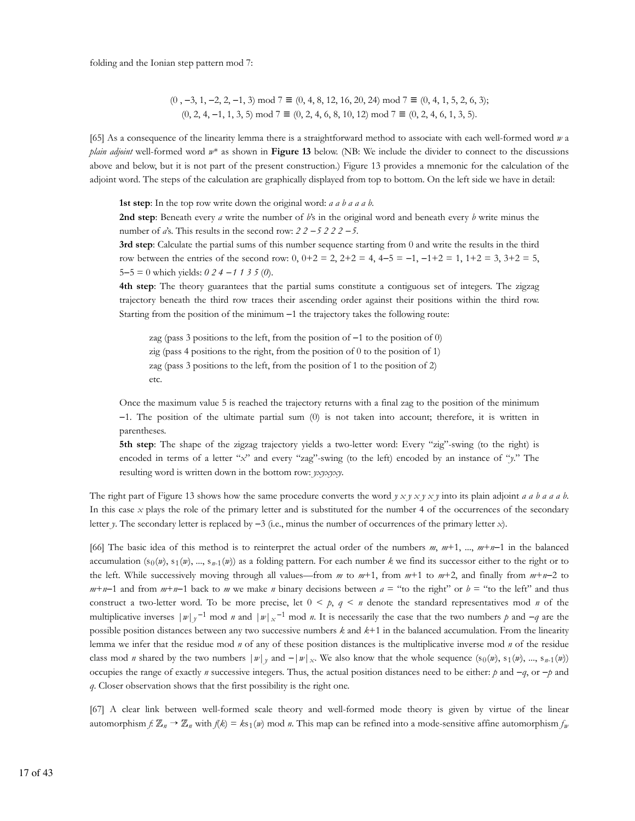folding and the Ionian step pattern mod 7:

$$
(0, -3, 1, -2, 2, -1, 3) \mod 7 \equiv (0, 4, 8, 12, 16, 20, 24) \mod 7 \equiv (0, 4, 1, 5, 2, 6, 3);
$$
  
 $(0, 2, 4, -1, 1, 3, 5) \mod 7 \equiv (0, 2, 4, 6, 8, 10, 12) \mod 7 \equiv (0, 2, 4, 6, 1, 3, 5).$ 

[65] As a consequence of the linearity lemma there is a straightforward method to associate with each well-formed word *w* a *plain adjoint* well-formed word *w*\* as shown in **Figure 13** below. (NB: We include the divider to connect to the discussions above and below, but it is not part of the present construction.) Figure 13 provides a mnemonic for the calculation of the adjoint word. The steps of the calculation are graphically displayed from top to bottom. On the left side we have in detail:

**1st step**: In the top row write down the original word: *a a b a a a b*.

**2nd step**: Beneath every *a* write the number of *b*'s in the original word and beneath every *b* write minus the number of *a*'s. This results in the second row: *2 2 −5 2 2 2 −5*.

**3rd step**: Calculate the partial sums of this number sequence starting from 0 and write the results in the third row between the entries of the second row: 0,  $0+2 = 2$ ,  $2+2 = 4$ ,  $4-5 = -1$ ,  $-1+2 = 1$ ,  $1+2 = 3$ ,  $3+2 = 5$ , 5−5 = 0 which yields: *0 2 4 −1 1 3 5* (*0*).

**4th step**: The theory guarantees that the partial sums constitute a contiguous set of integers. The zigzag trajectory beneath the third row traces their ascending order against their positions within the third row. Starting from the position of the minimum −1 the trajectory takes the following route:

zag (pass 3 positions to the left, from the position of −1 to the position of 0) zig (pass 4 positions to the right, from the position of 0 to the position of 1) zag (pass 3 positions to the left, from the position of 1 to the position of 2) etc.

Once the maximum value 5 is reached the trajectory returns with a final zag to the position of the minimum −1. The position of the ultimate partial sum (0) is not taken into account; therefore, it is written in parentheses.

**5th step**: The shape of the zigzag trajectory yields a two-letter word: Every "zig"-swing (to the right) is encoded in terms of a letter "*x*" and every "zag"-swing (to the left) encoded by an instance of "*y*." The resulting word is written down in the bottom row: *yxyxyxy*.

The right part of Figure 13 shows how the same procedure converts the word *y x y x y x y* into its plain adjoint *a a b a a a b*. In this case *x* plays the role of the primary letter and is substituted for the number 4 of the occurrences of the secondary letter *y*. The secondary letter is replaced by −3 (i.e., minus the number of occurrences of the primary letter *x*).

[66] The basic idea of this method is to reinterpret the actual order of the numbers *m*, *m*+1, ..., *m*+*n*−1 in the balanced accumulation  $(s_0(w), s_1(w), ..., s_{n-1}(w))$  as a folding pattern. For each number  $k$  we find its successor either to the right or to the left. While successively moving through all values—from *m* to *m*+1, from *m*+1 to *m*+2, and finally from *m*+*n*−2 to  $m+n-1$  and from  $m+n-1$  back to *m* we make *n* binary decisions between  $a =$  "to the right" or  $b =$  "to the left" and thus construct a two-letter word. To be more precise, let  $0 \leq p$ ,  $q \leq n$  denote the standard representatives mod *n* of the multiplicative inverses  $|w|_y^{-1}$  mod *n* and  $|w|_x^{-1}$  mod *n*. It is necessarily the case that the two numbers *p* and  $-q$  are the possible position distances between any two successive numbers *k* and *k*+1 in the balanced accumulation. From the linearity lemma we infer that the residue mod *n* of any of these position distances is the multiplicative inverse mod *n* of the residue class mod *n* shared by the two numbers  $|w|_y$  and  $-|w|_x$ . We also know that the whole sequence (s<sub>0</sub>(*w*), s<sub>1</sub>(*w*), ..., s<sub>*n*-1</sub>(*w*)) occupies the range of exactly *n* successive integers. Thus, the actual position distances need to be either: *p* and −*q*, or −*p* and *q*. Closer observation shows that the first possibility is the right one.

[67] A clear link between well-formed scale theory and well-formed mode theory is given by virtue of the linear automorphism *f*:  $\mathbb{Z}_n \to \mathbb{Z}_n$  with  $f(k) = ks_1(w)$  mod *n*. This map can be refined into a mode-sensitive affine automorphism  $f_n$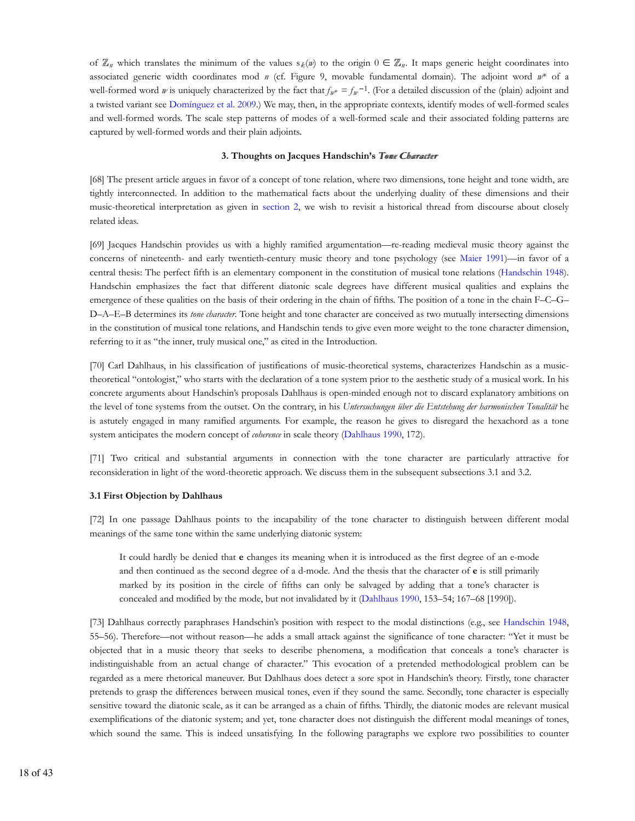of  $\mathbb{Z}_n$  which translates the minimum of the values  $s_k(n)$  to the origin  $0 \in \mathbb{Z}_n$ . It maps generic height coordinates into associated generic width coordinates mod *n* (cf. Figure 9, movable fundamental domain). The adjoint word *w*\* of a well-formed word *w* is uniquely characterized by the fact that  $f_{w^*} = f_w^{-1}$ . (For a detailed discussion of the (plain) adjoint and a twisted variant see Domínguez et al. 2009.) We may, then, in the appropriate contexts, identify modes of well-formed scales and well-formed words. The scale step patterns of modes of a well-formed scale and their associated folding patterns are captured by well-formed words and their plain adjoints.

#### **3. Thoughts on Jacques Handschin's Tome Character**

[68] The present article argues in favor of a concept of tone relation, where two dimensions, tone height and tone width, are tightly interconnected. In addition to the mathematical facts about the underlying duality of these dimensions and their music-theoretical interpretation as given in section 2, we wish to revisit a historical thread from discourse about closely related ideas.

[69] Jacques Handschin provides us with a highly ramified argumentation—re-reading medieval music theory against the concerns of nineteenth- and early twentieth-century music theory and tone psychology (see Maier 1991)—in favor of a central thesis: The perfect fifth is an elementary component in the constitution of musical tone relations (Handschin 1948). Handschin emphasizes the fact that different diatonic scale degrees have different musical qualities and explains the emergence of these qualities on the basis of their ordering in the chain of fifths. The position of a tone in the chain F–C–G– D–A–E–B determines its *tone character*. Tone height and tone character are conceived as two mutually intersecting dimensions in the constitution of musical tone relations, and Handschin tends to give even more weight to the tone character dimension, referring to it as "the inner, truly musical one," as cited in the Introduction.

[70] Carl Dahlhaus, in his classification of justifications of music-theoretical systems, characterizes Handschin as a musictheoretical "ontologist," who starts with the declaration of a tone system prior to the aesthetic study of a musical work. In his concrete arguments about Handschin's proposals Dahlhaus is open-minded enough not to discard explanatory ambitions on the level of tone systems from the outset. On the contrary, in his *Untersuchungen über die Entstehung der harmonischen Tonalität* he is astutely engaged in many ramified arguments. For example, the reason he gives to disregard the hexachord as a tone system anticipates the modern concept of *coherence* in scale theory (Dahlhaus 1990, 172).

[71] Two critical and substantial arguments in connection with the tone character are particularly attractive for reconsideration in light of the word-theoretic approach. We discuss them in the subsequent subsections 3.1 and 3.2.

# **3.1 First Objection by Dahlhaus**

[72] In one passage Dahlhaus points to the incapability of the tone character to distinguish between different modal meanings of the same tone within the same underlying diatonic system:

It could hardly be denied that **e** changes its meaning when it is introduced as the first degree of an e-mode and then continued as the second degree of a d-mode. And the thesis that the character of **e** is still primarily marked by its position in the circle of fifths can only be salvaged by adding that a tone's character is concealed and modified by the mode, but not invalidated by it (Dahlhaus 1990, 153–54; 167–68 [1990]).

[73] Dahlhaus correctly paraphrases Handschin's position with respect to the modal distinctions (e.g., see Handschin 1948, 55–56). Therefore—not without reason—he adds a small attack against the significance of tone character: "Yet it must be objected that in a music theory that seeks to describe phenomena, a modification that conceals a tone's character is indistinguishable from an actual change of character." This evocation of a pretended methodological problem can be regarded as a mere rhetorical maneuver. But Dahlhaus does detect a sore spot in Handschin's theory. Firstly, tone character pretends to grasp the differences between musical tones, even if they sound the same. Secondly, tone character is especially sensitive toward the diatonic scale, as it can be arranged as a chain of fifths. Thirdly, the diatonic modes are relevant musical exemplifications of the diatonic system; and yet, tone character does not distinguish the different modal meanings of tones, which sound the same. This is indeed unsatisfying. In the following paragraphs we explore two possibilities to counter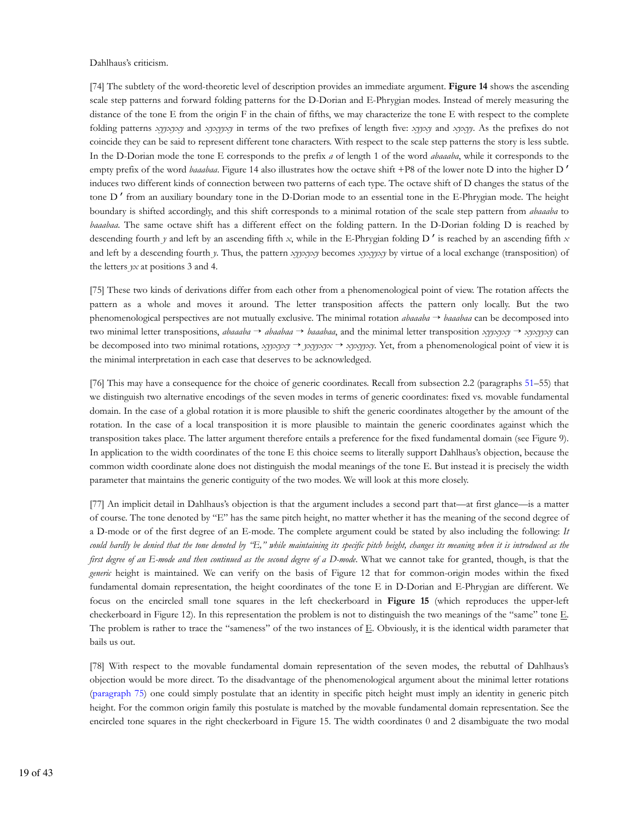Dahlhaus's criticism.

[74] The subtlety of the word-theoretic level of description provides an immediate argument. **Figure 14** shows the ascending scale step patterns and forward folding patterns for the D-Dorian and E-Phrygian modes. Instead of merely measuring the distance of the tone E from the origin F in the chain of fifths, we may characterize the tone E with respect to the complete folding patterns *xyyxyxy* and *xyxyyxy* in terms of the two prefixes of length five: *xyyxy* and *xyxyy*. As the prefixes do not coincide they can be said to represent different tone characters. With respect to the scale step patterns the story is less subtle. In the D-Dorian mode the tone E corresponds to the prefix *a* of length 1 of the word *abaaaba*, while it corresponds to the empty prefix of the word *baaabaa*. Figure 14 also illustrates how the octave shift +P8 of the lower note D into the higher D' induces two different kinds of connection between two patterns of each type. The octave shift of D changes the status of the tone D' from an auxiliary boundary tone in the D-Dorian mode to an essential tone in the E-Phrygian mode. The height boundary is shifted accordingly, and this shift corresponds to a minimal rotation of the scale step pattern from *abaaaba* to *baaabaa*. The same octave shift has a different effect on the folding pattern. In the D-Dorian folding D is reached by descending fourth *y* and left by an ascending fifth *x*, while in the E-Phrygian folding D ′ is reached by an ascending fifth *x* and left by a descending fourth *y*. Thus, the pattern *xyyxyxy* becomes *xyxyyxy* by virtue of a local exchange (transposition) of the letters *yx* at positions 3 and 4.

[75] These two kinds of derivations differ from each other from a phenomenological point of view. The rotation affects the pattern as a whole and moves it around. The letter transposition affects the pattern only locally. But the two phenomenological perspectives are not mutually exclusive. The minimal rotation *abaaaba* → *baaabaa* can be decomposed into two minimal letter transpositions, *abaaaba* → *abaabaa* → *baaabaa*, and the minimal letter transposition *xyyxyxy* → *xyxyyxy* can be decomposed into two minimal rotations, *xyyxyxy* → *yxyyxyx* → *xyxyyxy*. Yet, from a phenomenological point of view it is the minimal interpretation in each case that deserves to be acknowledged.

[76] This may have a consequence for the choice of generic coordinates. Recall from subsection 2.2 (paragraphs 51–55) that we distinguish two alternative encodings of the seven modes in terms of generic coordinates: fixed vs. movable fundamental domain. In the case of a global rotation it is more plausible to shift the generic coordinates altogether by the amount of the rotation. In the case of a local transposition it is more plausible to maintain the generic coordinates against which the transposition takes place. The latter argument therefore entails a preference for the fixed fundamental domain (see Figure 9). In application to the width coordinates of the tone E this choice seems to literally support Dahlhaus's objection, because the common width coordinate alone does not distinguish the modal meanings of the tone E. But instead it is precisely the width parameter that maintains the generic contiguity of the two modes. We will look at this more closely.

[77] An implicit detail in Dahlhaus's objection is that the argument includes a second part that—at first glance—is a matter of course. The tone denoted by "E" has the same pitch height, no matter whether it has the meaning of the second degree of a D-mode or of the first degree of an E-mode. The complete argument could be stated by also including the following: *It could hardly be denied that the tone denoted by "E," while maintaining its specific pitch height, changes its meaning when it is introduced as the first degree of an E-mode and then continued as the second degree of a D-mode*. What we cannot take for granted, though, is that the *generic* height is maintained. We can verify on the basis of Figure 12 that for common-origin modes within the fixed fundamental domain representation, the height coordinates of the tone E in D-Dorian and E-Phrygian are different. We focus on the encircled small tone squares in the left checkerboard in **Figure 15** (which reproduces the upper-left checkerboard in Figure 12). In this representation the problem is not to distinguish the two meanings of the "same" tone E. The problem is rather to trace the "sameness" of the two instances of E. Obviously, it is the identical width parameter that bails us out.

[78] With respect to the movable fundamental domain representation of the seven modes, the rebuttal of Dahlhaus's objection would be more direct. To the disadvantage of the phenomenological argument about the minimal letter rotations (paragraph 75) one could simply postulate that an identity in specific pitch height must imply an identity in generic pitch height. For the common origin family this postulate is matched by the movable fundamental domain representation. See the encircled tone squares in the right checkerboard in Figure 15. The width coordinates 0 and 2 disambiguate the two modal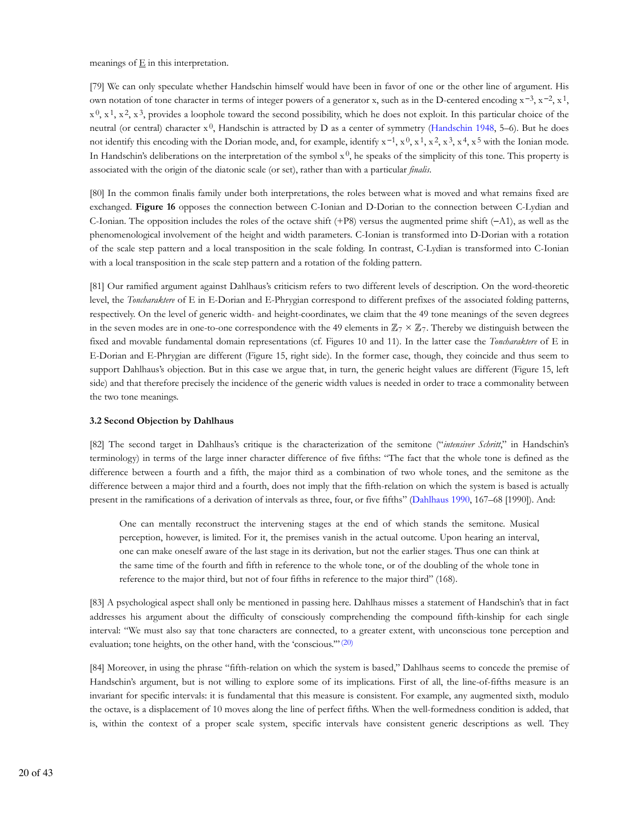meanings of  $E$  in this interpretation.

[79] We can only speculate whether Handschin himself would have been in favor of one or the other line of argument. His own notation of tone character in terms of integer powers of a generator x, such as in the D-centered encoding  $x^{-3}$ ,  $x^{-2}$ ,  $x^{1}$ ,  $x^0$ ,  $x^1$ ,  $x^2$ ,  $x^3$ , provides a loophole toward the second possibility, which he does not exploit. In this particular choice of the neutral (or central) character  $x^0$ , Handschin is attracted by D as a center of symmetry (Handschin 1948, 5–6). But he does not identify this encoding with the Dorian mode, and, for example, identify  $x^{-1}$ ,  $x^0$ ,  $x^1$ ,  $x^2$ ,  $x^3$ ,  $x^4$ ,  $x^5$  with the Ionian mode. In Handschin's deliberations on the interpretation of the symbol  $x<sup>0</sup>$ , he speaks of the simplicity of this tone. This property is associated with the origin of the diatonic scale (or set), rather than with a particular *finalis*.

[80] In the common finalis family under both interpretations, the roles between what is moved and what remains fixed are exchanged. **Figure 16** opposes the connection between C-Ionian and D-Dorian to the connection between C-Lydian and C-Ionian. The opposition includes the roles of the octave shift (+P8) versus the augmented prime shift (−A1), as well as the phenomenological involvement of the height and width parameters. C-Ionian is transformed into D-Dorian with a rotation of the scale step pattern and a local transposition in the scale folding. In contrast, C-Lydian is transformed into C-Ionian with a local transposition in the scale step pattern and a rotation of the folding pattern.

[81] Our ramified argument against Dahlhaus's criticism refers to two different levels of description. On the word-theoretic level, the *Toncharaktere* of E in E-Dorian and E-Phrygian correspond to different prefixes of the associated folding patterns, respectively. On the level of generic width- and height-coordinates, we claim that the 49 tone meanings of the seven degrees in the seven modes are in one-to-one correspondence with the 49 elements in  $\mathbb{Z}_7 \times \mathbb{Z}_7$ . Thereby we distinguish between the fixed and movable fundamental domain representations (cf. Figures 10 and 11). In the latter case the *Toncharaktere* of E in E-Dorian and E-Phrygian are different (Figure 15, right side). In the former case, though, they coincide and thus seem to support Dahlhaus's objection. But in this case we argue that, in turn, the generic height values are different (Figure 15, left side) and that therefore precisely the incidence of the generic width values is needed in order to trace a commonality between the two tone meanings.

#### **3.2 Second Objection by Dahlhaus**

[82] The second target in Dahlhaus's critique is the characterization of the semitone ("*intensiver Schritt*," in Handschin's terminology) in terms of the large inner character difference of five fifths: "The fact that the whole tone is defined as the difference between a fourth and a fifth, the major third as a combination of two whole tones, and the semitone as the difference between a major third and a fourth, does not imply that the fifth-relation on which the system is based is actually present in the ramifications of a derivation of intervals as three, four, or five fifths" (Dahlhaus 1990, 167–68 [1990]). And:

One can mentally reconstruct the intervening stages at the end of which stands the semitone. Musical perception, however, is limited. For it, the premises vanish in the actual outcome. Upon hearing an interval, one can make oneself aware of the last stage in its derivation, but not the earlier stages. Thus one can think at the same time of the fourth and fifth in reference to the whole tone, or of the doubling of the whole tone in reference to the major third, but not of four fifths in reference to the major third" (168).

[83] A psychological aspect shall only be mentioned in passing here. Dahlhaus misses a statement of Handschin's that in fact addresses his argument about the difficulty of consciously comprehending the compound fifth-kinship for each single interval: "We must also say that tone characters are connected, to a greater extent, with unconscious tone perception and evaluation; tone heights, on the other hand, with the 'conscious."" (20)

[84] Moreover, in using the phrase "fifth-relation on which the system is based," Dahlhaus seems to concede the premise of Handschin's argument, but is not willing to explore some of its implications. First of all, the line-of-fifths measure is an invariant for specific intervals: it is fundamental that this measure is consistent. For example, any augmented sixth, modulo the octave, is a displacement of 10 moves along the line of perfect fifths. When the well-formedness condition is added, that is, within the context of a proper scale system, specific intervals have consistent generic descriptions as well. They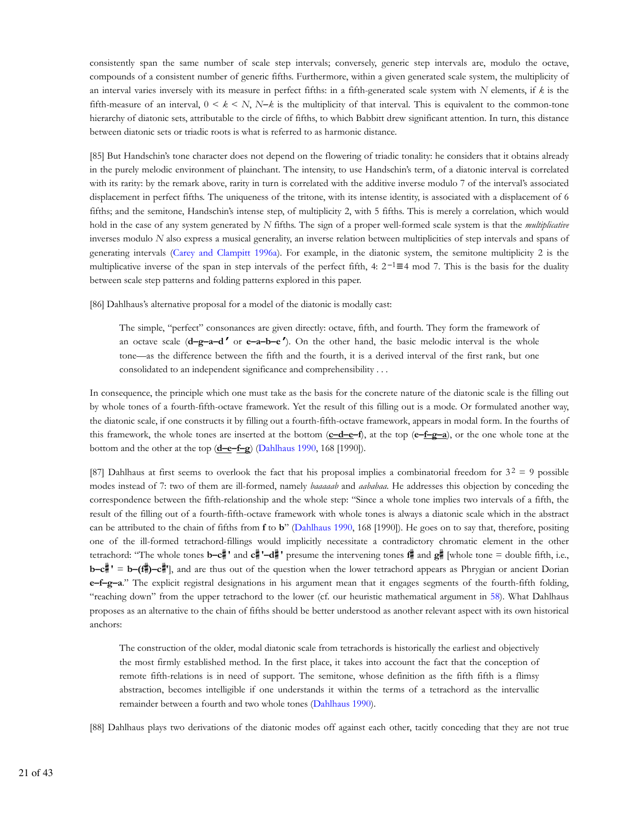consistently span the same number of scale step intervals; conversely, generic step intervals are, modulo the octave, compounds of a consistent number of generic fifths. Furthermore, within a given generated scale system, the multiplicity of an interval varies inversely with its measure in perfect fifths: in a fifth-generated scale system with *N* elements, if *k* is the fifth-measure of an interval,  $0 \le k \le N$ ,  $N-k$  is the multiplicity of that interval. This is equivalent to the common-tone hierarchy of diatonic sets, attributable to the circle of fifths, to which Babbitt drew significant attention. In turn, this distance between diatonic sets or triadic roots is what is referred to as harmonic distance.

[85] But Handschin's tone character does not depend on the flowering of triadic tonality: he considers that it obtains already in the purely melodic environment of plainchant. The intensity, to use Handschin's term, of a diatonic interval is correlated with its rarity: by the remark above, rarity in turn is correlated with the additive inverse modulo 7 of the interval's associated displacement in perfect fifths. The uniqueness of the tritone, with its intense identity, is associated with a displacement of 6 fifths; and the semitone, Handschin's intense step, of multiplicity 2, with 5 fifths. This is merely a correlation, which would hold in the case of any system generated by *N* fifths. The sign of a proper well-formed scale system is that the *multiplicative* inverses modulo *N* also express a musical generality, an inverse relation between multiplicities of step intervals and spans of generating intervals (Carey and Clampitt 1996a). For example, in the diatonic system, the semitone multiplicity 2 is the multiplicative inverse of the span in step intervals of the perfect fifth, 4:  $2^{-1} \equiv 4 \mod 7$ . This is the basis for the duality between scale step patterns and folding patterns explored in this paper.

[86] Dahlhaus's alternative proposal for a model of the diatonic is modally cast:

The simple, "perfect" consonances are given directly: octave, fifth, and fourth. They form the framework of an octave scale (**d–g–a–d ′** or **e–a–b–e ′**). On the other hand, the basic melodic interval is the whole tone—as the difference between the fifth and the fourth, it is a derived interval of the first rank, but one consolidated to an independent significance and comprehensibility . . .

In consequence, the principle which one must take as the basis for the concrete nature of the diatonic scale is the filling out by whole tones of a fourth-fifth-octave framework. Yet the result of this filling out is a mode. Or formulated another way, the diatonic scale, if one constructs it by filling out a fourth-fifth-octave framework, appears in modal form. In the fourths of this framework, the whole tones are inserted at the bottom (**c–d–e–f**), at the top (**e–f–g–a**), or the one whole tone at the bottom and the other at the top (**d–e–f–g**) (Dahlhaus 1990, 168 [1990]).

[87] Dahlhaus at first seems to overlook the fact that his proposal implies a combinatorial freedom for  $3<sup>2</sup> = 9$  possible modes instead of 7: two of them are ill-formed, namely *baaaaab* and *aababaa*. He addresses this objection by conceding the correspondence between the fifth-relationship and the whole step: "Since a whole tone implies two intervals of a fifth, the result of the filling out of a fourth-fifth-octave framework with whole tones is always a diatonic scale which in the abstract can be attributed to the chain of fifths from **f** to **b**" (Dahlhaus 1990, 168 [1990]). He goes on to say that, therefore, positing one of the ill-formed tetrachord-fillings would implicitly necessitate a contradictory chromatic element in the other tetrachord: "The whole tones **b–c**<sup> $\sharp$ </sup> and  $c$ <sup> $\sharp$ </sup>  $\sharp$  -d $\sharp$ <sup> $\sharp$ </sup> presume the intervening tones  $f$  $\sharp$  and  $g$  $\sharp$  [whole tone = double fifth, i.e., **b–c<sup>#</sup>** ' = **b–(f**)–c<sup>#</sup>'], and are thus out of the question when the lower tetrachord appears as Phrygian or ancient Dorian **e–f–g–a**." The explicit registral designations in his argument mean that it engages segments of the fourth-fifth folding, "reaching down" from the upper tetrachord to the lower (cf. our heuristic mathematical argument in 58). What Dahlhaus proposes as an alternative to the chain of fifths should be better understood as another relevant aspect with its own historical anchors:

The construction of the older, modal diatonic scale from tetrachords is historically the earliest and objectively the most firmly established method. In the first place, it takes into account the fact that the conception of remote fifth-relations is in need of support. The semitone, whose definition as the fifth fifth is a flimsy abstraction, becomes intelligible if one understands it within the terms of a tetrachord as the intervallic remainder between a fourth and two whole tones (Dahlhaus 1990).

[88] Dahlhaus plays two derivations of the diatonic modes off against each other, tacitly conceding that they are not true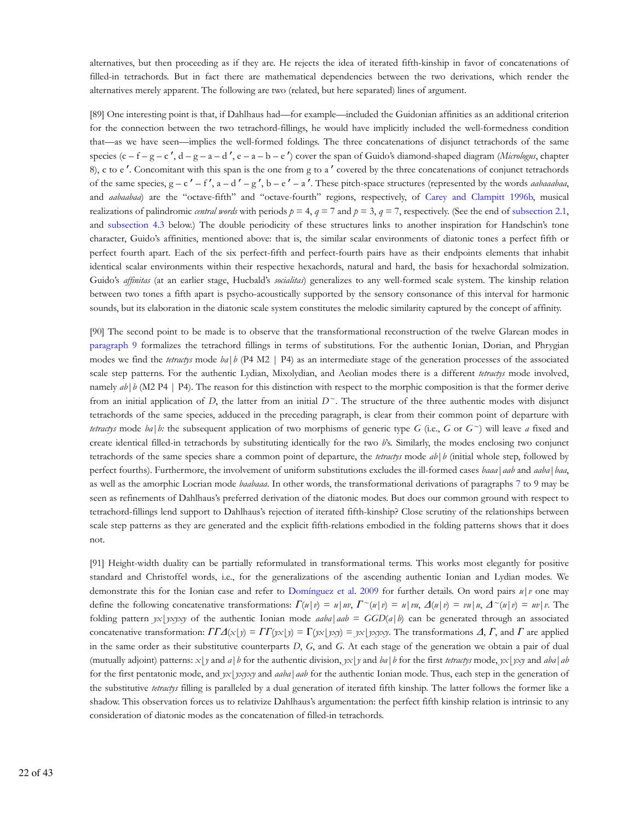alternatives, but then proceeding as if they are. He rejects the idea of iterated fifth-kinship in favor of concatenations of filled-in tetrachords. But in fact there are mathematical dependencies between the two derivations, which render the alternatives merely apparent. The following are two (related, but here separated) lines of argument.

[89] One interesting point is that, if Dahlhaus had—for example—included the Guidonian affinities as an additional criterion for the connection between the two tetrachord-fillings, he would have implicitly included the well-formedness condition that—as we have seen—implies the well-formed foldings. The three concatenations of disjunct tetrachords of the same species (c – f – g – c', d – g – a – d', e – a – b – e') cover the span of Guido's diamond-shaped diagram (*Micrologus*, chapter 8), c to e ′. Concomitant with this span is the one from g to a ′ covered by the three concatenations of conjunct tetrachords of the same species,  $g - c' - f'$ ,  $a - d' - g'$ ,  $b - e' - a'$ . These pitch-space structures (represented by the words *aabaaabaa*, and *aabaabaa*) are the "octave-fifth" and "octave-fourth" regions, respectively, of Carey and Clampitt 1996b, musical realizations of palindromic *central words* with periods  $p = 4$ ,  $q = 7$  and  $p = 3$ ,  $q = 7$ , respectively. (See the end of subsection 2.1, and subsection 4.3 below.) The double periodicity of these structures links to another inspiration for Handschin's tone character, Guido's affinities, mentioned above: that is, the similar scalar environments of diatonic tones a perfect fifth or perfect fourth apart. Each of the six perfect-fifth and perfect-fourth pairs have as their endpoints elements that inhabit identical scalar environments within their respective hexachords, natural and hard, the basis for hexachordal solmization. Guido's *affinitas* (at an earlier stage, Hucbald's *socialitas*) generalizes to any well-formed scale system. The kinship relation between two tones a fifth apart is psycho-acoustically supported by the sensory consonance of this interval for harmonic sounds, but its elaboration in the diatonic scale system constitutes the melodic similarity captured by the concept of affinity.

[90] The second point to be made is to observe that the transformational reconstruction of the twelve Glarean modes in paragraph 9 formalizes the tetrachord fillings in terms of substitutions. For the authentic Ionian, Dorian, and Phrygian modes we find the *tetractys* mode *ba*|*b* (P4 M2 | P4) as an intermediate stage of the generation processes of the associated scale step patterns. For the authentic Lydian, Mixolydian, and Aeolian modes there is a different *tetractys* mode involved, namely  $ab|b$  (M2 P4 | P4). The reason for this distinction with respect to the morphic composition is that the former derive from an initial application of *D*, the latter from an initial  $D^{\sim}$ . The structure of the three authentic modes with disjunct tetrachords of the same species, adduced in the preceding paragraph, is clear from their common point of departure with *tetractys* mode *ba* | *b*: the subsequent application of two morphisms of generic type *G* (i.e., *G* or  $G^{\sim}$ ) will leave *a* fixed and create identical filled-in tetrachords by substituting identically for the two *b*'s. Similarly, the modes enclosing two conjunct tetrachords of the same species share a common point of departure, the *tetractys* mode *ab*|*b* (initial whole step, followed by perfect fourths). Furthermore, the involvement of uniform substitutions excludes the ill-formed cases *baaa*|*aab* and *aaba*|*baa*, as well as the amorphic Locrian mode *baabaaa*. In other words, the transformational derivations of paragraphs 7 to 9 may be seen as refinements of Dahlhaus's preferred derivation of the diatonic modes. But does our common ground with respect to tetrachord-fillings lend support to Dahlhaus's rejection of iterated fifth-kinship? Close scrutiny of the relationships between scale step patterns as they are generated and the explicit fifth-relations embodied in the folding patterns shows that it does not.

[91] Height-width duality can be partially reformulated in transformational terms. This works most elegantly for positive standard and Christoffel words, i.e., for the generalizations of the ascending authentic Ionian and Lydian modes. We demonstrate this for the Ionian case and refer to Domínguez et al. 2009 for further details. On word pairs *u*|*v* one may define the following concatenative transformations:  $\Gamma(u|v) = u|w$ ,  $\Gamma^{\sim}(u|v) = u|vu$ ,  $\Delta(u|v) = vu|u$ ,  $\Delta^{\sim}(u|v) = uv|v$ . The folding pattern  $yx|yxyxy$  of the authentic Ionian mode  $aaba|aab = GGD(a|b)$  can be generated through an associated concatenative transformation:  $\Gamma\Gamma\Delta(x|y) = \Gamma\Gamma(yx|y) = \Gamma(yx|yxy) = yx|yxyxy$ . The transformations *Δ*, *Γ*, and *Γ* are applied in the same order as their substitutive counterparts *D*, *G*, and *G*. At each stage of the generation we obtain a pair of dual (mutually adjoint) patterns: *x* | *y* and *a*| *b* for the authentic division, *yx*|*y* and *ba*|*b* for the first *tetractys* mode, *yx*|*yxy* and *aba*|*ab* for the first pentatonic mode, and *yx*|*yxyxy* and *aaba*|*aab* for the authentic Ionian mode. Thus, each step in the generation of the substitutive *tetractys* filling is paralleled by a dual generation of iterated fifth kinship. The latter follows the former like a shadow. This observation forces us to relativize Dahlhaus's argumentation: the perfect fifth kinship relation is intrinsic to any consideration of diatonic modes as the concatenation of filled-in tetrachords.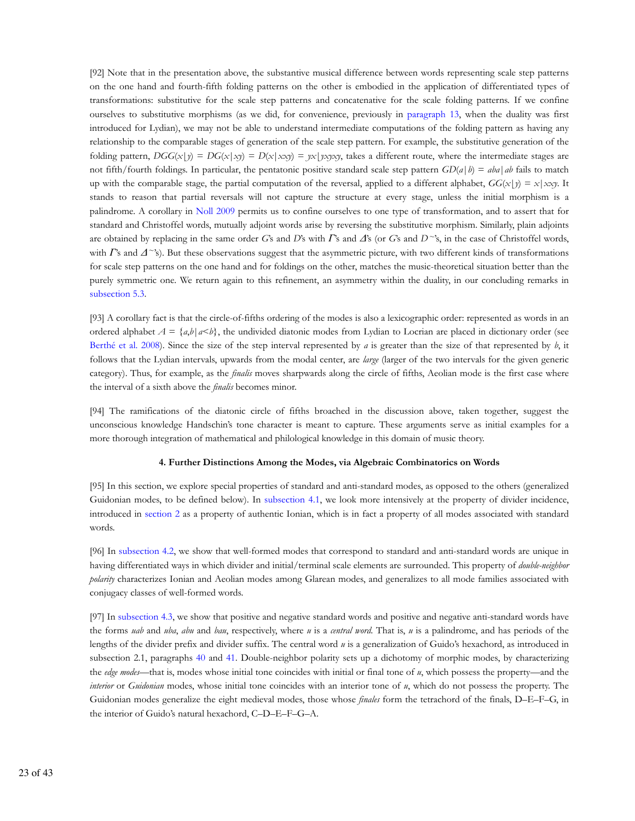[92] Note that in the presentation above, the substantive musical difference between words representing scale step patterns on the one hand and fourth-fifth folding patterns on the other is embodied in the application of differentiated types of transformations: substitutive for the scale step patterns and concatenative for the scale folding patterns. If we confine ourselves to substitutive morphisms (as we did, for convenience, previously in paragraph 13, when the duality was first introduced for Lydian), we may not be able to understand intermediate computations of the folding pattern as having any relationship to the comparable stages of generation of the scale step pattern. For example, the substitutive generation of the folding pattern,  $DGG(x|y) = DG(x|xy) = D(x|xxy) = yx|yxy$ , takes a different route, where the intermediate stages are not fifth/fourth foldings. In particular, the pentatonic positive standard scale step pattern  $GD(a|b) = aba|ab$  fails to match up with the comparable stage, the partial computation of the reversal, applied to a different alphabet,  $GG(x|y) = x|xxy|$ . It stands to reason that partial reversals will not capture the structure at every stage, unless the initial morphism is a palindrome. A corollary in Noll 2009 permits us to confine ourselves to one type of transformation, and to assert that for standard and Christoffel words, mutually adjoint words arise by reversing the substitutive morphism. Similarly, plain adjoints are obtained by replacing in the same order *G*'s and *D*'s with *Γ*'s and *Δ*'s (or *G*'s and *D~*'s, in the case of Christoffel words, with *Γ*'s and *Δ*~'s). But these observations suggest that the asymmetric picture, with two different kinds of transformations for scale step patterns on the one hand and for foldings on the other, matches the music-theoretical situation better than the purely symmetric one. We return again to this refinement, an asymmetry within the duality, in our concluding remarks in subsection 5.3.

[93] A corollary fact is that the circle-of-fifths ordering of the modes is also a lexicographic order: represented as words in an ordered alphabet  $A = \{a,b | a \leq b\}$ , the undivided diatonic modes from Lydian to Locrian are placed in dictionary order (see Berthé et al. 2008). Since the size of the step interval represented by *a* is greater than the size of that represented by *b*, it follows that the Lydian intervals, upwards from the modal center, are *large* (larger of the two intervals for the given generic category). Thus, for example, as the *finalis* moves sharpwards along the circle of fifths, Aeolian mode is the first case where the interval of a sixth above the *finalis* becomes minor.

[94] The ramifications of the diatonic circle of fifths broached in the discussion above, taken together, suggest the unconscious knowledge Handschin's tone character is meant to capture. These arguments serve as initial examples for a more thorough integration of mathematical and philological knowledge in this domain of music theory.

#### **4. Further Distinctions Among the Modes, via Algebraic Combinatorics on Words**

[95] In this section, we explore special properties of standard and anti-standard modes, as opposed to the others (generalized Guidonian modes, to be defined below). In subsection 4.1, we look more intensively at the property of divider incidence, introduced in section 2 as a property of authentic Ionian, which is in fact a property of all modes associated with standard words.

[96] In subsection 4.2, we show that well-formed modes that correspond to standard and anti-standard words are unique in having differentiated ways in which divider and initial/terminal scale elements are surrounded. This property of *double-neighbor polarity* characterizes Ionian and Aeolian modes among Glarean modes, and generalizes to all mode families associated with conjugacy classes of well-formed words.

[97] In subsection 4.3, we show that positive and negative standard words and positive and negative anti-standard words have the forms *uab* and *uba*, *abu* and *bau*, respectively, where *u* is a *central word*. That is, *u* is a palindrome, and has periods of the lengths of the divider prefix and divider suffix. The central word *u* is a generalization of Guido's hexachord, as introduced in subsection 2.1, paragraphs 40 and 41. Double-neighbor polarity sets up a dichotomy of morphic modes, by characterizing the *edge modes*—that is, modes whose initial tone coincides with initial or final tone of *u*, which possess the property—and the *interior* or *Guidonian* modes, whose initial tone coincides with an interior tone of *u*, which do not possess the property. The Guidonian modes generalize the eight medieval modes, those whose *finales* form the tetrachord of the finals, D–E–F–G, in the interior of Guido's natural hexachord, C–D–E–F–G–A.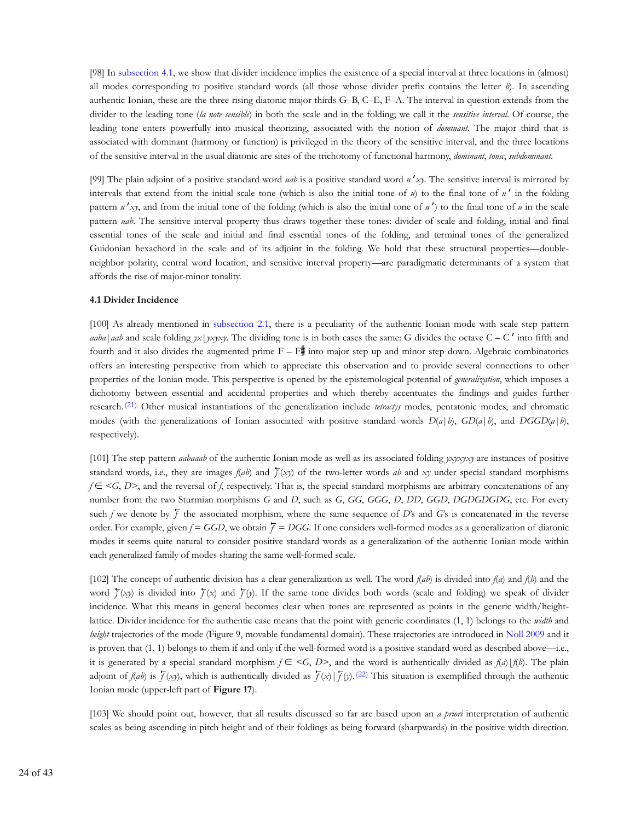[98] In subsection 4.1, we show that divider incidence implies the existence of a special interval at three locations in (almost) all modes corresponding to positive standard words (all those whose divider prefix contains the letter *b*). In ascending authentic Ionian, these are the three rising diatonic major thirds G–B, C–E, F–A. The interval in question extends from the divider to the leading tone (*la note sensible*) in both the scale and in the folding; we call it the *sensitive interval*. Of course, the leading tone enters powerfully into musical theorizing, associated with the notion of *dominant*. The major third that is associated with dominant (harmony or function) is privileged in the theory of the sensitive interval, and the three locations of the sensitive interval in the usual diatonic are sites of the trichotomy of functional harmony, *dominant*, *tonic*, *subdominant*.

[99] The plain adjoint of a positive standard word *uab* is a positive standard word *u* ′*xy*. The sensitive interval is mirrored by intervals that extend from the initial scale tone (which is also the initial tone of *u*) to the final tone of *u* ′ in the folding pattern  $u'$ <sub>*xy*</sub>, and from the initial tone of the folding (which is also the initial tone of  $u'$ ) to the final tone of  $u$  in the scale pattern *uab*. The sensitive interval property thus draws together these tones: divider of scale and folding, initial and final essential tones of the scale and initial and final essential tones of the folding, and terminal tones of the generalized Guidonian hexachord in the scale and of its adjoint in the folding. We hold that these structural properties—doubleneighbor polarity, central word location, and sensitive interval property—are paradigmatic determinants of a system that affords the rise of major-minor tonality.

# **4.1 Divider Incidence**

[100] As already mentioned in subsection 2.1, there is a peculiarity of the authentic Ionian mode with scale step pattern *aaba*|*aab* and scale folding *yx*|*yxyxy*. The dividing tone is in both cases the same: G divides the octave C – C' into fifth and fourth and it also divides the augmented prime  $F - F$  into major step up and minor step down. Algebraic combinatorics offers an interesting perspective from which to appreciate this observation and to provide several connections to other properties of the Ionian mode. This perspective is opened by the epistemological potential of *generalization*, which imposes a dichotomy between essential and accidental properties and which thereby accentuates the findings and guides further research. (21) Other musical instantiations of the generalization include *tetractys* modes, pentatonic modes, and chromatic modes (with the generalizations of Ionian associated with positive standard words  $D(a|b)$ ,  $GD(a|b)$ , and  $DGGD(a|b)$ , respectively).

[101] The step pattern *aabaaab* of the authentic Ionian mode as well as its associated folding *yxyxyxy* are instances of positive standard words, i.e., they are images  $f(ab)$  and  $\overline{f}(xy)$  of the two-letter words *ab* and *xy* under special standard morphisms *f* ∈ <*G*, *D*>, and the reversal of *f*, respectively. That is, the special standard morphisms are arbitrary concatenations of any number from the two Sturmian morphisms *G* and *D*, such as *G*, *GG*, *GGG*, *D*, *DD*, *GGD*, *DGDGDGDG*, etc. For every such *f* we denote by  $\overline{f}$  the associated morphism, where the same sequence of *D*'s and *G*'s is concatenated in the reverse order. For example, given  $f = GGD$ , we obtain  $\bar{f} = DG$ . If one considers well-formed modes as a generalization of diatonic modes it seems quite natural to consider positive standard words as a generalization of the authentic Ionian mode within each generalized family of modes sharing the same well-formed scale.

[102] The concept of authentic division has a clear generalization as well. The word *f*(*ab*) is divided into *f*(*a*) and *f*(*b*) and the word  $\overline{f}(xy)$  is divided into  $\overline{f}(x)$  and  $\overline{f}(y)$ . If the same tone divides both words (scale and folding) we speak of divider incidence. What this means in general becomes clear when tones are represented as points in the generic width/heightlattice. Divider incidence for the authentic case means that the point with generic coordinates (1, 1) belongs to the *width* and *height* trajectories of the mode (Figure 9, movable fundamental domain). These trajectories are introduced in Noll 2009 and it is proven that (1, 1) belongs to them if and only if the well-formed word is a positive standard word as described above—i.e., it is generated by a special standard morphism  $f \in \langle G, D \rangle$ , and the word is authentically divided as  $f(a)|f(b)$ . The plain adjoint of *f(ab*) is  $\overline{f}(x)$ , which is authentically divided as  $\overline{f}(x)$  |  $\overline{f}(y)$ . (22) This situation is exemplified through the authentic Ionian mode (upper-left part of **Figure 17**).

[103] We should point out, however, that all results discussed so far are based upon an *a priori* interpretation of authentic scales as being ascending in pitch height and of their foldings as being forward (sharpwards) in the positive width direction.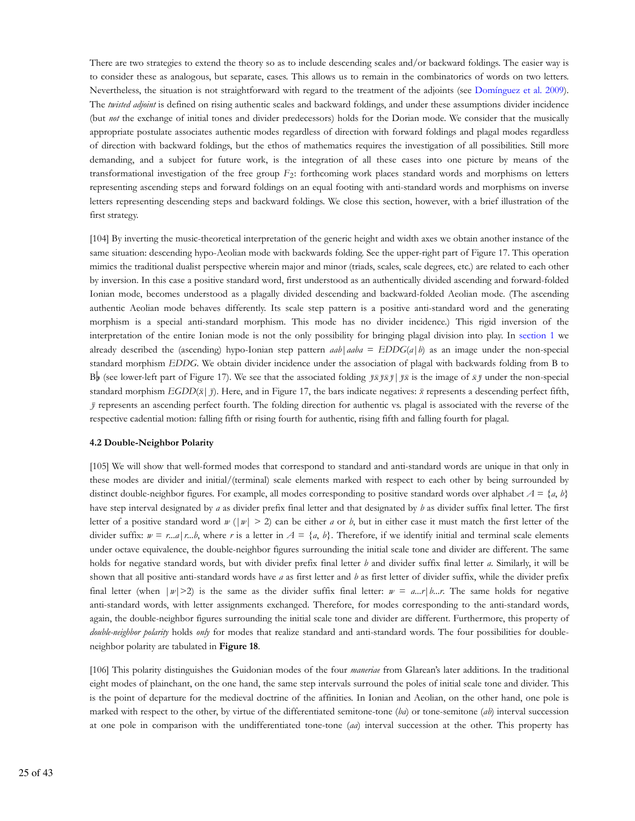There are two strategies to extend the theory so as to include descending scales and/or backward foldings. The easier way is to consider these as analogous, but separate, cases. This allows us to remain in the combinatorics of words on two letters. Nevertheless, the situation is not straightforward with regard to the treatment of the adjoints (see Domínguez et al. 2009). The *twisted adjoint* is defined on rising authentic scales and backward foldings, and under these assumptions divider incidence (but *not* the exchange of initial tones and divider predecessors) holds for the Dorian mode. We consider that the musically appropriate postulate associates authentic modes regardless of direction with forward foldings and plagal modes regardless of direction with backward foldings, but the ethos of mathematics requires the investigation of all possibilities. Still more demanding, and a subject for future work, is the integration of all these cases into one picture by means of the transformational investigation of the free group  $F_2$ : forthcoming work places standard words and morphisms on letters representing ascending steps and forward foldings on an equal footing with anti-standard words and morphisms on inverse letters representing descending steps and backward foldings. We close this section, however, with a brief illustration of the first strategy.

[104] By inverting the music-theoretical interpretation of the generic height and width axes we obtain another instance of the same situation: descending hypo-Aeolian mode with backwards folding. See the upper-right part of Figure 17. This operation mimics the traditional dualist perspective wherein major and minor (triads, scales, scale degrees, etc.) are related to each other by inversion. In this case a positive standard word, first understood as an authentically divided ascending and forward-folded Ionian mode, becomes understood as a plagally divided descending and backward-folded Aeolian mode. (The ascending authentic Aeolian mode behaves differently. Its scale step pattern is a positive anti-standard word and the generating morphism is a special anti-standard morphism. This mode has no divider incidence.) This rigid inversion of the interpretation of the entire Ionian mode is not the only possibility for bringing plagal division into play. In section 1 we already described the (ascending) hypo-Ionian step pattern  $aab \mid ababa = EDDG(a \mid b)$  as an image under the non-special standard morphism *EDDG*. We obtain divider incidence under the association of plagal with backwards folding from B to B (see lower-left part of Figure 17). We see that the associated folding  $\vec{J}\vec{x}\vec{J}\vec{s}$  is the image of  $\vec{x}\vec{J}$  under the non-special standard morphism *EGDD*( $\bar{x}$ |  $\bar{y}$ ). Here, and in Figure 17, the bars indicate negatives:  $\bar{x}$  represents a descending perfect fifth,  $\bar{J}$  represents an ascending perfect fourth. The folding direction for authentic vs. plagal is associated with the reverse of the respective cadential motion: falling fifth or rising fourth for authentic, rising fifth and falling fourth for plagal.

#### **4.2 Double-Neighbor Polarity**

[105] We will show that well-formed modes that correspond to standard and anti-standard words are unique in that only in these modes are divider and initial/(terminal) scale elements marked with respect to each other by being surrounded by distinct double-neighbor figures. For example, all modes corresponding to positive standard words over alphabet  $A = \{a, b\}$ have step interval designated by *a* as divider prefix final letter and that designated by *b* as divider suffix final letter. The first letter of a positive standard word *w* ( $|w| > 2$ ) can be either *a* or *b*, but in either case it must match the first letter of the divider suffix:  $w = r_{\dots} a | r_{\dots} b$ , where r is a letter in  $A = \{a, b\}$ . Therefore, if we identify initial and terminal scale elements under octave equivalence, the double-neighbor figures surrounding the initial scale tone and divider are different. The same holds for negative standard words, but with divider prefix final letter *b* and divider suffix final letter *a*. Similarly, it will be shown that all positive anti-standard words have *a* as first letter and *b* as first letter of divider suffix, while the divider prefix final letter (when  $|w|>2$ ) is the same as the divider suffix final letter:  $w = a...r|b...r$ . The same holds for negative anti-standard words, with letter assignments exchanged. Therefore, for modes corresponding to the anti-standard words, again, the double-neighbor figures surrounding the initial scale tone and divider are different. Furthermore, this property of *double-neighbor polarity* holds *only* for modes that realize standard and anti-standard words. The four possibilities for doubleneighbor polarity are tabulated in **Figure 18**.

[106] This polarity distinguishes the Guidonian modes of the four *maneriae* from Glarean's later additions. In the traditional eight modes of plainchant, on the one hand, the same step intervals surround the poles of initial scale tone and divider. This is the point of departure for the medieval doctrine of the affinities. In Ionian and Aeolian, on the other hand, one pole is marked with respect to the other, by virtue of the differentiated semitone-tone (*ba*) or tone-semitone (*ab*) interval succession at one pole in comparison with the undifferentiated tone-tone (*aa*) interval succession at the other. This property has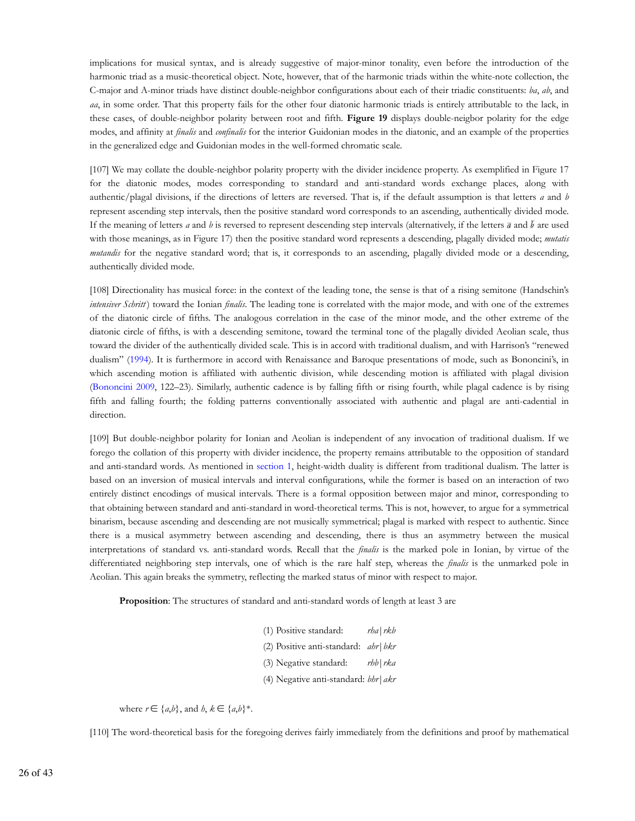implications for musical syntax, and is already suggestive of major-minor tonality, even before the introduction of the harmonic triad as a music-theoretical object. Note, however, that of the harmonic triads within the white-note collection, the C-major and A-minor triads have distinct double-neighbor configurations about each of their triadic constituents: *ba*, *ab*, and *aa*, in some order. That this property fails for the other four diatonic harmonic triads is entirely attributable to the lack, in these cases, of double-neighbor polarity between root and fifth. **Figure 19** displays double-neigbor polarity for the edge modes, and affinity at *finalis* and *confinalis* for the interior Guidonian modes in the diatonic, and an example of the properties in the generalized edge and Guidonian modes in the well-formed chromatic scale.

[107] We may collate the double-neighbor polarity property with the divider incidence property. As exemplified in Figure 17 for the diatonic modes, modes corresponding to standard and anti-standard words exchange places, along with authentic/plagal divisions, if the directions of letters are reversed. That is, if the default assumption is that letters *a* and *b* represent ascending step intervals, then the positive standard word corresponds to an ascending, authentically divided mode. If the meaning of letters *a* and *b* is reversed to represent descending step intervals (alternatively, if the letters  $\bar{a}$  and  $\bar{b}$  are used with those meanings, as in Figure 17) then the positive standard word represents a descending, plagally divided mode; *mutatis mutandis* for the negative standard word; that is, it corresponds to an ascending, plagally divided mode or a descending, authentically divided mode.

[108] Directionality has musical force: in the context of the leading tone, the sense is that of a rising semitone (Handschin's *intensiver Schritt*) toward the Ionian *finalis*. The leading tone is correlated with the major mode, and with one of the extremes of the diatonic circle of fifths. The analogous correlation in the case of the minor mode, and the other extreme of the diatonic circle of fifths, is with a descending semitone, toward the terminal tone of the plagally divided Aeolian scale, thus toward the divider of the authentically divided scale. This is in accord with traditional dualism, and with Harrison's "renewed dualism" (1994). It is furthermore in accord with Renaissance and Baroque presentations of mode, such as Bononcini's, in which ascending motion is affiliated with authentic division, while descending motion is affiliated with plagal division (Bononcini 2009, 122–23). Similarly, authentic cadence is by falling fifth or rising fourth, while plagal cadence is by rising fifth and falling fourth; the folding patterns conventionally associated with authentic and plagal are anti-cadential in direction.

[109] But double-neighbor polarity for Ionian and Aeolian is independent of any invocation of traditional dualism. If we forego the collation of this property with divider incidence, the property remains attributable to the opposition of standard and anti-standard words. As mentioned in section 1, height-width duality is different from traditional dualism. The latter is based on an inversion of musical intervals and interval configurations, while the former is based on an interaction of two entirely distinct encodings of musical intervals. There is a formal opposition between major and minor, corresponding to that obtaining between standard and anti-standard in word-theoretical terms. This is not, however, to argue for a symmetrical binarism, because ascending and descending are not musically symmetrical; plagal is marked with respect to authentic. Since there is a musical asymmetry between ascending and descending, there is thus an asymmetry between the musical interpretations of standard vs. anti-standard words. Recall that the *finalis* is the marked pole in Ionian, by virtue of the differentiated neighboring step intervals, one of which is the rare half step, whereas the *finalis* is the unmarked pole in Aeolian. This again breaks the symmetry, reflecting the marked status of minor with respect to major.

**Proposition**: The structures of standard and anti-standard words of length at least 3 are

(1) Positive standard: *rha*|*rkb* (2) Positive anti-standard: *ahr*|*bkr* (3) Negative standard: *rhb*|*rka* (4) Negative anti-standard: *bhr*|*akr*

where  $r \in \{a,b\}$ , and  $b, k \in \{a,b\}^*$ .

[110] The word-theoretical basis for the foregoing derives fairly immediately from the definitions and proof by mathematical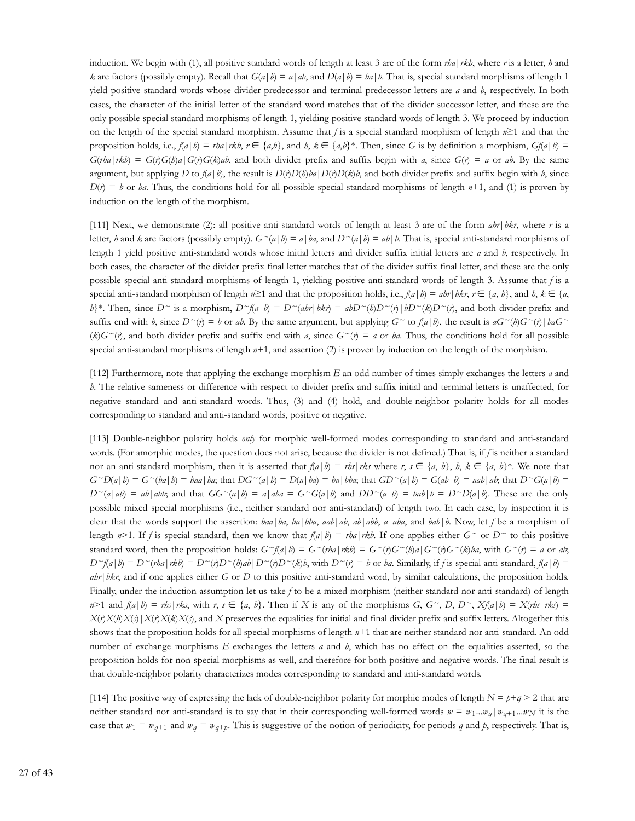induction. We begin with (1), all positive standard words of length at least 3 are of the form *rha*|*rkb*, where *r* is a letter, *h* and *k* are factors (possibly empty). Recall that  $G(a | b) = a | ab$ , and  $D(a | b) = ba | b$ . That is, special standard morphisms of length 1 yield positive standard words whose divider predecessor and terminal predecessor letters are *a* and *b*, respectively. In both cases, the character of the initial letter of the standard word matches that of the divider successor letter, and these are the only possible special standard morphisms of length 1, yielding positive standard words of length 3. We proceed by induction on the length of the special standard morphism. Assume that *f* is a special standard morphism of length *n*≥1 and that the proposition holds, i.e.,  $f(a|b) = rba | rkb, r \in \{a,b\}$ , and  $b, k \in \{a,b\}^*$ . Then, since G is by definition a morphism,  $Gf(a|b) =$  $G(rba | rkb) = G(r)G(b)a | G(r)G(k)ab$ , and both divider prefix and suffix begin with a, since  $G(r) = a$  or ab. By the same argument, but applying D to  $f(a | b)$ , the result is  $D(r)D(b)ba|D(r)D(k)b$ , and both divider prefix and suffix begin with b, since  $D(r) = b$  or *ba*. Thus, the conditions hold for all possible special standard morphisms of length  $n+1$ , and (1) is proven by induction on the length of the morphism.

[111] Next, we demonstrate (2): all positive anti-standard words of length at least 3 are of the form *ahr*|*bkr*, where *r* is a letter, *h* and *k* are factors (possibly empty).  $G^{\sim}(a|b) = a|ba$ , and  $D^{\sim}(a|b) = ab|b$ . That is, special anti-standard morphisms of length 1 yield positive anti-standard words whose initial letters and divider suffix initial letters are *a* and *b*, respectively. In both cases, the character of the divider prefix final letter matches that of the divider suffix final letter, and these are the only possible special anti-standard morphisms of length 1, yielding positive anti-standard words of length 3. Assume that *f* is a special anti-standard morphism of length  $n \geq 1$  and that the proposition holds, i.e.,  $f(a | b) = abr | bkr, r \in \{a, b\}$ , and  $b, k \in \{a, b\}$ b}\*. Then, since  $D^{\sim}$  is a morphism,  $D^{\sim}(a|b) = D^{\sim}(abr|bk) = abD^{\sim}(b)D^{\sim}(r|bb^{\sim}(k)D^{\sim}(r)$ , and both divider prefix and suffix end with *b*, since  $D^{\sim}(r) = b$  or *ab*. By the same argument, but applying  $G^{\sim}$  to  $f(a|b)$ , the result is  $aG^{\sim}(b)G^{\sim}(r) | baG^{\sim}$  $(k)G^{\sim}(r)$ , and both divider prefix and suffix end with *a*, since  $G^{\sim}(r) = a$  or *ba*. Thus, the conditions hold for all possible special anti-standard morphisms of length *n*+1, and assertion (2) is proven by induction on the length of the morphism.

[112] Furthermore, note that applying the exchange morphism *E* an odd number of times simply exchanges the letters *a* and *b*. The relative sameness or difference with respect to divider prefix and suffix initial and terminal letters is unaffected, for negative standard and anti-standard words. Thus, (3) and (4) hold, and double-neighbor polarity holds for all modes corresponding to standard and anti-standard words, positive or negative.

[113] Double-neighbor polarity holds *only* for morphic well-formed modes corresponding to standard and anti-standard words. (For amorphic modes, the question does not arise, because the divider is not defined.) That is, if *f* is neither a standard nor an anti-standard morphism, then it is asserted that  $f(a | b) = rbs | rks$  where  $r, s \in \{a, b\}$ ,  $b, k \in \{a, b\}^*$ . We note that  $G^D(a|b) = G^{\sim}(ba|b) = ba$  | ba; that  $DG^{\sim}(a|b) = D(a|ba) = ba|bba$ ; that  $GD^{\sim}(a|b) = G(ab|b) = aab|ab$ ; that  $D^{\sim}G(a|b) =$  $D^{\sim}(a|ab) = ab|abb$ , and that  $GG^{\sim}(a|b) = a|aba = G^{\sim}G(a|b)$  and  $DD^{\sim}(a|b) = bab|b = D^{\sim}D(a|b)$ . These are the only possible mixed special morphisms (i.e., neither standard nor anti-standard) of length two. In each case, by inspection it is clear that the words support the assertion: *baa*|*ba*, *ba*|*bba*, *aab*|*ab*, *ab*|*abb*, *a*|*aba*, and *bab*|*b*. Now, let *f* be a morphism of length  $n>1$ . If *f* is special standard, then we know that  $f(a | b) = rha | rkb$ . If one applies either  $G<sup>0</sup>$  or  $D<sup>0</sup>$  to this positive standard word, then the proposition holds:  $G^{\sim}(a|b) = G^{\sim}(rba|rkb) = G^{\sim}(r)G^{\sim}(b)a(G^{\sim}(r)G^{\sim}(k)ba)$ , with  $G^{\sim}(r) = a$  or ab,  $D^{\sim}(a|b) = D^{\sim}(rba|rkb) = D^{\sim}(r)D^{\sim}(b)ab|D^{\sim}(r)b$ , with  $D^{\sim}(r) = b$  or ba. Similarly, if f is special anti-standard,  $f(a|b) =$ *ahr*|*bkr*, and if one applies either *G* or *D* to this positive anti-standard word, by similar calculations, the proposition holds. Finally, under the induction assumption let us take *f* to be a mixed morphism (neither standard nor anti-standard) of length  $n>1$  and  $f(a|b) = rbs | rks$ , with  $r, s \in \{a, b\}$ . Then if X is any of the morphisms  $G, G \sim D, D \sim X f(a|b) = X (rbs | rks) = Y f(x)$  $X(t)X(t)X(s)X(t)X(t)$ , and X preserves the equalities for initial and final divider prefix and suffix letters. Altogether this shows that the proposition holds for all special morphisms of length *n*+1 that are neither standard nor anti-standard. An odd number of exchange morphisms *E* exchanges the letters *a* and *b*, which has no effect on the equalities asserted, so the proposition holds for non-special morphisms as well, and therefore for both positive and negative words. The final result is that double-neighbor polarity characterizes modes corresponding to standard and anti-standard words.

[114] The positive way of expressing the lack of double-neighbor polarity for morphic modes of length  $N = p+q > 2$  that are neither standard nor anti-standard is to say that in their corresponding well-formed words  $w = w_1...w_q | w_{q+1}...w_N$  it is the case that  $w_1 = w_{q+1}$  and  $w_q = w_{q+p}$ . This is suggestive of the notion of periodicity, for periods q and p, respectively. That is,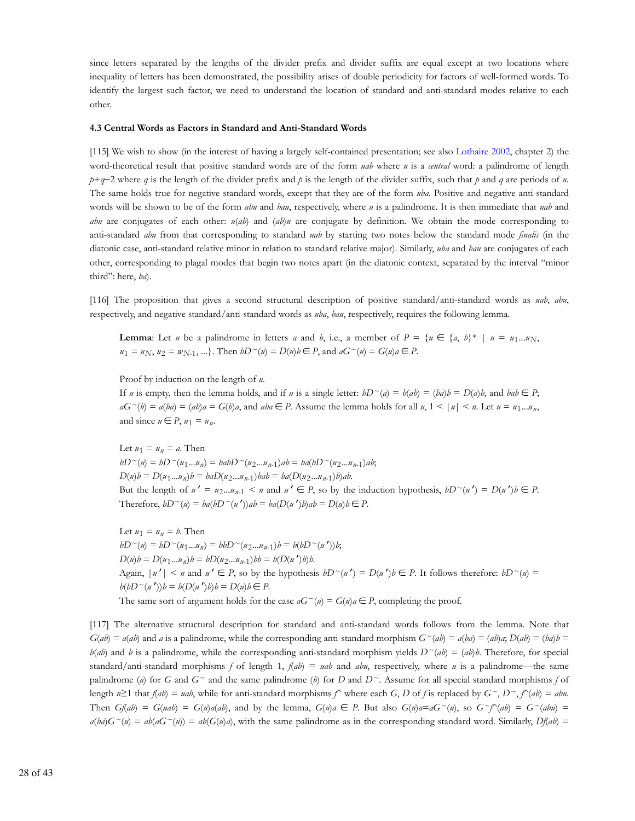since letters separated by the lengths of the divider prefix and divider suffix are equal except at two locations where inequality of letters has been demonstrated, the possibility arises of double periodicity for factors of well-formed words. To identify the largest such factor, we need to understand the location of standard and anti-standard modes relative to each other.

#### **4.3 Central Words as Factors in Standard and Anti-Standard Words**

[115] We wish to show (in the interest of having a largely self-contained presentation; see also Lothaire 2002, chapter 2) the word-theoretical result that positive standard words are of the form *uab* where *u* is a *central* word: a palindrome of length *p*+*q*−2 where *q* is the length of the divider prefix and *p* is the length of the divider suffix, such that *p* and *q* are periods of *u*. The same holds true for negative standard words, except that they are of the form *uba*. Positive and negative anti-standard words will be shown to be of the form *abu* and *bau*, respectively, where *u* is a palindrome. It is then immediate that *uab* and *abu* are conjugates of each other:  $u(ab)$  and  $(ab)u$  are conjugate by definition. We obtain the mode corresponding to anti-standard *abu* from that corresponding to standard *uab* by starting two notes below the standard mode *finalis* (in the diatonic case, anti-standard relative minor in relation to standard relative major). Similarly, *uba* and *bau* are conjugates of each other, corresponding to plagal modes that begin two notes apart (in the diatonic context, separated by the interval "minor third": here, *ba*).

[116] The proposition that gives a second structural description of positive standard/anti-standard words as *uab*, *abu*, respectively, and negative standard/anti-standard words as *uba*, *bau*, respectively, requires the following lemma.

**Lemma**: Let *u* be a palindrome in letters *a* and *b*, i.e., a member of  $P = \{u \in \{a, b\}^* \mid u = u_1...u_N\}$ *u*<sub>1</sub> = *u*<sub>N</sub>, *u*<sub>2</sub> = *w*<sub>N-1</sub>, ...}. Then *bD*  $\sim$  (*u*) = *D*(*u*)*b* ∈ *P*, and *aG*  $\sim$  (*u*) = *G*(*u*)*a* ∈ *P*.

Proof by induction on the length of *u*.

If *u* is empty, then the lemma holds, and if *u* is a single letter:  $bD^{\sim}(a) = b(ab) = (ba)b = D(a)b$ , and  $bab \in P$ ;  $aG^{\sim}(b) = a(ba) = (ab)a = G(b)a$ , and  $aba \in P$ . Assume the lemma holds for all  $u, 1 \le |u| \le n$ . Let  $u = u_1...u_n$ , and since  $u \in P$ ,  $u_1 = u_n$ .

Let  $u_1 = u_n = a$ . Then  $bD^{\sim}(u) = bD^{\sim}(u_1...u_n) = babD^{\sim}(u_2...u_{n-1})ab = ba(bD^{\sim}(u_2...u_{n-1})ab;$  $D(u)b = D(u_1...u_n)b = baD(u_2...u_{n-1})bab = ba(D(u_2...u_{n-1})b)ab.$ But the length of  $u' = u_2...u_{n-1} < n$  and  $u' \in P$ , so by the induction hypothesis,  $bD^{\sim}(u') = D(u')b \in P$ . Therefore,  $bD^{\sim}(u) = ba(bD^{\sim}(u'))ab = ba(D(u')b)ab = D(u)b \in P$ .

Let  $u_1 = u_n = b$ . Then  $bD^{\sim}(u) = bD^{\sim}(u_1...u_n) = bbD^{\sim}(u_2...u_{n-1})b = b(bD^{\sim}(u'))b;$  $D(u)b = D(u_1...u_n)b = bD(u_2...u_{n-1})bb = b(D(u')b)$ *b.* Again,  $|u'| < n$  and  $u' \in P$ , so by the hypothesis  $bD^{\sim}(u') = D(u')b \in P$ . It follows therefore:  $bD^{\sim}(u)$ *b*(*bD* ∼(*u* ′))*b* = *b*(*D*(*u* ′)*b*)*b* = *D*(*u*)*b* ∈ *P*. The same sort of argument holds for the case  $aG^{\sim}(u) = G(u)a \in P$ , completing the proof.

[117] The alternative structural description for standard and anti-standard words follows from the lemma. Note that  $G(ab) = a(ab)$  and a is a palindrome, while the corresponding anti-standard morphism  $G^{\sim}(ab) = a(ba) = (ab)a$ ,  $D(ab) = (ba)b = (ba)b$ *b*(*ab*) and *b* is a palindrome, while the corresponding anti-standard morphism yields  $D^{\sim}(ab) = (ab)b$ . Therefore, for special standard/anti-standard morphisms *f* of length 1,  $f(ab) = uab$  and  $abu$ , respectively, where *u* is a palindrome—the same palindrome (*a*) for *G* and  $G^{\sim}$  and the same palindrome (*b*) for *D* and  $D^{\sim}$ . Assume for all special standard morphisms *f* of length  $n \geq 1$  that  $f(ab) = uab$ , while for anti-standard morphisms  $f^{\wedge}$  where each *G*, *D* of *f* is replaced by  $G^{\sim}$ ,  $D^{\sim}$ ,  $f^{\wedge}(ab) = abu$ . Then  $G(d\theta) = G(ud\theta) = G(u)d(d\theta)$ , and by the lemma,  $G(u)d \in P$ . But also  $G(u)d = dG^{\sim}(u)$ , so  $G^{\sim}(G^{\sim}(du)) = G^{\sim}(du)$  $a(ba)G^{\sim}(a) = ab(aG^{\sim}(a)) = ab(G(a)a)$ , with the same palindrome as in the corresponding standard word. Similarly,  $Df(ab) =$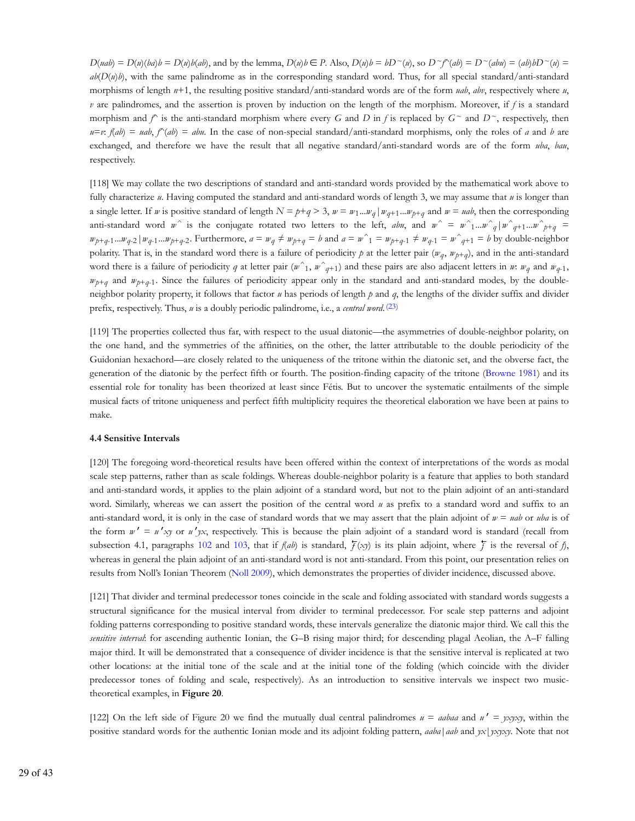$D(udb) = D(u)(bab) = D(u)b(ab)$ , and by the lemma,  $D(u)b \in P$ . Also,  $D(u)b = bD^{\sim}(u)$ , so  $D^{\sim}f^{\sim}(ab) = D^{\sim}(ab)bD^{\sim}(u) =$  $ab(D(u)b)$ , with the same palindrome as in the corresponding standard word. Thus, for all special standard/anti-standard morphisms of length *n*+1, the resulting positive standard/anti-standard words are of the form *uab*, *abv*, respectively where *u*, *v* are palindromes, and the assertion is proven by induction on the length of the morphism. Moreover, if *f* is a standard morphism and  $f^*$  is the anti-standard morphism where every *G* and *D* in *f* is replaced by  $G^*$  and  $D^*$ , respectively, then  $u=v$ :  $f(ab) = uab$ ,  $f^{\prime}(ab) = abu$ . In the case of non-special standard/anti-standard morphisms, only the roles of *a* and *b* are exchanged, and therefore we have the result that all negative standard/anti-standard words are of the form *uba*, *bau*, respectively.

[118] We may collate the two descriptions of standard and anti-standard words provided by the mathematical work above to fully characterize *u*. Having computed the standard and anti-standard words of length 3, we may assume that *u* is longer than a single letter. If w is positive standard of length  $N = p+q > 3$ ,  $w = w_1...w_q | w_{q+1}...w_{p+q}$  and  $w = uab$ , then the corresponding anti-standard word *w*<sup> $\wedge$ </sup> is the conjugate rotated two letters to the left, *abu*, and  $w^{\wedge} = w^{\wedge}$  ...*w*<sup> $\wedge$ </sup>  $q$  |  $w^{\wedge}$   $q$  +1 ...*w*<sup> $\wedge$ </sup>  $_{p+q} =$  $w_{p+q-1}...w_{q-2}$   $|w_{q-1}...w_{p+q-2}$ . Furthermore,  $a = w_q \neq w_{p+q} = b$  and  $a = w_1 = w_{p+q-1} = w_{q+1} = w_{q+1} = b$  by double-neighbor polarity. That is, in the standard word there is a failure of periodicity p at the letter pair  $(w_q, w_{p+q})$ , and in the anti-standard word there is a failure of periodicity *q* at letter pair  $(w^1, w^2, q+1)$  and these pairs are also adjacent letters in *w*:  $w_q$  and  $w_{q-1}$ ,  $w_{p+q}$  and  $w_{p+q-1}$ . Since the failures of periodicity appear only in the standard and anti-standard modes, by the doubleneighbor polarity property, it follows that factor *u* has periods of length *p* and *q*, the lengths of the divider suffix and divider prefix, respectively. Thus, *u* is a doubly periodic palindrome, i.e., a *central word*. (23)

[119] The properties collected thus far, with respect to the usual diatonic—the asymmetries of double-neighbor polarity, on the one hand, and the symmetries of the affinities, on the other, the latter attributable to the double periodicity of the Guidonian hexachord—are closely related to the uniqueness of the tritone within the diatonic set, and the obverse fact, the generation of the diatonic by the perfect fifth or fourth. The position-finding capacity of the tritone (Browne 1981) and its essential role for tonality has been theorized at least since Fétis. But to uncover the systematic entailments of the simple musical facts of tritone uniqueness and perfect fifth multiplicity requires the theoretical elaboration we have been at pains to make.

# **4.4 Sensitive Intervals**

[120] The foregoing word-theoretical results have been offered within the context of interpretations of the words as modal scale step patterns, rather than as scale foldings. Whereas double-neighbor polarity is a feature that applies to both standard and anti-standard words, it applies to the plain adjoint of a standard word, but not to the plain adjoint of an anti-standard word. Similarly, whereas we can assert the position of the central word *u* as prefix to a standard word and suffix to an anti-standard word, it is only in the case of standard words that we may assert that the plain adjoint of  $w =$  *uab* or *uba* is of the form  $w' = u'xy$  or  $u'yx$ , respectively. This is because the plain adjoint of a standard word is standard (recall from subsection 4.1, paragraphs 102 and 103, that if  $f(ab)$  is standard,  $\overline{f}(xy)$  is its plain adjoint, where  $\overline{f}$  is the reversal of  $f$ ), whereas in general the plain adjoint of an anti-standard word is not anti-standard. From this point, our presentation relies on results from Noll's Ionian Theorem (Noll 2009), which demonstrates the properties of divider incidence, discussed above.

[121] That divider and terminal predecessor tones coincide in the scale and folding associated with standard words suggests a structural significance for the musical interval from divider to terminal predecessor. For scale step patterns and adjoint folding patterns corresponding to positive standard words, these intervals generalize the diatonic major third. We call this the *sensitive interval*: for ascending authentic Ionian, the G–B rising major third; for descending plagal Aeolian, the A–F falling major third. It will be demonstrated that a consequence of divider incidence is that the sensitive interval is replicated at two other locations: at the initial tone of the scale and at the initial tone of the folding (which coincide with the divider predecessor tones of folding and scale, respectively). As an introduction to sensitive intervals we inspect two musictheoretical examples, in **Figure 20**.

[122] On the left side of Figure 20 we find the mutually dual central palindromes *u* = *aabaa* and *u* ′ = *yxyxy*, within the positive standard words for the authentic Ionian mode and its adjoint folding pattern, *aaba*|*aab* and *yx*|*yxyxy*. Note that not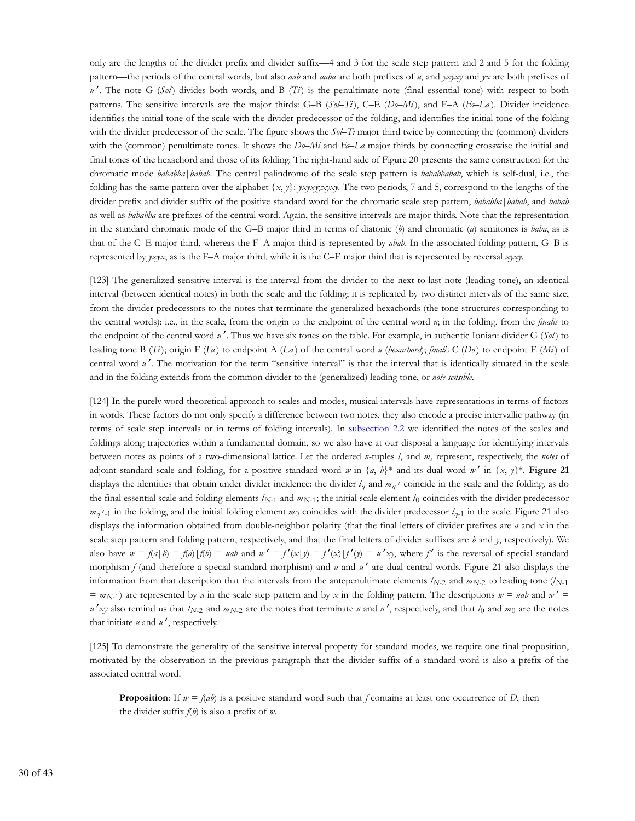only are the lengths of the divider prefix and divider suffix—4 and 3 for the scale step pattern and 2 and 5 for the folding pattern—the periods of the central words, but also *aab* and *aaba* are both prefixes of *u*, and *yxyxy* and *yx* are both prefixes of  $u'$ . The note G (*Sol*) divides both words, and B (*Ti*) is the penultimate note (final essential tone) with respect to both patterns. The sensitive intervals are the major thirds: G–B (*Sol*–*Ti* ), C–E (*Do*–*Mi* ), and F–A (*Fa*–*La* ). Divider incidence identifies the initial tone of the scale with the divider predecessor of the folding, and identifies the initial tone of the folding with the divider predecessor of the scale. The figure shows the  $S_0$ –*Ti* major third twice by connecting the (common) dividers with the (common) penultimate tones. It shows the *Do*–*Mi* and *Fa*–*La* major thirds by connecting crosswise the initial and final tones of the hexachord and those of its folding. The right-hand side of Figure 20 presents the same construction for the chromatic mode *bababba*|*babab*. The central palindrome of the scale step pattern is *bababbabab*, which is self-dual, i.e., the folding has the same pattern over the alphabet {*x*, *y*}: *yxyxyyxyxy*. The two periods, 7 and 5, correspond to the lengths of the divider prefix and divider suffix of the positive standard word for the chromatic scale step pattern, *bababba*|*babab*, and *babab* as well as *bababba* are prefixes of the central word. Again, the sensitive intervals are major thirds. Note that the representation in the standard chromatic mode of the G–B major third in terms of diatonic (*b*) and chromatic (*a*) semitones is *baba*, as is that of the C–E major third, whereas the F–A major third is represented by *abab*. In the associated folding pattern, G–B is represented by *yxyx*, as is the F–A major third, while it is the C–E major third that is represented by reversal *xyxy*.

[123] The generalized sensitive interval is the interval from the divider to the next-to-last note (leading tone), an identical interval (between identical notes) in both the scale and the folding; it is replicated by two distinct intervals of the same size, from the divider predecessors to the notes that terminate the generalized hexachords (the tone structures corresponding to the central words): i.e., in the scale, from the origin to the endpoint of the central word *u*; in the folding, from the *finalis* to the endpoint of the central word *u* ′. Thus we have six tones on the table. For example, in authentic Ionian: divider G (*Sol* ) to leading tone B (*Ti* ); origin F (*Fa* ) to endpoint A (*La* ) of the central word *u* (*hexachord*); *finalis* C (*Do* ) to endpoint E (*Mi* ) of central word *u'*. The motivation for the term "sensitive interval" is that the interval that is identically situated in the scale and in the folding extends from the common divider to the (generalized) leading tone, or *note sensible*.

[124] In the purely word-theoretical approach to scales and modes, musical intervals have representations in terms of factors in words. These factors do not only specify a difference between two notes, they also encode a precise intervallic pathway (in terms of scale step intervals or in terms of folding intervals). In subsection 2.2 we identified the notes of the scales and foldings along trajectories within a fundamental domain, so we also have at our disposal a language for identifying intervals between notes as points of a two-dimensional lattice. Let the ordered *n*-tuples  $l_i$  and  $m_i$  represent, respectively, the *notes* of adjoint standard scale and folding, for a positive standard word *w* in  $\{a, b\}^*$  and its dual word *w'* in  $\{x, y\}^*$ . **Figure 21** displays the identities that obtain under divider incidence: the divider  $l_q$  and  $m_q$  *coincide in the scale and the folding, as do* the final essential scale and folding elements  $l_{N-1}$  and  $m_{N-1}$ ; the initial scale element  $l_0$  coincides with the divider predecessor  $m_q$  <sup>*r*</sup>-1 in the folding, and the initial folding element  $m_0$  coincides with the divider predecessor  $l_{q-1}$  in the scale. Figure 21 also displays the information obtained from double-neighbor polarity (that the final letters of divider prefixes are *a* and *x* in the scale step pattern and folding pattern, respectively, and that the final letters of divider suffixes are *b* and *y*, respectively). We also have  $w = f(a | b) = f(a) | f(b) = uab$  and  $w' = f'(x | y) = f'(x) | f'(y) = u'xy$ , where f' is the reversal of special standard morphism *f* (and therefore a special standard morphism) and *u* and *u'* are dual central words. Figure 21 also displays the information from that description that the intervals from the antepenultimate elements  $l_{N-2}$  and  $m_{N-2}$  to leading tone  $(l_{N-1})$  $= m_{N-1}$ ) are represented by *a* in the scale step pattern and by *x* in the folding pattern. The descriptions  $w = uab$  and  $w' = u$  $u'$ *xy* also remind us that  $l_{N-2}$  and  $m_{N-2}$  are the notes that terminate *u* and *u'*, respectively, and that  $l_0$  and  $m_0$  are the notes that initiate *u* and *u* ′, respectively.

[125] To demonstrate the generality of the sensitive interval property for standard modes, we require one final proposition, motivated by the observation in the previous paragraph that the divider suffix of a standard word is also a prefix of the associated central word.

**Proposition:** If  $w = f(ab)$  is a positive standard word such that *f* contains at least one occurrence of *D*, then the divider suffix *f*(*b*) is also a prefix of *w*.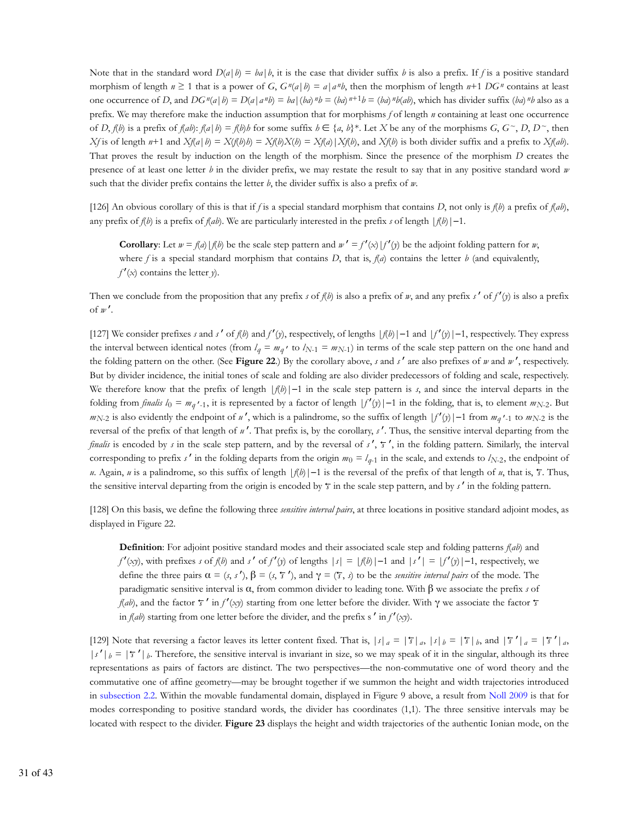Note that in the standard word  $D(a | b) = ba | b$ , it is the case that divider suffix *b* is also a prefix. If *f* is a positive standard morphism of length  $n \ge 1$  that is a power of *G*,  $G^n(a|b) = a|a^n b$ , then the morphism of length  $n+1 DG^n$  contains at least one occurrence of D, and  $DG''(a|b) = D(a|a^n b) = ba|(ba)^n b = (ba)^{n+1}b = (ba)^n b(ab)$ , which has divider suffix  $(ba)^n b$  also as a prefix. We may therefore make the induction assumption that for morphisms *f* of length *n* containing at least one occurrence of D,  $f(b)$  is a prefix of  $f(ab)$ :  $f(a|b) = f(b)b$  for some suffix  $b \in \{a, b\}^*$ . Let X be any of the morphisms  $G, G^{\sim}, D, D^{\sim}$ , then  $Xf$  is of length n+1 and  $Xf(a|b) = Xf(b)X(b) = Xf(a)Xf(b)$ , and  $Xf(b)$  is both divider suffix and a prefix to  $Xf(ab)$ . That proves the result by induction on the length of the morphism. Since the presence of the morphism *D* creates the presence of at least one letter *b* in the divider prefix, we may restate the result to say that in any positive standard word *w* such that the divider prefix contains the letter *b*, the divider suffix is also a prefix of *w*.

[126] An obvious corollary of this is that if *f* is a special standard morphism that contains *D*, not only is *f*(*b*) a prefix of *f*(*ab*), any prefix of  $f(b)$  is a prefix of  $f(ab)$ . We are particularly interested in the prefix *s* of length  $|f(b)|-1$ .

**Corollary**: Let  $w = f(a) | f(b)$  be the scale step pattern and  $w' = f'(x) | f'(y)$  be the adjoint folding pattern for *w*, where  $f$  is a special standard morphism that contains  $D$ , that is,  $f(d)$  contains the letter  $b$  (and equivalently,  $f'(x)$  contains the letter *y*).

Then we conclude from the proposition that any prefix *s* of *f*(*b*) is also a prefix of *w*, and any prefix *s*′ of *f*′(*y*) is also a prefix of *w* ′.

[127] We consider prefixes *s* and *s*′ of *f*(*b*) and *f*′(*y*), respectively, of lengths |*f*(*b*)|−1 and |*f*′(*y*)|−1, respectively. They express the interval between identical notes (from  $l_q = m_q$ , to  $l_{N-1} = m_{N-1}$ ) in terms of the scale step pattern on the one hand and the folding pattern on the other. (See **Figure 22**.) By the corollary above, *s* and *s*′ are also prefixes of *w* and *w* ′, respectively. But by divider incidence, the initial tones of scale and folding are also divider predecessors of folding and scale, respectively. We therefore know that the prefix of length |*f*(*b*)|−1 in the scale step pattern is *s*, and since the interval departs in the folding from *finalis*  $l_0 = m_q$  '-1, it is represented by a factor of length  $|f'(y)|-1$  in the folding, that is, to element  $m_{N-2}$ . But  $m_{N-2}$  is also evidently the endpoint of *u'*, which is a palindrome, so the suffix of length  $|f'(y)|-1$  from  $m_q' \cdot 1$  to  $m_{N-2}$  is the reversal of the prefix of that length of *u* ′. That prefix is, by the corollary, *s*′. Thus, the sensitive interval departing from the *finalis* is encoded by *s* in the scale step pattern, and by the reversal of *s'*,  $\bar{y}$ ', in the folding pattern. Similarly, the interval corresponding to prefix *s'* in the folding departs from the origin  $m_0 = l_{q-1}$  in the scale, and extends to  $l_{N-2}$ , the endpoint of *u*. Again, *u* is a palindrome, so this suffix of length  $|f(b)|-1$  is the reversal of the prefix of that length of *u*, that is,  $\bar{f}$ . Thus, the sensitive interval departing from the origin is encoded by  $\bar{\tau}$  in the scale step pattern, and by  $s'$  in the folding pattern.

[128] On this basis, we define the following three *sensitive interval pairs*, at three locations in positive standard adjoint modes, as displayed in Figure 22.

**Definition**: For adjoint positive standard modes and their associated scale step and folding patterns *f*(*ab*) and *f*<sup>′</sup>(*xy*), with prefixes *s* of *f*(*b*) and *s*<sup>′</sup> of *f*<sup>′</sup>(*y*) of lengths  $|s| = |f(b)|-1$  and  $|s'|\equiv |f'(y)|-1$ , respectively, we define the three pairs  $\alpha = (s, s')$ ,  $\beta = (s, \tau')$ , and  $\gamma = (\tau, s)$  to be the *sensitive interval pairs* of the mode. The paradigmatic sensitive interval is α, from common divider to leading tone. With β we associate the prefix *s* of *f*(*ab*), and the factor  $\bar{r}$  in  $f'(x\bar{y})$  starting from one letter before the divider. With  $\gamma$  we associate the factor  $\bar{r}$ in  $f(ab)$  starting from one letter before the divider, and the prefix s' in  $f'(x)$ .

[129] Note that reversing a factor leaves its letter content fixed. That is,  $|s|_a = |\overline{s}|_a$ ,  $|s|_b = |\overline{s}|_b$ , and  $|\overline{s}|_a = |\overline{s}|_a$ ,  $|s'|_b = |\overline{s}|_b$ . Therefore, the sensitive interval is invariant in size, so we may speak of it in the singular, although its three representations as pairs of factors are distinct. The two perspectives—the non-commutative one of word theory and the commutative one of affine geometry—may be brought together if we summon the height and width trajectories introduced in subsection 2.2. Within the movable fundamental domain, displayed in Figure 9 above, a result from Noll 2009 is that for modes corresponding to positive standard words, the divider has coordinates (1,1). The three sensitive intervals may be located with respect to the divider. **Figure 23** displays the height and width trajectories of the authentic Ionian mode, on the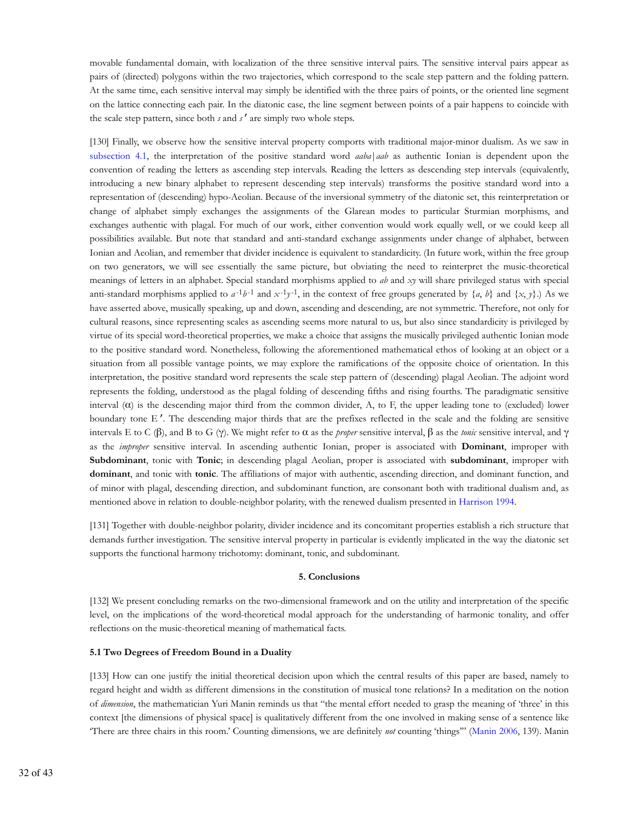movable fundamental domain, with localization of the three sensitive interval pairs. The sensitive interval pairs appear as pairs of (directed) polygons within the two trajectories, which correspond to the scale step pattern and the folding pattern. At the same time, each sensitive interval may simply be identified with the three pairs of points, or the oriented line segment on the lattice connecting each pair. In the diatonic case, the line segment between points of a pair happens to coincide with the scale step pattern, since both *s* and *s*′ are simply two whole steps.

[130] Finally, we observe how the sensitive interval property comports with traditional major-minor dualism. As we saw in subsection 4.1, the interpretation of the positive standard word *aaba*|*aab* as authentic Ionian is dependent upon the convention of reading the letters as ascending step intervals. Reading the letters as descending step intervals (equivalently, introducing a new binary alphabet to represent descending step intervals) transforms the positive standard word into a representation of (descending) hypo-Aeolian. Because of the inversional symmetry of the diatonic set, this reinterpretation or change of alphabet simply exchanges the assignments of the Glarean modes to particular Sturmian morphisms, and exchanges authentic with plagal. For much of our work, either convention would work equally well, or we could keep all possibilities available. But note that standard and anti-standard exchange assignments under change of alphabet, between Ionian and Aeolian, and remember that divider incidence is equivalent to standardicity. (In future work, within the free group on two generators, we will see essentially the same picture, but obviating the need to reinterpret the music-theoretical meanings of letters in an alphabet. Special standard morphisms applied to *ab* and *xy* will share privileged status with special anti-standard morphisms applied to  $a^{-1}b^{-1}$  and  $x^{-1}y^{-1}$ , in the context of free groups generated by  $\{a, b\}$  and  $\{x, y\}$ .) As we have asserted above, musically speaking, up and down, ascending and descending, are not symmetric. Therefore, not only for cultural reasons, since representing scales as ascending seems more natural to us, but also since standardicity is privileged by virtue of its special word-theoretical properties, we make a choice that assigns the musically privileged authentic Ionian mode to the positive standard word. Nonetheless, following the aforementioned mathematical ethos of looking at an object or a situation from all possible vantage points, we may explore the ramifications of the opposite choice of orientation. In this interpretation, the positive standard word represents the scale step pattern of (descending) plagal Aeolian. The adjoint word represents the folding, understood as the plagal folding of descending fifths and rising fourths. The paradigmatic sensitive interval (α) is the descending major third from the common divider, A, to F, the upper leading tone to (excluded) lower boundary tone E ′. The descending major thirds that are the prefixes reflected in the scale and the folding are sensitive intervals E to C (β), and B to G (γ). We might refer to α as the *proper* sensitive interval, β as the *tonic* sensitive interval, and γ as the *improper* sensitive interval. In ascending authentic Ionian, proper is associated with **Dominant**, improper with **Subdominant**, tonic with **Tonic**; in descending plagal Aeolian, proper is associated with **subdominant**, improper with **dominant**, and tonic with **tonic**. The affiliations of major with authentic, ascending direction, and dominant function, and of minor with plagal, descending direction, and subdominant function, are consonant both with traditional dualism and, as mentioned above in relation to double-neighbor polarity, with the renewed dualism presented in Harrison 1994.

[131] Together with double-neighbor polarity, divider incidence and its concomitant properties establish a rich structure that demands further investigation. The sensitive interval property in particular is evidently implicated in the way the diatonic set supports the functional harmony trichotomy: dominant, tonic, and subdominant.

#### **5. Conclusions**

[132] We present concluding remarks on the two-dimensional framework and on the utility and interpretation of the specific level, on the implications of the word-theoretical modal approach for the understanding of harmonic tonality, and offer reflections on the music-theoretical meaning of mathematical facts.

#### **5.1 Two Degrees of Freedom Bound in a Duality**

[133] How can one justify the initial theoretical decision upon which the central results of this paper are based, namely to regard height and width as different dimensions in the constitution of musical tone relations? In a meditation on the notion of *dimension*, the mathematician Yuri Manin reminds us that "the mental effort needed to grasp the meaning of 'three' in this context [the dimensions of physical space] is qualitatively different from the one involved in making sense of a sentence like 'There are three chairs in this room.' Counting dimensions, we are definitely *not* counting 'things'" (Manin 2006, 139). Manin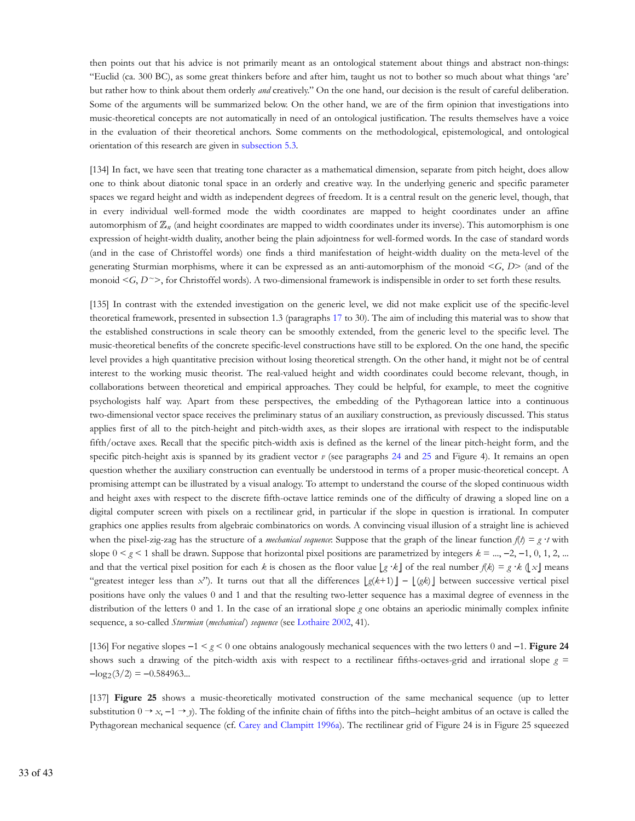then points out that his advice is not primarily meant as an ontological statement about things and abstract non-things: "Euclid (ca. 300 BC), as some great thinkers before and after him, taught us not to bother so much about what things 'are' but rather how to think about them orderly *and* creatively." On the one hand, our decision is the result of careful deliberation. Some of the arguments will be summarized below. On the other hand, we are of the firm opinion that investigations into music-theoretical concepts are not automatically in need of an ontological justification. The results themselves have a voice in the evaluation of their theoretical anchors. Some comments on the methodological, epistemological, and ontological orientation of this research are given in subsection 5.3.

[134] In fact, we have seen that treating tone character as a mathematical dimension, separate from pitch height, does allow one to think about diatonic tonal space in an orderly and creative way. In the underlying generic and specific parameter spaces we regard height and width as independent degrees of freedom. It is a central result on the generic level, though, that in every individual well-formed mode the width coordinates are mapped to height coordinates under an affine automorphism of  $\mathbb{Z}_n$  (and height coordinates are mapped to width coordinates under its inverse). This automorphism is one expression of height-width duality, another being the plain adjointness for well-formed words. In the case of standard words (and in the case of Christoffel words) one finds a third manifestation of height-width duality on the meta-level of the generating Sturmian morphisms, where it can be expressed as an anti-automorphism of the monoid <*G*, *D*> (and of the monoid  $\leq G, D \leq$ , for Christoffel words). A two-dimensional framework is indispensible in order to set forth these results.

[135] In contrast with the extended investigation on the generic level, we did not make explicit use of the specific-level theoretical framework, presented in subsection 1.3 (paragraphs 17 to 30). The aim of including this material was to show that the established constructions in scale theory can be smoothly extended, from the generic level to the specific level. The music-theoretical benefits of the concrete specific-level constructions have still to be explored. On the one hand, the specific level provides a high quantitative precision without losing theoretical strength. On the other hand, it might not be of central interest to the working music theorist. The real-valued height and width coordinates could become relevant, though, in collaborations between theoretical and empirical approaches. They could be helpful, for example, to meet the cognitive psychologists half way. Apart from these perspectives, the embedding of the Pythagorean lattice into a continuous two-dimensional vector space receives the preliminary status of an auxiliary construction, as previously discussed. This status applies first of all to the pitch-height and pitch-width axes, as their slopes are irrational with respect to the indisputable fifth/octave axes. Recall that the specific pitch-width axis is defined as the kernel of the linear pitch-height form, and the specific pitch-height axis is spanned by its gradient vector *v* (see paragraphs 24 and 25 and Figure 4). It remains an open question whether the auxiliary construction can eventually be understood in terms of a proper music-theoretical concept. A promising attempt can be illustrated by a visual analogy. To attempt to understand the course of the sloped continuous width and height axes with respect to the discrete fifth-octave lattice reminds one of the difficulty of drawing a sloped line on a digital computer screen with pixels on a rectilinear grid, in particular if the slope in question is irrational. In computer graphics one applies results from algebraic combinatorics on words. A convincing visual illusion of a straight line is achieved when the pixel-zig-zag has the structure of a *mechanical sequence*: Suppose that the graph of the linear function  $f(t) = g \cdot t$  with slope  $0 \leq g \leq 1$  shall be drawn. Suppose that horizontal pixel positions are parametrized by integers  $k = ..., -2, -1, 0, 1, 2, ...$ and that the vertical pixel position for each *k* is chosen as the floor value  $g \cdot k$  of the real number  $f(k) = g \cdot k (x)$  means "greatest integer less than *x*"). It turns out that all the differences *g*(*k*+1) − (*gk*) between successive vertical pixel positions have only the values 0 and 1 and that the resulting two-letter sequence has a maximal degree of evenness in the distribution of the letters 0 and 1. In the case of an irrational slope *g* one obtains an aperiodic minimally complex infinite sequence, a so-called *Sturmian* (*mechanical* ) *sequence* (see Lothaire 2002, 41).

[136] For negative slopes −1 < *g* < 0 one obtains analogously mechanical sequences with the two letters 0 and −1. **Figure 24** shows such a drawing of the pitch-width axis with respect to a rectilinear fifths-octaves-grid and irrational slope  $g =$  $-\log_2(3/2) = -0.584963...$ 

[137] **Figure 25** shows a music-theoretically motivated construction of the same mechanical sequence (up to letter substitution  $0 \rightarrow x, -1 \rightarrow y$ ). The folding of the infinite chain of fifths into the pitch–height ambitus of an octave is called the Pythagorean mechanical sequence (cf. Carey and Clampitt 1996a). The rectilinear grid of Figure 24 is in Figure 25 squeezed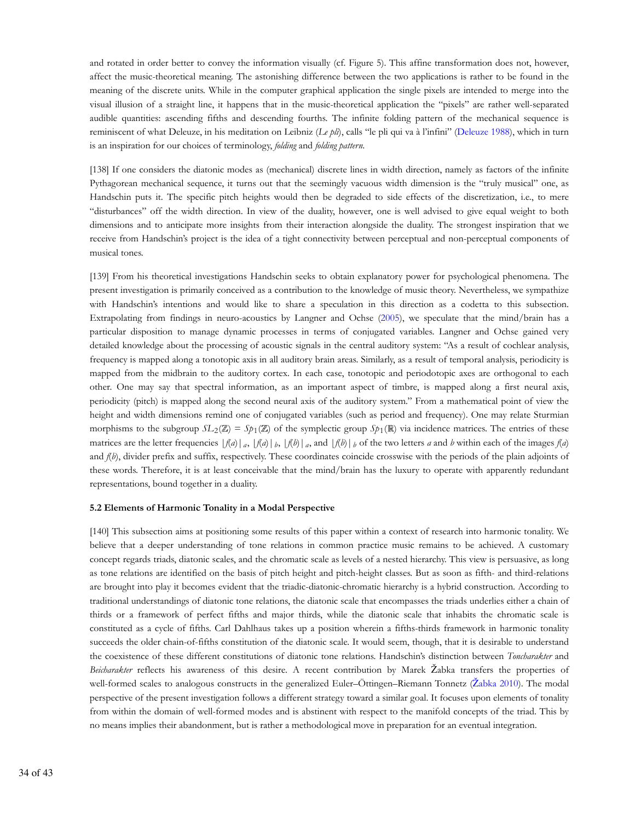and rotated in order better to convey the information visually (cf. Figure 5). This affine transformation does not, however, affect the music-theoretical meaning. The astonishing difference between the two applications is rather to be found in the meaning of the discrete units. While in the computer graphical application the single pixels are intended to merge into the visual illusion of a straight line, it happens that in the music-theoretical application the "pixels" are rather well-separated audible quantities: ascending fifths and descending fourths. The infinite folding pattern of the mechanical sequence is reminiscent of what Deleuze, in his meditation on Leibniz (*Le pli*), calls "le pli qui va à l'infini" (Deleuze 1988), which in turn is an inspiration for our choices of terminology, *folding* and *folding pattern*.

[138] If one considers the diatonic modes as (mechanical) discrete lines in width direction, namely as factors of the infinite Pythagorean mechanical sequence, it turns out that the seemingly vacuous width dimension is the "truly musical" one, as Handschin puts it. The specific pitch heights would then be degraded to side effects of the discretization, i.e., to mere "disturbances" off the width direction. In view of the duality, however, one is well advised to give equal weight to both dimensions and to anticipate more insights from their interaction alongside the duality. The strongest inspiration that we receive from Handschin's project is the idea of a tight connectivity between perceptual and non-perceptual components of musical tones.

[139] From his theoretical investigations Handschin seeks to obtain explanatory power for psychological phenomena. The present investigation is primarily conceived as a contribution to the knowledge of music theory. Nevertheless, we sympathize with Handschin's intentions and would like to share a speculation in this direction as a codetta to this subsection. Extrapolating from findings in neuro-acoustics by Langner and Ochse (2005), we speculate that the mind/brain has a particular disposition to manage dynamic processes in terms of conjugated variables. Langner and Ochse gained very detailed knowledge about the processing of acoustic signals in the central auditory system: "As a result of cochlear analysis, frequency is mapped along a tonotopic axis in all auditory brain areas. Similarly, as a result of temporal analysis, periodicity is mapped from the midbrain to the auditory cortex. In each case, tonotopic and periodotopic axes are orthogonal to each other. One may say that spectral information, as an important aspect of timbre, is mapped along a first neural axis, periodicity (pitch) is mapped along the second neural axis of the auditory system." From a mathematical point of view the height and width dimensions remind one of conjugated variables (such as period and frequency). One may relate Sturmian morphisms to the subgroup  $SL_2(\mathbb{Z}) = Sp_1(\mathbb{Z})$  of the symplectic group  $Sp_1(\mathbb{R})$  via incidence matrices. The entries of these matrices are the letter frequencies  $|f(a)|_a$ ,  $|f(a)|_b$ ,  $|f(b)|_a$ , and  $|f(b)|_b$  of the two letters a and b within each of the images  $f(a)$ and *f*(*b*), divider prefix and suffix, respectively. These coordinates coincide crosswise with the periods of the plain adjoints of these words. Therefore, it is at least conceivable that the mind/brain has the luxury to operate with apparently redundant representations, bound together in a duality.

#### **5.2 Elements of Harmonic Tonality in a Modal Perspective**

[140] This subsection aims at positioning some results of this paper within a context of research into harmonic tonality. We believe that a deeper understanding of tone relations in common practice music remains to be achieved. A customary concept regards triads, diatonic scales, and the chromatic scale as levels of a nested hierarchy. This view is persuasive, as long as tone relations are identified on the basis of pitch height and pitch-height classes. But as soon as fifth- and third-relations are brought into play it becomes evident that the triadic-diatonic-chromatic hierarchy is a hybrid construction. According to traditional understandings of diatonic tone relations, the diatonic scale that encompasses the triads underlies either a chain of thirds or a framework of perfect fifths and major thirds, while the diatonic scale that inhabits the chromatic scale is constituted as a cycle of fifths. Carl Dahlhaus takes up a position wherein a fifths-thirds framework in harmonic tonality succeeds the older chain-of-fifths constitution of the diatonic scale. It would seem, though, that it is desirable to understand the coexistence of these different constitutions of diatonic tone relations. Handschin's distinction between *Toncharakter* and *Beicharakter* reflects his awareness of this desire. A recent contribution by Marek Žabka transfers the properties of well-formed scales to analogous constructs in the generalized Euler–Öttingen–Riemann Tonnetz (Žabka 2010). The modal perspective of the present investigation follows a different strategy toward a similar goal. It focuses upon elements of tonality from within the domain of well-formed modes and is abstinent with respect to the manifold concepts of the triad. This by no means implies their abandonment, but is rather a methodological move in preparation for an eventual integration.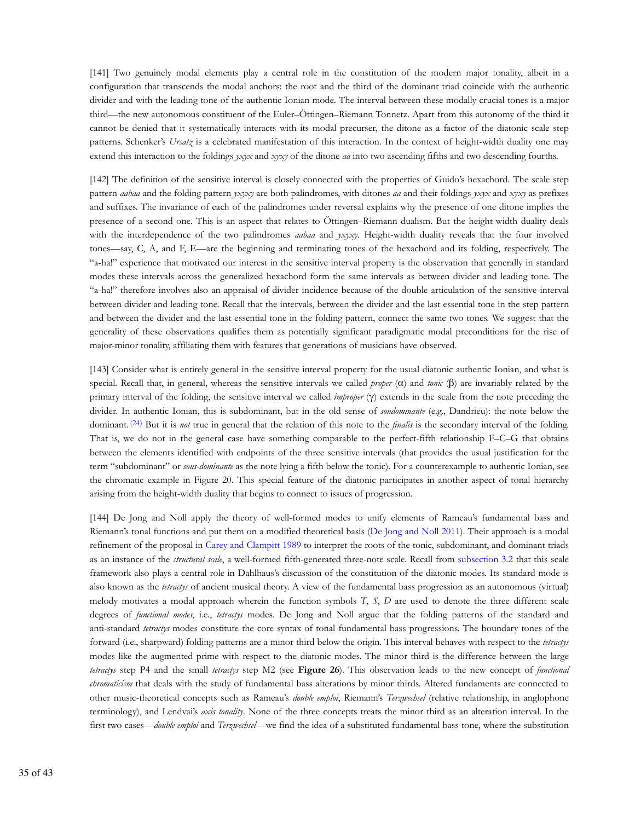[141] Two genuinely modal elements play a central role in the constitution of the modern major tonality, albeit in a configuration that transcends the modal anchors: the root and the third of the dominant triad coincide with the authentic divider and with the leading tone of the authentic Ionian mode. The interval between these modally crucial tones is a major third—the new autonomous constituent of the Euler–Öttingen–Riemann Tonnetz. Apart from this autonomy of the third it cannot be denied that it systematically interacts with its modal precurser, the ditone as a factor of the diatonic scale step patterns. Schenker's *Ursatz* is a celebrated manifestation of this interaction. In the context of height-width duality one may extend this interaction to the foldings *yxyx* and *xyxy* of the ditone *aa* into two ascending fifths and two descending fourths.

[142] The definition of the sensitive interval is closely connected with the properties of Guido's hexachord. The scale step pattern *aabaa* and the folding pattern *yxyxy* are both palindromes, with ditones *aa* and their foldings *yxyx* and *xyxy* as prefixes and suffixes. The invariance of each of the palindromes under reversal explains why the presence of one ditone implies the presence of a second one. This is an aspect that relates to Öttingen–Riemann dualism. But the height-width duality deals with the interdependence of the two palindromes *aabaa* and *yxyxy*. Height-width duality reveals that the four involved tones—say, C, A, and F, E—are the beginning and terminating tones of the hexachord and its folding, respectively. The "a-ha!" experience that motivated our interest in the sensitive interval property is the observation that generally in standard modes these intervals across the generalized hexachord form the same intervals as between divider and leading tone. The "a-ha!" therefore involves also an appraisal of divider incidence because of the double articulation of the sensitive interval between divider and leading tone. Recall that the intervals, between the divider and the last essential tone in the step pattern and between the divider and the last essential tone in the folding pattern, connect the same two tones. We suggest that the generality of these observations qualifies them as potentially significant paradigmatic modal preconditions for the rise of major-minor tonality, affiliating them with features that generations of musicians have observed.

[143] Consider what is entirely general in the sensitive interval property for the usual diatonic authentic Ionian, and what is special. Recall that, in general, whereas the sensitive intervals we called *proper* (α) and *tonic* (β) are invariably related by the primary interval of the folding, the sensitive interval we called *improper* (γ) extends in the scale from the note preceding the divider. In authentic Ionian, this is subdominant, but in the old sense of *soudominante* (e.g., Dandrieu): the note below the dominant. (24) But it is *not* true in general that the relation of this note to the *finalis* is the secondary interval of the folding. That is, we do not in the general case have something comparable to the perfect-fifth relationship F–C–G that obtains between the elements identified with endpoints of the three sensitive intervals (that provides the usual justification for the term "subdominant" or *sous-dominante* as the note lying a fifth below the tonic). For a counterexample to authentic Ionian, see the chromatic example in Figure 20. This special feature of the diatonic participates in another aspect of tonal hierarchy arising from the height-width duality that begins to connect to issues of progression.

[144] De Jong and Noll apply the theory of well-formed modes to unify elements of Rameau's fundamental bass and Riemann's tonal functions and put them on a modified theoretical basis (De Jong and Noll 2011). Their approach is a modal refinement of the proposal in Carey and Clampitt 1989 to interpret the roots of the tonic, subdominant, and dominant triads as an instance of the *structural scale*, a well-formed fifth-generated three-note scale. Recall from subsection 3.2 that this scale framework also plays a central role in Dahlhaus's discussion of the constitution of the diatonic modes. Its standard mode is also known as the *tetractys* of ancient musical theory. A view of the fundamental bass progression as an autonomous (virtual) melody motivates a modal approach wherein the function symbols *T*, *S*, *D* are used to denote the three different scale degrees of *functional modes*, i.e., *tetractys* modes. De Jong and Noll argue that the folding patterns of the standard and anti-standard *tetractys* modes constitute the core syntax of tonal fundamental bass progressions. The boundary tones of the forward (i.e., sharpward) folding patterns are a minor third below the origin. This interval behaves with respect to the *tetractys* modes like the augmented prime with respect to the diatonic modes. The minor third is the difference between the large *tetractys* step P4 and the small *tetractys* step M2 (see **Figure 26**). This observation leads to the new concept of *functional chromaticism* that deals with the study of fundamental bass alterations by minor thirds. Altered fundaments are connected to other music-theoretical concepts such as Rameau's *double emploi*, Riemann's *Terzwechsel* (relative relationship, in anglophone terminology), and Lendvai's *axis tonality*. None of the three concepts treats the minor third as an alteration interval. In the first two cases—*double emploi* and *Terzwechsel*—we find the idea of a substituted fundamental bass tone, where the substitution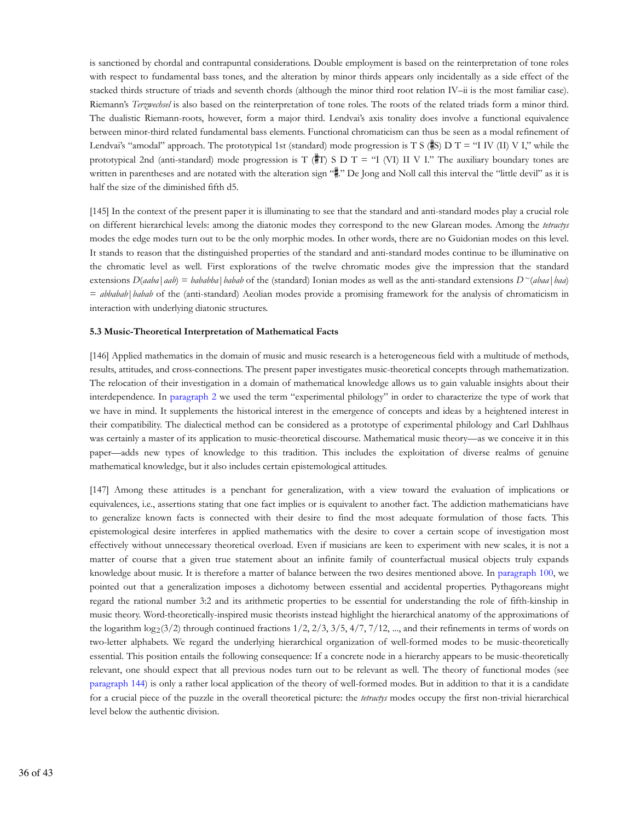is sanctioned by chordal and contrapuntal considerations. Double employment is based on the reinterpretation of tone roles with respect to fundamental bass tones, and the alteration by minor thirds appears only incidentally as a side effect of the stacked thirds structure of triads and seventh chords (although the minor third root relation IV–ii is the most familiar case). Riemann's *Terzwechsel* is also based on the reinterpretation of tone roles. The roots of the related triads form a minor third. The dualistic Riemann-roots, however, form a major third. Lendvai's axis tonality does involve a functional equivalence between minor-third related fundamental bass elements. Functional chromaticism can thus be seen as a modal refinement of Lendvai's "amodal" approach. The prototypical 1st (standard) mode progression is T S ( $\#S$ ) D T = "I IV (II) V I," while the prototypical 2nd (anti-standard) mode progression is T ( $\#T$ ) S D T = "I (VI) II V I." The auxiliary boundary tones are written in parentheses and are notated with the alteration sign "#" De Jong and Noll call this interval the "little devil" as it is half the size of the diminished fifth d5.

[145] In the context of the present paper it is illuminating to see that the standard and anti-standard modes play a crucial role on different hierarchical levels: among the diatonic modes they correspond to the new Glarean modes. Among the *tetractys* modes the edge modes turn out to be the only morphic modes. In other words, there are no Guidonian modes on this level. It stands to reason that the distinguished properties of the standard and anti-standard modes continue to be illuminative on the chromatic level as well. First explorations of the twelve chromatic modes give the impression that the standard extensions  $D(aaba|aab) = bababba|babab$  of the (standard) Ionian modes as well as the anti-standard extensions  $D^{\sim}(aba|baa)$ = *abbabab*|*babab* of the (anti-standard) Aeolian modes provide a promising framework for the analysis of chromaticism in interaction with underlying diatonic structures.

#### **5.3 Music-Theoretical Interpretation of Mathematical Facts**

[146] Applied mathematics in the domain of music and music research is a heterogeneous field with a multitude of methods, results, attitudes, and cross-connections. The present paper investigates music-theoretical concepts through mathematization. The relocation of their investigation in a domain of mathematical knowledge allows us to gain valuable insights about their interdependence. In paragraph 2 we used the term "experimental philology" in order to characterize the type of work that we have in mind. It supplements the historical interest in the emergence of concepts and ideas by a heightened interest in their compatibility. The dialectical method can be considered as a prototype of experimental philology and Carl Dahlhaus was certainly a master of its application to music-theoretical discourse. Mathematical music theory—as we conceive it in this paper—adds new types of knowledge to this tradition. This includes the exploitation of diverse realms of genuine mathematical knowledge, but it also includes certain epistemological attitudes.

[147] Among these attitudes is a penchant for generalization, with a view toward the evaluation of implications or equivalences, i.e., assertions stating that one fact implies or is equivalent to another fact. The addiction mathematicians have to generalize known facts is connected with their desire to find the most adequate formulation of those facts. This epistemological desire interferes in applied mathematics with the desire to cover a certain scope of investigation most effectively without unnecessary theoretical overload. Even if musicians are keen to experiment with new scales, it is not a matter of course that a given true statement about an infinite family of counterfactual musical objects truly expands knowledge about music. It is therefore a matter of balance between the two desires mentioned above. In paragraph 100, we pointed out that a generalization imposes a dichotomy between essential and accidental properties. Pythagoreans might regard the rational number 3:2 and its arithmetic properties to be essential for understanding the role of fifth-kinship in music theory. Word-theoretically-inspired music theorists instead highlight the hierarchical anatomy of the approximations of the logarithm  $\log_2(3/2)$  through continued fractions  $1/2$ ,  $2/3$ ,  $3/5$ ,  $4/7$ ,  $7/12$ , ..., and their refinements in terms of words on two-letter alphabets. We regard the underlying hierarchical organization of well-formed modes to be music-theoretically essential. This position entails the following consequence: If a concrete node in a hierarchy appears to be music-theoretically relevant, one should expect that all previous nodes turn out to be relevant as well. The theory of functional modes (see paragraph 144) is only a rather local application of the theory of well-formed modes. But in addition to that it is a candidate for a crucial piece of the puzzle in the overall theoretical picture: the *tetractys* modes occupy the first non-trivial hierarchical level below the authentic division.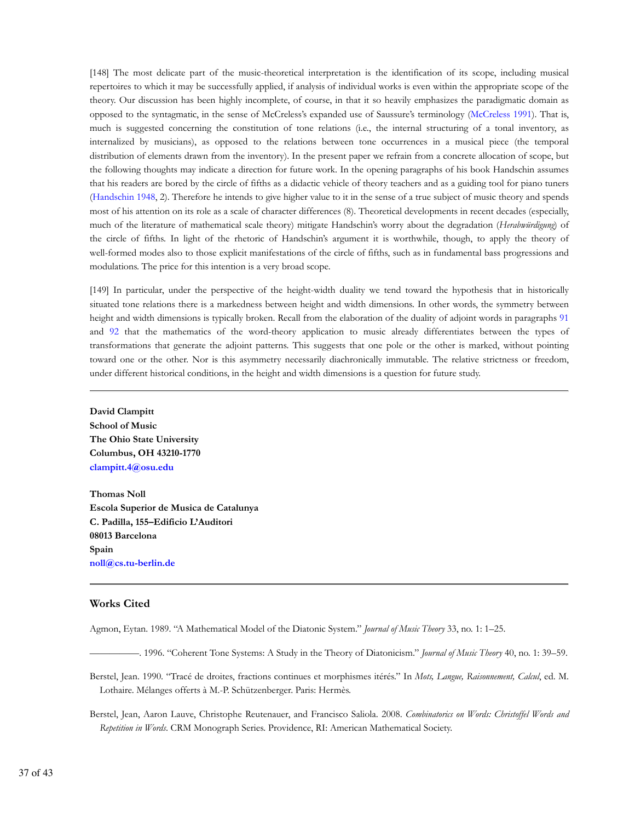[148] The most delicate part of the music-theoretical interpretation is the identification of its scope, including musical repertoires to which it may be successfully applied, if analysis of individual works is even within the appropriate scope of the theory. Our discussion has been highly incomplete, of course, in that it so heavily emphasizes the paradigmatic domain as opposed to the syntagmatic, in the sense of McCreless's expanded use of Saussure's terminology (McCreless 1991). That is, much is suggested concerning the constitution of tone relations (i.e., the internal structuring of a tonal inventory, as internalized by musicians), as opposed to the relations between tone occurrences in a musical piece (the temporal distribution of elements drawn from the inventory). In the present paper we refrain from a concrete allocation of scope, but the following thoughts may indicate a direction for future work. In the opening paragraphs of his book Handschin assumes that his readers are bored by the circle of fifths as a didactic vehicle of theory teachers and as a guiding tool for piano tuners (Handschin 1948, 2). Therefore he intends to give higher value to it in the sense of a true subject of music theory and spends most of his attention on its role as a scale of character differences (8). Theoretical developments in recent decades (especially, much of the literature of mathematical scale theory) mitigate Handschin's worry about the degradation (*Herabwürdigung*) of the circle of fifths. In light of the rhetoric of Handschin's argument it is worthwhile, though, to apply the theory of well-formed modes also to those explicit manifestations of the circle of fifths, such as in fundamental bass progressions and modulations. The price for this intention is a very broad scope.

[149] In particular, under the perspective of the height-width duality we tend toward the hypothesis that in historically situated tone relations there is a markedness between height and width dimensions. In other words, the symmetry between height and width dimensions is typically broken. Recall from the elaboration of the duality of adjoint words in paragraphs 91 and 92 that the mathematics of the word-theory application to music already differentiates between the types of transformations that generate the adjoint patterns. This suggests that one pole or the other is marked, without pointing toward one or the other. Nor is this asymmetry necessarily diachronically immutable. The relative strictness or freedom, under different historical conditions, in the height and width dimensions is a question for future study.

**David Clampitt School of Music The Ohio State University Columbus, OH 43210-1770 clampitt.4@osu.edu**

**Thomas Noll Escola Superior de Musica de Catalunya C. Padilla, 155–Edificio L'Auditori 08013 Barcelona Spain noll@cs.tu-berlin.de**

# **Works Cited**

Agmon, Eytan. 1989. "A Mathematical Model of the Diatonic System." *Journal of Music Theory* 33, no. 1: 1–25.

—————. 1996. "Coherent Tone Systems: A Study in the Theory of Diatonicism." *Journal of Music Theory* 40, no. 1: 39–59.

Berstel, Jean. 1990. "Tracé de droites, fractions continues et morphismes itérés." In *Mots, Langue, Raisonnement, Calcul*, ed. M. Lothaire. Mélanges offerts à M.-P. Schützenberger. Paris: Hermès.

Berstel, Jean, Aaron Lauve, Christophe Reutenauer, and Francisco Saliola. 2008. *Combinatorics on Words: Christoffel Words and Repetition in Words*. CRM Monograph Series. Providence, RI: American Mathematical Society.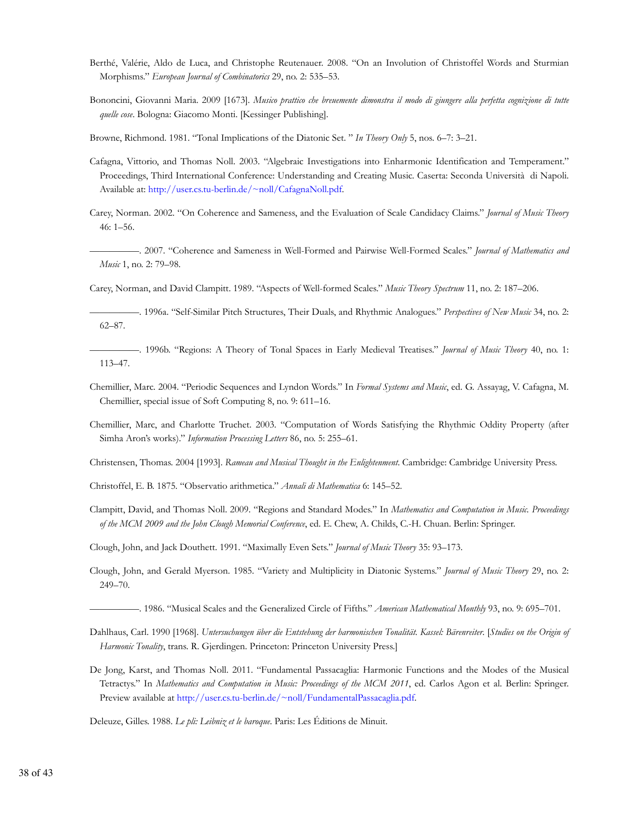- Berthé, Valérie, Aldo de Luca, and Christophe Reutenauer. 2008. "On an Involution of Christoffel Words and Sturmian Morphisms." *European Journal of Combinatorics* 29, no. 2: 535–53.
- Bononcini, Giovanni Maria. 2009 [1673]. *Musico prattico che breuemente dimonstra il modo di giungere alla perfetta cognizione di tutte quelle cose*. Bologna: Giacomo Monti. [Kessinger Publishing].

Browne, Richmond. 1981. "Tonal Implications of the Diatonic Set. " *In Theory Only* 5, nos. 6–7: 3–21.

- Cafagna, Vittorio, and Thomas Noll. 2003. "Algebraic Investigations into Enharmonic Identification and Temperament." Proceedings, Third International Conference: Understanding and Creating Music. Caserta: Seconda Università di Napoli. Available at: http://user.cs.tu-berlin.de/~noll/CafagnaNoll.pdf.
- Carey, Norman. 2002. "On Coherence and Sameness, and the Evaluation of Scale Candidacy Claims." *Journal of Music Theory* 46: 1–56.
- —————. 2007. "Coherence and Sameness in Well-Formed and Pairwise Well-Formed Scales." *Journal of Mathematics and Music* 1, no. 2: 79–98.

Carey, Norman, and David Clampitt. 1989. "Aspects of Well-formed Scales." *Music Theory Spectrum* 11, no. 2: 187–206.

—————. 1996a. "Self-Similar Pitch Structures, Their Duals, and Rhythmic Analogues." *Perspectives of New Music* 34, no. 2: 62–87.

—————. 1996b. "Regions: A Theory of Tonal Spaces in Early Medieval Treatises." *Journal of Music Theory* 40, no. 1: 113–47.

- Chemillier, Marc. 2004. "Periodic Sequences and Lyndon Words." In *Formal Systems and Music*, ed. G. Assayag, V. Cafagna, M. Chemillier, special issue of Soft Computing 8, no. 9: 611–16.
- Chemillier, Marc, and Charlotte Truchet. 2003. "Computation of Words Satisfying the Rhythmic Oddity Property (after Simha Aron's works)." *Information Processing Letters* 86, no. 5: 255–61.

Christensen, Thomas. 2004 [1993]. *Rameau and Musical Thought in the Enlightenment*. Cambridge: Cambridge University Press.

- Christoffel, E. B. 1875. "Observatio arithmetica." *Annali di Mathematica* 6: 145–52.
- Clampitt, David, and Thomas Noll. 2009. "Regions and Standard Modes." In *Mathematics and Computation in Music. Proceedings of the MCM 2009 and the John Clough Memorial Conference*, ed. E. Chew, A. Childs, C.-H. Chuan. Berlin: Springer.
- Clough, John, and Jack Douthett. 1991. "Maximally Even Sets." *Journal of Music Theory* 35: 93–173.
- Clough, John, and Gerald Myerson. 1985. "Variety and Multiplicity in Diatonic Systems." *Journal of Music Theory* 29, no. 2: 249–70.
	- —————. 1986. "Musical Scales and the Generalized Circle of Fifths." *American Mathematical Monthly* 93, no. 9: 695–701.
- Dahlhaus, Carl. 1990 [1968]. *Untersuchungen über die Entstehung der harmonischen Tonalität. Kassel: Bärenreiter*. [*Studies on the Origin of Harmonic Tonality*, trans. R. Gjerdingen. Princeton: Princeton University Press.]
- De Jong, Karst, and Thomas Noll. 2011. "Fundamental Passacaglia: Harmonic Functions and the Modes of the Musical Tetractys." In *Mathematics and Computation in Music: Proceedings of the MCM 2011*, ed. Carlos Agon et al. Berlin: Springer. Preview available at http://user.cs.tu-berlin.de/~noll/FundamentalPassacaglia.pdf.

Deleuze, Gilles. 1988. *Le pli: Leibniz et le baroque*. Paris: Les Éditions de Minuit.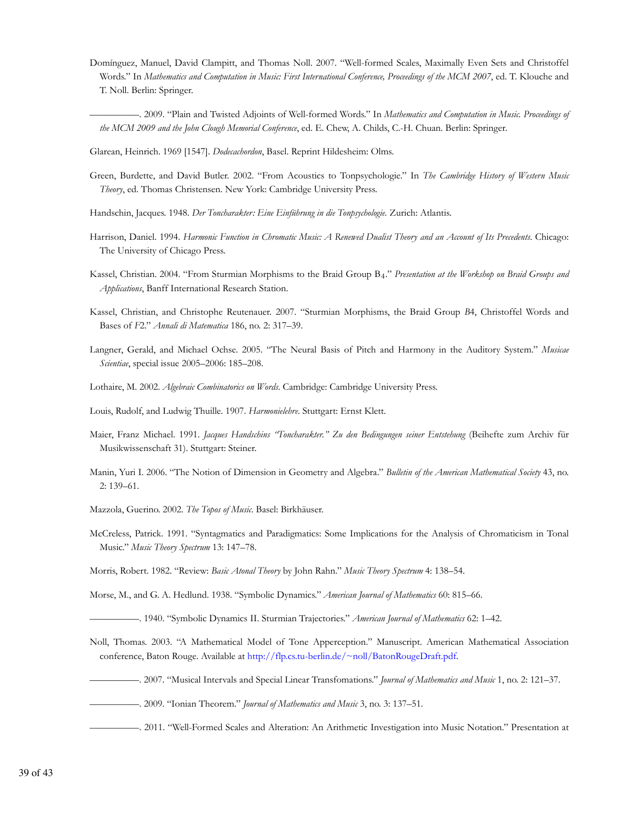- Domínguez, Manuel, David Clampitt, and Thomas Noll. 2007. "Well-formed Scales, Maximally Even Sets and Christoffel Words." In *Mathematics and Computation in Music: First International Conference, Proceedings of the MCM 2007*, ed. T. Klouche and T. Noll. Berlin: Springer.
	- —————. 2009. "Plain and Twisted Adjoints of Well-formed Words." In *Mathematics and Computation in Music. Proceedings of the MCM 2009 and the John Clough Memorial Conference*, ed. E. Chew, A. Childs, C.-H. Chuan. Berlin: Springer.
- Glarean, Heinrich. 1969 [1547]. *Dodecachordon*, Basel. Reprint Hildesheim: Olms.
- Green, Burdette, and David Butler. 2002. "From Acoustics to Tonpsychologie." In *The Cambridge History of Western Music Theory*, ed. Thomas Christensen. New York: Cambridge University Press.
- Handschin, Jacques. 1948. *Der Toncharakter: Eine Einführung in die Tonpsychologie.* Zurich: Atlantis.
- Harrison, Daniel. 1994. *Harmonic Function in Chromatic Music: A Renewed Dualist Theory and an Account of Its Precedents*. Chicago: The University of Chicago Press.
- Kassel, Christian. 2004. "From Sturmian Morphisms to the Braid Group B4." Presentation at the Workshop on Braid Groups and *Applications*, Banff International Research Station.
- Kassel, Christian, and Christophe Reutenauer. 2007. "Sturmian Morphisms, the Braid Group *B*4, Christoffel Words and Bases of *F*2." *Annali di Matematica* 186, no. 2: 317–39.
- Langner, Gerald, and Michael Ochse. 2005. "The Neural Basis of Pitch and Harmony in the Auditory System." *Musicae Scientiae*, special issue 2005–2006: 185–208.
- Lothaire, M. 2002. *Algebraic Combinatorics on Words*. Cambridge: Cambridge University Press.
- Louis, Rudolf, and Ludwig Thuille. 1907. *Harmonielehre*. Stuttgart: Ernst Klett.
- Maier, Franz Michael. 1991. *Jacques Handschins "Toncharakter." Zu den Bedingungen seiner Entstehung* (Beihefte zum Archiv für Musikwissenschaft 31). Stuttgart: Steiner.
- Manin, Yuri I. 2006. "The Notion of Dimension in Geometry and Algebra." *Bulletin of the American Mathematical Society* 43, no. 2: 139–61.
- Mazzola, Guerino. 2002. *The Topos of Music*. Basel: Birkhäuser.
- McCreless, Patrick. 1991. "Syntagmatics and Paradigmatics: Some Implications for the Analysis of Chromaticism in Tonal Music." *Music Theory Spectrum* 13: 147–78.

Morris, Robert. 1982. "Review: *Basic Atonal Theory* by John Rahn." *Music Theory Spectrum* 4: 138–54.

Morse, M., and G. A. Hedlund. 1938. "Symbolic Dynamics." *American Journal of Mathematics* 60: 815–66.

- —————. 1940. "Symbolic Dynamics II. Sturmian Trajectories." *American Journal of Mathematics* 62: 1–42.
- Noll, Thomas. 2003. "A Mathematical Model of Tone Apperception." Manuscript. American Mathematical Association conference, Baton Rouge. Available at http://flp.cs.tu-berlin.de/~noll/BatonRougeDraft.pdf.
- —————. 2007. "Musical Intervals and Special Linear Transfomations." *Journal of Mathematics and Music* 1, no. 2: 121–37.
- —————. 2009. "Ionian Theorem." *Journal of Mathematics and Music* 3, no. 3: 137–51.
- —————. 2011. "Well-Formed Scales and Alteration: An Arithmetic Investigation into Music Notation." Presentation at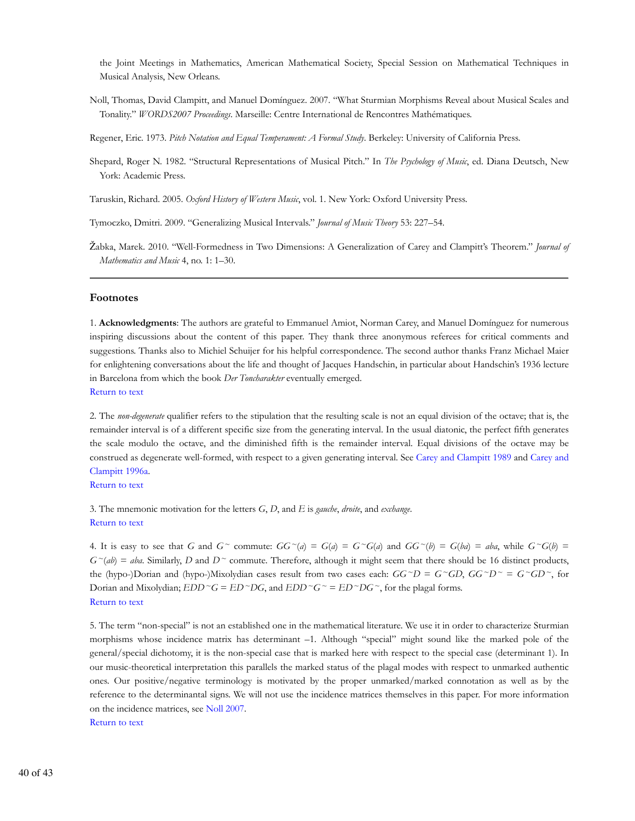the Joint Meetings in Mathematics, American Mathematical Society, Special Session on Mathematical Techniques in Musical Analysis, New Orleans.

Noll, Thomas, David Clampitt, and Manuel Domínguez. 2007. "What Sturmian Morphisms Reveal about Musical Scales and Tonality." *WORDS2007 Proceedings*. Marseille: Centre International de Rencontres Mathématiques.

Regener, Eric. 1973. *Pitch Notation and Equal Temperament: A Formal Study*. Berkeley: University of California Press.

Shepard, Roger N. 1982. "Structural Representations of Musical Pitch." In *The Psychology of Music*, ed. Diana Deutsch, New York: Academic Press.

Taruskin, Richard. 2005. *Oxford History of Western Music*, vol. 1. New York: Oxford University Press.

Tymoczko, Dmitri. 2009. "Generalizing Musical Intervals." *Journal of Music Theory* 53: 227–54.

Žabka, Marek. 2010. "Well-Formedness in Two Dimensions: A Generalization of Carey and Clampitt's Theorem." *Journal of Mathematics and Music* 4, no. 1: 1–30.

#### **Footnotes**

1. **Acknowledgments**: The authors are grateful to Emmanuel Amiot, Norman Carey, and Manuel Domínguez for numerous inspiring discussions about the content of this paper. They thank three anonymous referees for critical comments and suggestions. Thanks also to Michiel Schuijer for his helpful correspondence. The second author thanks Franz Michael Maier for enlightening conversations about the life and thought of Jacques Handschin, in particular about Handschin's 1936 lecture in Barcelona from which the book *Der Toncharakter* eventually emerged.

Return to text

2. The *non-degenerate* qualifier refers to the stipulation that the resulting scale is not an equal division of the octave; that is, the remainder interval is of a different specific size from the generating interval. In the usual diatonic, the perfect fifth generates the scale modulo the octave, and the diminished fifth is the remainder interval. Equal divisions of the octave may be construed as degenerate well-formed, with respect to a given generating interval. See Carey and Clampitt 1989 and Carey and Clampitt 1996a.

# Return to text

3. The mnemonic motivation for the letters *G*, *D*, and *E* is *gauche*, *droite*, and *exchange*. Return to text

4. It is easy to see that *G* and  $G^{\sim}$  commute:  $GG^{\sim}(a) = G(a) = G^{\sim}G(a)$  and  $GG^{\sim}(b) = G(ba) = aba$ , while  $G^{\sim}G(b) =$  $G^{\sim}(ab) = aba$ . Similarly, *D* and  $D^{\sim}$  commute. Therefore, although it might seem that there should be 16 distinct products, the (hypo-)Dorian and (hypo-)Mixolydian cases result from two cases each:  $GG^{\sim}D = G^{\sim}GD$ ,  $GG^{\sim}D^{\sim} = G^{\sim}GD^{\sim}$ , for Dorian and Mixolydian;  $EDD^{\sim}G = ED^{\sim}DG$ , and  $EDD^{\sim}G^{\sim} = ED^{\sim}DG^{\sim}$ , for the plagal forms. Return to text

5. The term "non-special" is not an established one in the mathematical literature. We use it in order to characterize Sturmian morphisms whose incidence matrix has determinant –1. Although "special" might sound like the marked pole of the general/special dichotomy, it is the non-special case that is marked here with respect to the special case (determinant 1). In our music-theoretical interpretation this parallels the marked status of the plagal modes with respect to unmarked authentic ones. Our positive/negative terminology is motivated by the proper unmarked/marked connotation as well as by the reference to the determinantal signs. We will not use the incidence matrices themselves in this paper. For more information on the incidence matrices, see Noll 2007.

Return to text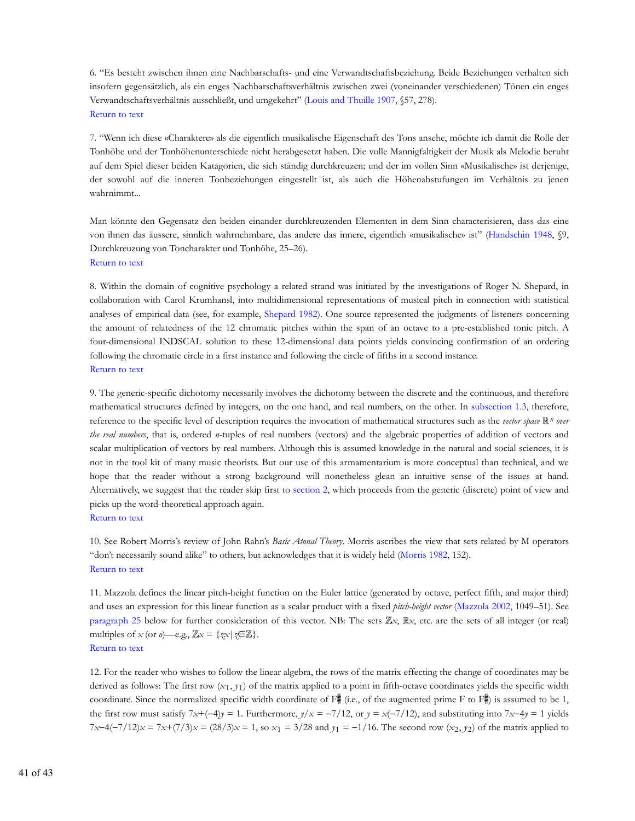6. "Es besteht zwischen ihnen eine Nachbarschafts- und eine Verwandtschaftsbeziehung. Beide Beziehungen verhalten sich insofern gegensätzlich, als ein enges Nachbarschaftsverhältnis zwischen zwei (voneinander verschiedenen) Tönen ein enges Verwandtschaftsverhältnis ausschließt, und umgekehrt" (Louis and Thuille 1907, §57, 278). Return to text

7. "Wenn ich diese «Charaktere» als die eigentlich musikalische Eigenschaft des Tons ansehe, möchte ich damit die Rolle der Tonhöhe und der Tonhöhenunterschiede nicht herabgesetzt haben. Die volle Mannigfaltigkeit der Musik als Melodie beruht auf dem Spiel dieser beiden Katagorien, die sich ständig durchkreuzen; und der im vollen Sinn «Musikalische» ist derjenige, der sowohl auf die inneren Tonbeziehungen eingestellt ist, als auch die Höhenabstufungen im Verhältnis zu jenen wahrnimmt...

Man könnte den Gegensatz den beiden einander durchkreuzenden Elementen in dem Sinn characterisieren, dass das eine von ihnen das äussere, sinnlich wahrnehmbare, das andere das innere, eigentlich «musikalische» ist" (Handschin 1948, §9, Durchkreuzung von Toncharakter und Tonhöhe, 25–26). Return to text

8. Within the domain of cognitive psychology a related strand was initiated by the investigations of Roger N. Shepard, in collaboration with Carol Krumhansl, into multidimensional representations of musical pitch in connection with statistical analyses of empirical data (see, for example, Shepard 1982). One source represented the judgments of listeners concerning the amount of relatedness of the 12 chromatic pitches within the span of an octave to a pre-established tonic pitch. A four-dimensional INDSCAL solution to these 12-dimensional data points yields convincing confirmation of an ordering following the chromatic circle in a first instance and following the circle of fifths in a second instance. Return to text

9. The generic-specific dichotomy necessarily involves the dichotomy between the discrete and the continuous, and therefore mathematical structures defined by integers, on the one hand, and real numbers, on the other. In subsection 1.3, therefore, reference to the specific level of description requires the invocation of mathematical structures such as the *vector space*  $\mathbb{R}^n$  over *the real numbers*, that is, ordered *n*-tuples of real numbers (vectors) and the algebraic properties of addition of vectors and scalar multiplication of vectors by real numbers. Although this is assumed knowledge in the natural and social sciences, it is not in the tool kit of many music theorists. But our use of this armamentarium is more conceptual than technical, and we hope that the reader without a strong background will nonetheless glean an intuitive sense of the issues at hand. Alternatively, we suggest that the reader skip first to section 2, which proceeds from the generic (discrete) point of view and picks up the word-theoretical approach again. Return to text

10. See Robert Morris's review of John Rahn's *Basic Atonal Theory*. Morris ascribes the view that sets related by M operators "don't necessarily sound alike" to others, but acknowledges that it is widely held (Morris 1982, 152). Return to text

11. Mazzola defines the linear pitch-height function on the Euler lattice (generated by octave, perfect fifth, and major third) and uses an expression for this linear function as a scalar product with a fixed *pitch-height vector* (Mazzola 2002, 1049–51). See paragraph 25 below for further consideration of this vector. NB: The sets  $\mathbb{Z}_X$ ,  $\mathbb{R}_X$ , etc. are the sets of all integer (or real) multiples of *x* (or *o*)—e.g.,  $\mathbb{Z}x = \{zx | z \in \mathbb{Z}\}.$ Return to text

12. For the reader who wishes to follow the linear algebra, the rows of the matrix effecting the change of coordinates may be derived as follows: The first row  $(x_1, y_1)$  of the matrix applied to a point in fifth-octave coordinates yields the specific width coordinate. Since the normalized specific width coordinate of  $F^*$  (i.e., of the augmented prime F to  $F^*$ ) is assumed to be 1, the first row must satisfy  $7x+(-4)y = 1$ . Furthermore,  $y/x = -7/12$ , or  $y = x(-7/12)$ , and substituting into  $7x-4y = 1$  yields *7x*−4(−7/12)*x* = 7*x*+(7/3)*x* = (28/3)*x* = 1, so *x*<sub>1</sub> = 3/28 and *y*<sub>1</sub> = −1/16. The second row (*x*<sub>2</sub>, *y*<sub>2</sub>) of the matrix applied to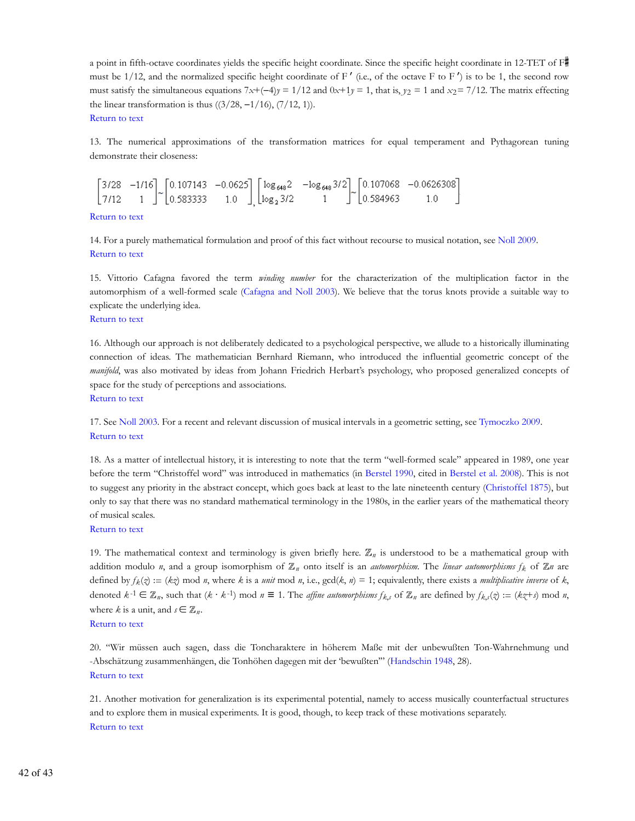a point in fifth-octave coordinates yields the specific height coordinate. Since the specific height coordinate in 12-TET of F must be 1/12, and the normalized specific height coordinate of  $F'$  (i.e., of the octave F to  $F'$ ) is to be 1, the second row must satisfy the simultaneous equations  $7x+(-4)y = 1/12$  and  $0x+1y = 1$ , that is,  $y_2 = 1$  and  $x_2 = 7/12$ . The matrix effecting the linear transformation is thus  $((3/28, -1/16), (7/12, 1)).$ Return to text

13. The numerical approximations of the transformation matrices for equal temperament and Pythagorean tuning demonstrate their closeness:

 $\begin{bmatrix} 3/28 & -1/16 \\ 7/12 & 1 \end{bmatrix}$   $\begin{bmatrix} 0.107143 & -0.0625 \\ 0.583333 & 1.0 \end{bmatrix}$   $\begin{bmatrix} \log_{648} 2 & -\log_{648} 3/2 \\ \log_{2} 3/2 & 1 \end{bmatrix}$   $\begin{bmatrix} 0.107068 & -0.0626308 \\ 0.584963 & 1.0 \end{bmatrix}$ 

Return to text

14. For a purely mathematical formulation and proof of this fact without recourse to musical notation, see Noll 2009. Return to text

15. Vittorio Cafagna favored the term *winding number* for the characterization of the multiplication factor in the automorphism of a well-formed scale (Cafagna and Noll 2003). We believe that the torus knots provide a suitable way to explicate the underlying idea.

# Return to text

16. Although our approach is not deliberately dedicated to a psychological perspective, we allude to a historically illuminating connection of ideas. The mathematician Bernhard Riemann, who introduced the influential geometric concept of the *manifold*, was also motivated by ideas from Johann Friedrich Herbart's psychology, who proposed generalized concepts of space for the study of perceptions and associations. Return to text

17. See Noll 2003. For a recent and relevant discussion of musical intervals in a geometric setting, see Tymoczko 2009. Return to text

18. As a matter of intellectual history, it is interesting to note that the term "well-formed scale" appeared in 1989, one year before the term "Christoffel word" was introduced in mathematics (in Berstel 1990, cited in Berstel et al. 2008). This is not to suggest any priority in the abstract concept, which goes back at least to the late nineteenth century (Christoffel 1875), but only to say that there was no standard mathematical terminology in the 1980s, in the earlier years of the mathematical theory of musical scales.

# Return to text

19. The mathematical context and terminology is given briefly here.  $\mathbb{Z}_n$  is understood to be a mathematical group with addition modulo *n*, and a group isomorphism of  $\mathbb{Z}_n$  onto itself is an *automorphism*. The *linear automorphisms*  $f_k$  of  $\mathbb{Z}_n$  are defined by  $f_k(z) := (kz) \mod n$ , where *k* is a *unit* mod *n*, i.e.,  $gcd(k, n) = 1$ ; equivalently, there exists a *multiplicative inverse* of *k*, denoted  $k^{-1} \in \mathbb{Z}_n$ , such that  $(k \cdot k^{-1})$  mod  $n \equiv 1$ . The *affine automorphisms*  $f_{k,s}$  of  $\mathbb{Z}_n$  are defined by  $f_{k,s}(\zeta) := (k \zeta + s) \mod n$ , where *k* is a unit, and  $s \in \mathbb{Z}_n$ .

# Return to text

20. "Wir müssen auch sagen, dass die Toncharaktere in höherem Maße mit der unbewußten Ton-Wahrnehmung und -Abschätzung zusammenhängen, die Tonhöhen dagegen mit der 'bewußten'" (Handschin 1948, 28). Return to text

21. Another motivation for generalization is its experimental potential, namely to access musically counterfactual structures and to explore them in musical experiments. It is good, though, to keep track of these motivations separately. Return to text